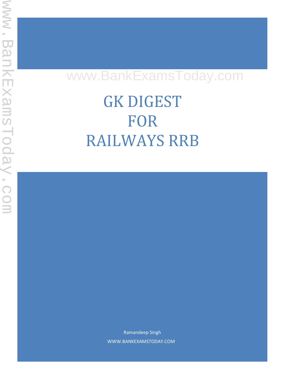# www.BankExamsToday.com

GK DIGEST FOR RAILWAYS RRB

> Ramandeep Singh WWW.BANKEXAMSTODAY.COM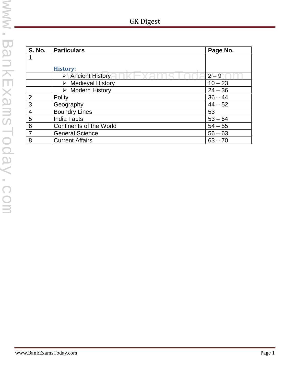| -K Diges |
|----------|
|          |

| <b>S. No.</b>  | <b>Particulars</b>                | Page No.  |
|----------------|-----------------------------------|-----------|
|                |                                   |           |
|                | <b>History:</b>                   |           |
|                | > Ancient History                 | $2 - 9$   |
|                | $\triangleright$ Medieval History | $10 - 23$ |
|                | $\triangleright$ Modern History   | $24 - 36$ |
| $\overline{2}$ | Polity                            | $36 - 44$ |
| 3              | Geography                         | $44 - 52$ |
| $\overline{4}$ | <b>Boundry Lines</b>              | 53        |
| 5              | <b>India Facts</b>                | $53 - 54$ |
| 6              | <b>Continents of the World</b>    | $54 - 55$ |
| $\overline{7}$ | <b>General Science</b>            | $56 - 63$ |
| 8              | <b>Current Affairs</b>            | $63 - 70$ |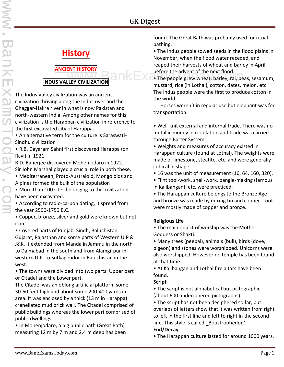

# **ANCIENT HISTORY**

**INDUS VALLEY CIVILIZATION**

The Indus Valley civilization was an ancient civilization thriving along the Indus river and the Ghaggar-Hakra river in what is now Pakistan and north-western India. Among other names for this civilization is the Harappan civilization in reference to the first excavated city of Harappa.

• An alternative term for the culture is Saraswati- Sindhu civilization

• R.B. Dayaram Sahni first discovered Harappa (on Ravi) in 1921.

R.D. Banerjee discovered Mohenjodaro in 1922. Sir John Marshal played a crucial role in both these. • Mediterranean, Proto-Australoid, Mongoloids and Alpines formed the bulk of the population

• More than 100 sites belonging to this civilization have been excavated.

• According to radio-carbon dating, it spread from the year 2500-1750 B.C.

• Copper, bronze, silver and gold were known but not iron.

• Covered parts of Punjab, Sindh, Baluchistan, Gujarat, Rajasthan and some parts of Western U.P & J&K. It extended from Manda in Jammu in the north to Daimabad in the south and from Alamgirpur in western U.P. to Sutkagendor in Baluchistan in the west.

• The towns were divided into two parts: Upper part or Citadel and the Lower part.

The Citadel was an oblong artificial platform some 30-50 feet high and about some 200-400 yards in area. It was enclosed by a thick (13 m in Harappa) crenellated mud brick wall. The Citadel comprised of public buildings whereas the lower part comprised of public dwellings.

• In Mohenjodaro, a big public bath (Great Bath) measuring 12 m by 7 m and 2.4 m deep has been found. The Great Bath was probably used for ritual bathing.

• The Indus people sowed seeds in the flood plains in November, when the flood water receded, and reaped their harvests of wheat and barley in April, before the advent of the next flood.

**ENT HISTORY**<br>LIFY CIVILIZATION **OF A LIFY CONDUCT A** The people grew wheat, barley, rai, peas, sesamum, mustard, rice (in Lothal), cotton, dates, melon, etc. The Indus people were the first to produce cotton in the world.

> Horses weren't in regular use but elephant was for transportation.

• Well-knit external and internal trade. There was no metallic money in circulation and trade was carried through Barter System.

• Weights and measures of accuracy existed in Harappan culture (found at Lothal). The weights were made of limestone, steatite, etc. and were generally cubical in shape.

- 16 was the unit of measurement (16, 64, 160, 320).
- Flint tool-work, shell-work, bangle-making (famous in Kalibangan), etc. were practiced.

• The Harappan culture belongs to the Bronze Age and bronze was made by mixing tin and copper. Tools were mostly made of copper and bronze.

#### **Religious Life**

• The main object of worship was the Mother Goddess or Shakti.

• Many trees (peepal), animals (bull), birds (dove, pigeon) and stones were worshipped. Unicorns were also worshipped. However no temple has been found at that time.

• At Kalibangan and Lothal fire altars have been found.

#### **Script**

• The script is not alphabetical but pictographic. (about 600 undeciphered pictographs).

• The script has not been deciphered so far, but overlaps of letters show that it was written from right to left in the first line and left to right in the second line. This style is called \_Boustrophedon'.

#### **End/Decay**

• The Harappan culture lasted for around 1000 years.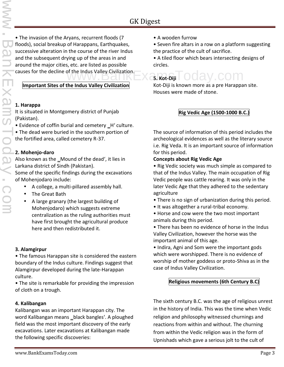• The invasion of the Aryans, recurrent floods (7 floods), social breakup of Harappans, Earthquakes, successive alteration in the course of the river Indus and the subsequent drying up of the areas in and around the major cities, etc. are listed as possible

#### **Important Sites of the Indus Valley Civilization**

#### **1. Harappa**

It is situated in Montgomery district of Punjab (Pakistan).

• Evidence of coffin burial and cemetery \_H' culture.

• The dead were buried in the southern portion of the fortified area, called cemetery R-37.

#### **2. Mohenjo-daro**

Also known as the \_Mound of the dead', it lies in Larkana district of Sindh (Pakistan).

Some of the specific findings during the excavations of Mohenjodaro include:

- A college, a multi-pillared assembly hall.
- The Great Bath
- A large granary (the largest building of Mohenjodaro) which suggests extreme centralization as the ruling authorities must have first brought the agricultural produce here and then redistributed it.

#### **3. Alamgirpur**

• The famous Harappan site is considered the eastern boundary of the Indus culture. Findings suggest that Alamgirpur developed during the late-Harappan culture.

• The site is remarkable for providing the impression of cloth on a trough.

#### **4. Kalibangan**

Kalibangan was an important Harappan city. The word Kalibangan means \_black bangles'. A ploughed field was the most important discovery of the early excavations. Later excavations at Kalibangan made the following specific discoveries:

• Seven fire altars in a row on a platform suggesting the practice of the cult of sacrifice.

• A tiled floor which bears intersecting designs of circles.

#### causes for the decline of the Indus Valley Civilization.<br>
WWW.BankToday.com **5. Kot-Diji**

Kot-Diji is known more as a pre Harappan site. Houses were made of stone.

#### **Rig Vedic Age (1500-1000 B.C.)**

The source of information of this period includes the archeological evidences as well as the literary source i.e. Rig Veda. It is an important source of information for this period.

#### **Concepts about Rig Vedic Age**

• Rig Vedic society was much simple as compared to that of the Indus Valley. The main occupation of Rig Vedic people was cattle rearing. It was only in the later Vedic Age that they adhered to the sedentary agriculture

- There is no sign of urbanization during this period.
- It was altogether a rural-tribal economy.
- Horse and cow were the two most important animals during this period.
- There has been no evidence of horse in the Indus Valley Civilization, however the horse was the important animal of this age.
- Indira, Agni and Som were the important gods which were worshipped. There is no evidence of worship of mother goddess or proto-Shiva as in the case of Indus Valley Civilization.

#### **Religious movements (6th Century B.C)**

The sixth century B.C. was the age of religious unrest in the history of India. This was the time when Vedic religion and philosophy witnessed churnings and reactions from within and without. The churning from within the Vedic religion was in the form of Upnishads which gave a serious jolt to the cult of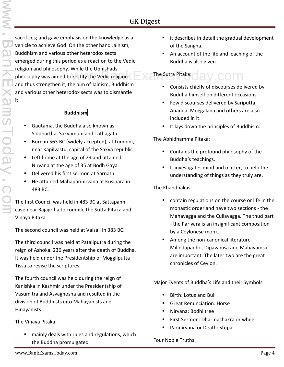sacrifices; and gave emphasis on the knowledge as a vehicle to achieve God. On the other hand Jainism, Buddhism and various other heterodox sects emerged during this period as a reaction to the Vedic religion and philosophy. While the Upnishads philosophy was aimed to rectify the Vedic religion  $\mathsf{Ex}$  The Sutra Pitaka:  $\mathsf{day}$  COM and thus strengthen it, the aim of Jainism, Buddhism and various other heterodox sects was to dismantle it.

#### **Buddhism**

- Gautama, the Buddha also known as Siddhartha, Sakyamuni and Tathagata.
- Born in 563 BC (widely accepted), at Lumbini, near Kapilvastu, capital of the Sakya republic.
- Left home at the age of 29 and attained Nirvana at the age of 35 at Bodh Gaya.
- Delivered his first sermon at Sarnath.
- He attained Mahaparinirvana at Kusinara in 483 BC.

The first Council was held in 483 BC at Sattapanni cave near Rajagriha to compile the Sutta Pitaka and Vinaya Pitaka.

The second council was held at Vaisali in 383 BC.

The third council was held at Pataliputra during the reign of Ashoka. 236 years after the death of Buddha. It was held under the Presidentship of Moggliputta Tissa to revise the scriptures.

The fourth council was held during the reign of Kanishka in Kashmir under the Presidentship of Vasumitra and Asvaghosha and resulted in the division of Buddhists into Mahayanists and Hinayanists.

The Vinaya Pitaka:

 mainly deals with rules and regulations, which the Buddha promulgated

- it describes in detail the gradual development of the Sangha.
- An account of the life and leaching of the Buddha is also given.

# The Sutra Pitaka:

- Consists chiefly of discourses delivered by Buddha himself on different occasions.
- Few discourses delivered by Sariputta, Ananda. Moggalana and others are also included in it.
- It lays down the principles of Buddhism.

#### The Abhidhamma Pitaka:

- Contains the profound philosophy of the Buddha's teachings.
- It investigates mind and matter, to help the understanding of things as they truly are.

#### The Khandhakas:

- contain regulations on the course or life in the monastic order and have two sections - the Mahavagga and the Cullavagga. The thud part - the Parivara is an insignificant composition by a Ceylonese monk.
- Among the non-canonical literature Milindapanho, Dipavamsa and Mahavamsa are important. The later two are the great chronicles of Ceylon.

#### Major Events of Buddha's Life and their Symbols

- Birth: Lotus and Bull
- Great Renunciation: Horse
- Nirvana: Bodhi tree
- First Sermon: Dharmachakra or wheel
- Parinirvana or Death: Stupa

#### Four Noble Truths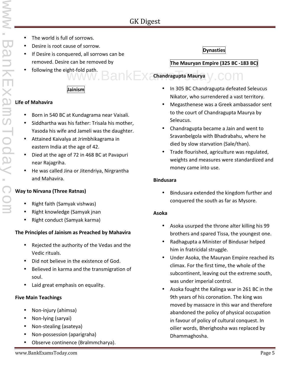- The world is full of sorrows.
- Desire is root cause of sorrow.
- If Desire is conquered, all sorrows can be removed. Desire can be removed by
- following the eight-fold path. ght-fold path.<br>WWW.BankExamaragupta Maurya y COM

#### **Jainism**

#### **Life of Mahavira**

- Born in 540 BC at Kundagrama near Vaisali.
- Siddhartha was his father: Trisala his mother, Yasoda his wife and Jameli was the daughter.
- Attained Kaivalya at Jrimbhikagrama in eastern India at the age of 42.
- Died at the age of 72 in 468 BC at Pavapuri near Rajagriha.
- He was called Jina or Jitendriya, Nirgrantha and Mahavira.

#### **Way to Nirvana (Three Ratnas)**

- Right faith (Samyak vishwas)
- Right knowledge (Samyak jnan
- Right conduct (Samyak karma)

#### **The Principles of Jainism as Preached by Mahavira**

- Rejected the authority of the Vedas and the Vedic rituals.
- Did not believe in the existence of God.
- Believed in karma and the transmigration of soul.
- Laid great emphasis on equality.

#### **Five Main Teachings**

- Non-injury (ahimsa)
- Non-lying (saryai)
- Non-stealing (asateya)
- Non-possession (aparigraha)
- Observe continence (Bralmmcharya).

#### **Dynasties**

#### **The Mauryan Empire (325 BC -183 BC)**

#### **Chandragupta Maurya**

- In 305 BC Chandragupta defeated Seleucus Nikator, who surrendered a vast territory.
- Megasthenese was a Greek ambassador sent to the court of Chandragupta Maurya by Seleucus.
- Chandragupta became a Jain and went to Sravanbelgola with Bhadrabahu, where he died by slow starvation (Sale/than).
- Trade flourished, agriculture was regulated, weights and measures were standardized and money came into use.

#### **Bindusara**

 Bindusara extended the kingdom further and conquered the south as far as Mysore.

#### **Asoka**

- Asoka usurped the throne alter killing his 99 brothers and spared Tissa, the youngest one.
- Radhagupta a Minister of Bindusar helped him in fratricidal struggle.
- Under Asoka, the Mauryan Empire reached its climax. For the first time, the whole of the subcontinent, leaving out the extreme south, was under imperial control.
- Asoka fought the Kalinga war in 261 BC in the 9th years of his coronation. The king was moved by massacre in this war and therefore abandoned the policy of physical occupation in favour of policy of cultural conquest. In oilier words, Bherighosha was replaced by Dhammaghosha.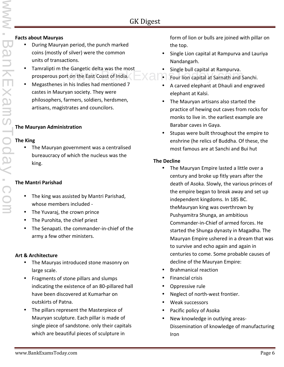#### **Facts about Mauryas**

- During Mauryan period, the punch marked coins (mostly of silver) were the common units of transactions.
- Tamralipti m the Gangetic delta was the most prosperous port on the East Coast of India. Four lion capital at Rampurva.<br>The East Coast of India.
- Megasthenes in his Indies had mentioned 7 castes in Mauryan society. They were philosophers, farmers, soldiers, herdsmen, artisans, magistrates and councilors.

#### **The Mauryan Administration**

#### **The King**

 The Mauryan government was a centralised bureaucracy of which the nucleus was the king.

#### **The Mantri Parishad**

- The king was assisted by Mantri Parishad, whose members included -
- The Yuvaraj, the crown prince
- The Purohita, the chief priest
- The Senapati. the commander-in-chief of the army a few other ministers.

#### **Art & Architecture**

- The Mauryas introduced stone masonry on large scale.
- Fragments of stone pillars and slumps indicating the existence of an 80-pillared hall have been discovered at Kumarhar on outskirts of Patna.
- The pillars represent the Masterpiece of Mauryan sculpture. Each pillar is made of single piece of sandstone. only their capitals which are beautiful pieces of sculpture in

form of lion or bulls are joined with pillar on the top.

- Single Lion capital at Rampurva and Lauriya Nandangarh.
- Single bull capital at Rampurva.
- 
- A carved elephant at Dhauli and engraved elephant at Kalsi.
- The Mauryan artisans also started the practice of hewing out caves from rocks for monks to live in. the earliest example are Barabar caves in Gaya.
- Stupas were built throughout the empire to enshrine (he relics of Buddha. Of these, the most famous are at Sanchi and Bui hut

#### **The Decline**

- The Mauryan Empire lasted a little over a century and broke up fitly years after the death of Asoka. Slowly, the various princes of the empire began to break away and set up independent kingdoms. In 185 BC. theMauryan king was overthrown by Pushyamitra Shunga, an ambitious Commander-in-Chief of armed forces. He started the Shunga dynasty in Magadha. The Mauryan Empire ushered in a dream that was to survive and echo again and again in centuries to come. Some probable causes of decline of the Mauryan Empire:
- Brahmanical reaction
- Financial crisis
- Oppressive rule
- Neglect of north-west frontier.
- Weak successors
- Pacific policy of Asoka
- New knowledge in outlying areas- Dissemination of knowledge of manufacturing Iron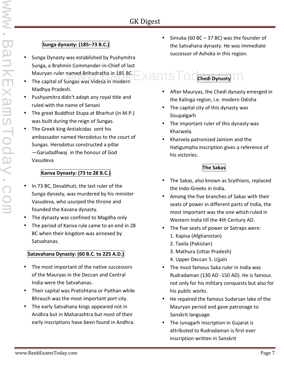## **Sunga dynasty: (185–73 B.C.)**

- Sunga Dynasty was established by Pushymitra Sunga, a Brahmin Commander-in-Chief of last
- The capital of Sungas was Videsa in modern Madhya Pradesh.
- Pushyamitra didn't adopt any royal title and ruled with the name of Senani
- The great Buddhist Stupa at Bharhut (in M.P.) was built during the reign of Sungas.
- The Greek king Antialcidas sent his ambassador named Herodotus to the court of Sungas. Herodotus constructed a pillar ―Garudadhwaj in the honour of God Vasudeva

#### **Kanva Dynasty: (73 to 28 B.C.)**

- In 73 BC, Devabhuti, the last ruler of the Sunga dynasty, was murdered by his minister Vasudeva, who usurped the throne and founded the Kavana dynasty.
- The dynasty was confined to Magdha only
- The period of Kanva rule came to an end in 28 BC when their kingdom was annexed by Satvahanas.

#### **Satavahana Dynasty: (60 B.C. to 225 A.D.)**

- The most important of the native successors of the Mauryas in the Deccan and Central India were the Satvahanas.
- Their capital was Pratishtana or Paithan while Bhrauch was the most important port city.
- The early Satvahana kings appeared not in Andhra but in Maharashtra but most of their early inscriptions have been found in Andhra.

 Simuka (60 BC – 37 BC) was the founder of the Satvahana dynasty. He was immediate successor of Ashoka in this region.

#### Mauryan ruler named Brihadratha in 185 BC.<br>The capital of Sungas was Videsa in modern Wallem STO Chedi Dynasty **Chedi Dynasty**

- After Mauryas, the Chedi dynasty emerged in the Kalinga region, i.e. modern Odisha
- The capital city of this dynasty was **Sisupalgarh**
- The important ruler of this dynasty was Kharwela.
- Kharvela patronized Jainism and the Hatigumpha inscription gives a reference of his victories.

## **The Sakas**

- The Sakas, also known as Scythians, replaced the Indo-Greeks in India.
- Among the five branches of Sakas with their seats of power in different parts of India, the most important was the one which ruled in Western India till the 4th Century AD.
- The five seats of power or Satraps were: 1. Kapisa (Afghanistan)
	- 2. Taxila (Pakistan)
	- 3. Mathura (Uttar Pradesh)
	- 4. Upper Deccan 5. Ujjain
- The most famous Saka ruler in India was Rudradaman (130 AD -150 AD). He is famous not only for his military conquests but also for his public works.
- He repaired the famous Sudarsan lake of the Mauryan period and gave patronage to Sanskrit language
- The Junagarh inscription in Gujarat is attributed to Rudradaman is first ever inscription written in Sanskrit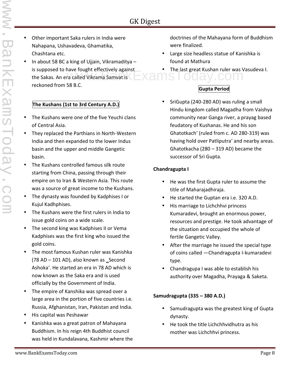- Other important Saka rulers in India were Nahapana, Ushavadeva, Ghamatika, Chashtana etc.
- In about 58 BC a king of Ujjain, Vikramaditya is supposed to have fought effectively against is supposed to have lought enectively against the same of the last great Kushan ruler was vertex to the Sakas. An era called Vikrama Samvat is reckoned from 58 B.C.

#### **The Kushans (1st to 3rd Century A.D.)**

- The Kushans were one of the five Yeuchi clans of Central Asia.
- They replaced the Parthians in North-Western India and then expanded to the lower Indus basin and the upper and middle Gangetic basin.
- The Kushans controlled famous silk route starting from China, passing through their empire on to Iran & Western Asia. This route was a source of great income to the Kushans.
- The dynasty was founded by Kadphises I or Kujul Kadhphises.
- The Kushans were the first rulers in India to issue gold coins on a wide scale.
- The second king was Kadphises II or Vema Kadphises was the first king who issued the gold coins.
- The most famous Kushan ruler was Kanishka  $(78 AD - 101 AD)$ , also known as \_Second Ashoka'. He started an era in 78 AD which is now known as the Saka era and is used officially by the Government of India.
- The empire of Kanshika was spread over a large area in the portion of five countries i.e. Russia, Afghanistan, Iran, Pakistan and India.
- His capital was Peshawar
- Kanishka was a great patron of Mahayana Buddhism. In his reign 4th Buddhist council was held in Kundalavana, Kashmir where the

doctrines of the Mahayana form of Buddhism were finalized.

- Large size headless statue of Kanishka is found at Mathura
- The last great Kushan ruler was Vasudeva I.

#### **Gupta Period**

 SriGupta (240-280 AD) was ruling a small Hindu kingdom called Magadha from Vaishya community near Ganga river, a prayag based feudatory of Kushanas. He and his son Ghatotkach' (ruled from c. AD 280-319) was having hold over Patliputra' and nearby areas. Ghatotkacha (280 – 319 AD) became the successor of Sri Gupta.

#### **Chandragupta I**

- He was the first Gupta ruler to assume the title of Maharajadhiraja.
- He started the Guptan era i.e. 320 A.D.
- His marriage to Lichchhvi princess Kumaradevi, brought an enormous power, resources and prestige. He took advantage of the situation and occupied the whole of fertile Gangetic Valley.
- After the marriage he issued the special type of coins called ―Chandragupta I-kumaradevi type.
- Chandragupa I was able to establish his authority over Magadha, Prayaga & Saketa.

#### **Samudragupta (335 – 380 A.D.)**

- Samudragupta was the greatest king of Gupta dynasty.
- He took the title Lichchhvidhutra as his mother was Lichchhvi princess.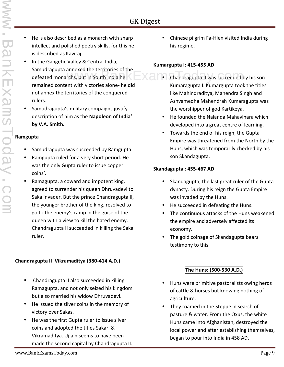- He is also described as a monarch with sharp intellect and polished poetry skills, for this he is described as Kaviraj.
- In the Gangetic Valley & Central India, Samudragupta annexed the territories of the defeated monarchs, but in South India he remained content with victories alone- he did not annex the territories of the conquered rulers.
- Samudragupta's military compaigns justify description of him as the **Napoleon of India' by V.A. Smith.**

#### **Ramgupta**

- Samudragupta was succeeded by Ramgupta.
- Ramgupta ruled for a very short period. He was the only Gupta ruler to issue copper coins'.
- Ramagupta, a coward and impotent king, agreed to surrender his queen Dhruvadevi to Saka invader. But the prince Chandragupta II, the younger brother of the king, resolved to go to the enemy's camp in the guise of the queen with a view to kill the hated enemy. Chandragupta II succeeded in killing the Saka ruler.

#### **Chandragupta II 'Vikramaditya (380-414 A.D.)**

- Chandragupta II also succeeded in killing Ramagupta, and not only seized his kingdom but also married his widow Dhruvadevi.
- He issued the silver coins in the memory of victory over Sakas.
- He was the first Gupta ruler to issue silver coins and adopted the titles Sakari & Vikramaditya. Ujjain seems to have been made the second capital by Chandragupta II.

 Chinese pilgrim Fa-Hien visited India during his regime.

#### **Kumargupta I: 415-455 AD**

- annexed the territories of the  $\sim$   $\sim$   $\sim$   $\sim$  Chandragupta II was succeeded by his son Kumaragupta I. Kumargupta took the titles like Mahindraditya, Mahendra Singh and Ashvamedha Mahendrah Kumaragupta was the worshipper of god Kartikeya.
	- He founded the Nalanda Mahavihara which developed into a great centre of learning.
	- Towards the end of his reign, the Gupta Empire was threatened from the North by the Huns, which was temporarily checked by his son Skandagupta.

#### **Skandagupta : 455-467 AD**

- Skandagupta, the last great ruler of the Gupta dynasty. During his reign the Gupta Empire was invaded by the Huns.
- He succeeded in defeating the Huns.
- The continuous attacks of the Huns weakened the empire and adversely affected its economy.
- The gold coinage of Skandagupta bears testimony to this.

#### **The Huns: (500-530 A.D.)**

- Huns were primitive pastoralists owing herds of cattle & horses but knowing nothing of agriculture.
- They roamed in the Steppe in search of pasture & water. From the Oxus, the white Huns came into Afghanistan, destroyed the local power and after establishing themselves, began to pour into India in 458 AD.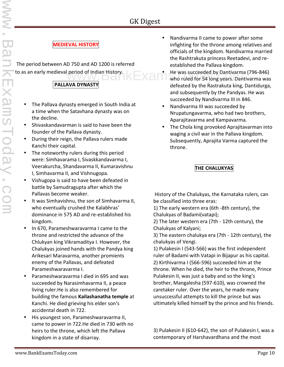## **MEDIEVAL HISTORY**

The period between AD 750 and AD 1200 is referred to as an early medieval period of Indian History.

## **PALLAVA DYNASTY**

- The Pallava dynasty emerged in South India at a time when the Satavhana dynasty was on the decline.
- Shivaskandavarman is said to have been the founder of the Pallava dynasty.
- During their reign, the Pallava rulers made Kanchi their capital.
- The noteworthy rulers during this period were: Simhavarama I, Sivaskkandavarma I, Veerakurcha, Shandavarma II, Kumaravishnu I, Simhavarma II, and Vishnugopa.
- Vishugopa is said to have been defeated in battle by Samudragupta after which the Pallavas become weaker.
- It was Simhavishnu, the son of Simhavarma II, who eventually crushed the Kalabhras' dominance in 575 AD and re-established his kingdom.
- In 670, Parameshwaravarma I came to the throne and restricted the advance of the Chlukyan king Vikramaditya I. However, the Chalukyas joined hands with the Pandya king Arikesari Maravarma, another promients enemy of the Pallavas, and defeated Parameshwaravarma I.
- Parameshwaravarma I died in 695 and was succeeded by Narasimhavarma II, a peace living ruler.He is also remembered for building the famous **Kailashanatha temple** at Kanchi. He died grieving his elder son's accidental death in 722.
- His youngest son, Parameshwaravarma II, came to power in 722.He died in 730 with no heirs to the throne, which left the Pallava kingdom in a state of disarray.
- Nandivarma II came to power after some infighting for the throne among relatives and officials of the kingdom. Nandivarma married the Rashtrakuta princess Reetadevi, and re established the Pallava kingdom.
- He was succeeded by Dantivarma (796-846) period of Indian History.<br>
Who ruled for 54 long years. Dantivarma was defeated by the Rastrakuta king, Dantidurga, and subsequently by the Pandyas. He was succeeded by Nandivarma III in 846.
	- Nandivarma III was succeeded by Nrupatungavarma, who had two brothers, Aparajitavarma and Kampavarma.
	- The Chola king provoked Aprajitavarman into waging a civil war in the Pallava kingdom. Subsequently, Aprajita Varma captured the throne.

## **THE CHALUKYAS**

History of the Chalukyas, the Karnataka rulers, can be classified into three eras:

1) The early western era (6th -8th century), the Chalukyas of Badami(vatapi);

2) The later western era (7th - 12th century), the Chalukyas of Kalyani;

3) The eastern chalukya era (7th - 12th century), the chalukyas of Vengi.

1) Pulakesin I (543-566) was the first independent ruler of Badami with Vatapi in Bijapur as his capital. 2) Kirthivarma I (566-596) succeeded him at the throne. When he died, the heir to the throne, Prince Pulakesin II, was just a baby and so the king's brother, Mangalesha (597-610), was crowned the caretaker ruler. Over the years, he made many unsuccessful attempts to kill the prince but was ultimately killed himself by the prince and his friends.

3) Pulakesin II (610-642), the son of Pulakesin I, was a contemporary of Harshavardhana and the most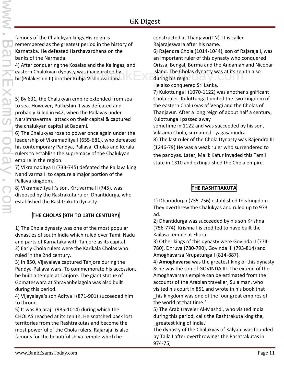famous of the Chalukyan kings.His reign is remembered as the greatest period in the history of Karnataka. He defeated Harshavardhana on the banks of the Narmada.

4) After conquering the Kosalas and the Kalingas, and eastern Chalukyan dynasty was inaugurated by his(Pulakeshin II) brother Kubja Vishnuvardana.

5) By 631, the Chalukyan empire extended from sea to sea. However, Pulkeshin II was defeated and probably killed in 642, when the Pallavas under Narsimhavarma I attack on their capital & captured the chalukyan capital at Badami.

6) The Chalukyas rose to power once again under the leadership of Vikramaditya I (655-681), who defeated his contemporary Pandya, Pallava, Cholas and Kerala rulers to establish the supremacy of the Chalukyan empire in the region.

7) Vikramaditya II (733-745) defeated the Pallava king Nandivarma II to capture a major portion of the Pallava kingdom.

8) Vikramaditya II's son, Kirtivarma II (745), was disposed by the Rastrakuta ruler, Dhantidurga, who established the Rashtrakuta dynasty.

## **THE CHOLAS (9TH TO 13TH CENTURY)**

1) The Chola dynasty was one of the most popular dynasties of south India which ruled over Tamil Nadu and parts of Karnataka with Tanjore as its capital. 2) Early Chola rulers were the Karikala Cholas who ruled in the 2nd century.

3) In 850, Vijayalaya captured Tanjore during the Pandya-Pallava wars. To commemorate his accession, he built a temple at Tanjore. The giant statue of Gomateswara at Shravanbelagola was also built during this period.

4) Vijayalaya's son Aditya I (871-901) succeeded him to throne.

5) It was Rajaraj I (985-1014) during which the CHOLAS reached at its zenith. He snatched back lost territories from the Rashtrakutas and become the most powerful of the Chola rulers. Rajaraja' is also famous for the beautiful shiva temple which he

constructed at Thanjavur(TN). It is called Rajarajeswara after his name.

6) Rajendra Chola (1014-1044), son of Rajaraja I, was an important ruler of this dynasty who conquered Orissa, Bengal, Burma and the Andaman and Nicobar asty was inaugurated by **Island.** The Cholas dynasty was at its zenith also<br>er Kubja Vishnuvardana. during his reign.

He also conquered Sri Lanka.

7) Kulottunga I (1070-1122) was another significant Chola ruler. Kulottunga I united the two kingdom of the eastern Chalukyas of Vengi and the Cholas of Thanjavur. After a long reign of about half a century, Kulottunga I passed away

sometime in 1122 and was succeeded by his son, Vikrama Chola, surnamed Tyagasamudra.

8) The last ruler of the Chola Dynasty was Rajendra III (1246-79).He was a weak ruler who surrendered to the pandyas. Later, Malik Kafur invaded this Tamil state in 1310 and extinguished the Chola empire.

#### **THE RASHTRAKUTA**

1) Dhantidurga (735-756) established this kingdom. They overthrew the Chalukyas and ruled up to 973 ad.

2) Dhantidurga was succeeded by his son Krishna I (756-774). Krishna I is credited to have built the Kailasa temple at Ellora.

3) Other kings of this dynasty were Govinda II (774- 780), Dhruva (780-790), Govinda III (793-814) and Amoghavarsa Nrupatunga I (814-887).

4) **Amoghavarsa** was the greatest king of this dynasty & he was the son of GOVINDA III. The extend of the Amoghavarsa's empire can be estimated from the accounts of the Arabian traveller, Sulaiman, who visited his court in 851 and wrote in his book that his kingdom was one of the four great empires of the world at that time.'

5) The Arab traveler Al-Mashdi, who visited India during this period, calls the Rashtrakuta king the, greatest king of India.'

The dynasty of the Chalukyas of Kalyani was founded by Taila I after overthrowings the Rashtrakutas in 974-75,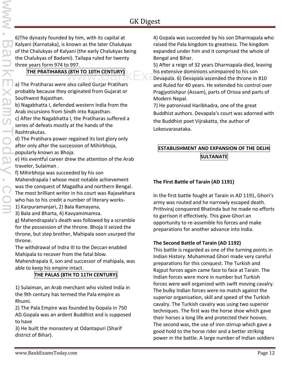6)The dynasty founded by him, with its capital at Kalyani (Karnataka), is known as the later Chalukyas of the Chalukyas of Kalyani (the early Chalukyas being the Chalukyas of Badami). Tailapa ruled for twenty three years form 974 to 997.

#### **THE PRATIHARAS (8TH TO 10TH CENTURY)**

a) The Pratiharas were also called Gurjar Pratihars probably because they originated from Gujarat or Southwest Rajasthan.

b) Nagabhatta I, defended western India from the Arab incursions from Sindh into Rajasthan.

c) After the Nagabhatta I, the Pratiharas suffered a series of defeats mostly at the hands of the Rashtrakutas.

d) The Pratihara power regained its lost glory only after only after the succession of Mihirbhoja, popularly known as Bhoja.

e) His eventful career drew the attention of the Arab traveler, Sulaiman .

f) Mihirbhoja was succeeded by his son

Mahendrapala I whose most notable achievement was the conquest of Magadha and northern Bengal. The most brilliant writer in his court was Rajasekhara who has to his credit a number of literary works-

1) Karpuramanjari, 2) Bala Ramayana,

3) Bala and Bharta, 4) Kavyamimamsa.

g) Mahendrapala's death was followed by a scramble for the possession of the throne. Bhoja II seized the throne, but step brother, Mahipala soon usurped the throne.

The withdrawal of Indra III to the Deccan enabled Mahipala to recover from the fatal blow.

Mahendrapala II, son and successor of mahipala, was able to keep his empire intact.

#### **THE PALAS (8TH TO 11TH CENTURY)**

1) Sulaiman, an Arab merchant who visited India in the 9th century has termed the Pala empire as Rhumi.

2) The Pala Empire was founded by Gopala in 750 AD.Gopala was an ardent Buddhist and is supposed to have

3) He built the monastery at Odantapuri (Sharif district of Bihar).

4) Gopala was succeeded by his son Dharmapala who raised the Pala kingdom to greatness. The kingdom expanded under him and it comprised the whole of Bengal and Bihar.

5) After a reign of 32 years Dharmapala died, leaving (8TH TO 10TH CENTURY) his extensive dominions unimpaired to his son<br>Devapala. 6) Devapala ascended the throne in 810 Devapala. 6) Devapala ascended the throne in 810 and Ruled for 40 years. He extended his control over Pragjyotishpur (Assam), parts of Orissa and parts of Modern Nepal.

> 7) He patronised Haribhadra, one of the great Buddhist authors. Devapala's court was adorned with the Buddhist poet Vijrakatta, the author of Lokesvarasataka.

#### **ESTABLISHMENT AND EXPANSION OF THE DELHI SULTANATE**

#### **The First Battle of Tarain (AD 1191)**

In the first battle fought at Tarain in AD 1191, Ghori's army was routed and he narrowly escaped death. Prithviraj conquered Bhatinda but he made no efforts to garrison it effectively. This gave Ghori an opportunity to re-assemble his forces and make preparations for another advance into India.

#### **The Second Battle of Tarain (AD 1192)**

This battle is regarded as one of the turning points in Indian History. Muhammad Ghori made very careful preparations for this conquest. The Turkish and Rajput forces again came face to face at Tarain. The Indian forces were more in number but Turkish forces were well organized with swift moving cavalry. The bulky Indian forces were no match against the superior organisation, skill and speed of the Turkish cavalry. The Turkish cavalry was using two superior techniques. The first was the horse shoe which gave their horses a long life and protected their hooves. The second was, the use of iron stirrup which gave a good hold to the horse rider and a better striking power in the battle. A large number of Indian soldiers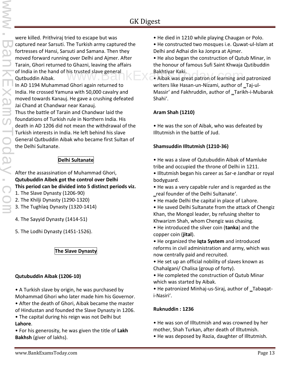were killed. Prithviraj tried to escape but was captured near Sarsuti. The Turkish army captured the fortresses of Hansi, Sarsuti and Samana. Then they moved forward running over Delhi and Ajmer. After Tarain, Ghori returned to Ghazni, leaving the affairs of India in the hand of his trusted slave general Qutbuddin Aibak.

In AD 1194 Muhammad Ghori again returned to India. He crossed Yamuna with 50,000 cavalry and moved towards Kanauj. He gave a crushing defeated Jai Chand at Chandwar near Kanauj.

Thus the battle of Tarain and Chandwar laid the foundations of Turkish rule in Northern India. His death in AD 1206 did not mean the withdrawal of the Turkish interests in India. He left behind his slave General Qutbuddin Aibak who became first Sultan of the Delhi Sultanate.

#### **Delhi Sultanate**

After the assassination of Muhammad Ghori, **Qutubuddin Aibek got the control over Delhi This period can be divided into 5 distinct periods viz.**

- 1. The Slave Dynasty (1206-90)
- 2. The Khilji Dynasty (1290-1320)
- 3. The Tughlaq Dynasty (1320-1414)
- 4. The Sayyid Dynasty (1414-51)
- 5. The Lodhi Dynasty (1451-1526).

#### **The Slave Dynasty**

#### **Qutubuddin Aibak (1206-10)**

- A Turkish slave by origin, he was purchased by Mohammad Ghori who later made him his Governor.
- After the death of Ghori, Aibak became the master
- of Hindustan and founded the Slave Dynasty in 1206.
- The capital during his reign was not Delhi but **Lahore**.
- For his generosity, he was given the title of **Lakh Bakhsh** (giver of lakhs).
- He died in 1210 while playing Chaugan or Polo.
- He constructed two mosques i.e. Quwat-ul-Islam at Delhi and Adhai din ka Jonpra at Ajmer.
- He also began the construction of Qutub Minar, in the honour of famous Sufi Saint Khwaja Qutibuddin Bakhtiyar Kaki.
- his trusted slave general **by Bakhtiyar Kaki.**<br> **Aibak was great patron of learning and patronized** and patronized writers like Hasan-un-Nizami, author of \_Taj-ul-Massir' and Fakhruddin, author of \_Tarikh-i-Mubarak Shahi'.

#### **Aram Shah (1210)**

• He was the son of Aibak, who was defeated by Illtutmish in the battle of Jud.

#### **Shamsuddin Illtutmish (1210-36)**

- He was a slave of Qutubuddin Aibak of Mamluke tribe and occupied the throne of Delhi in 1211.
- Illtutmish began his career as Sar-e Jandhar or royal bodyguard.
- He was a very capable ruler and is regarded as the \_real founder of the Delhi Sultanate'.
- He made Delhi the capital in place of Lahore.
- He saved Delhi Sultanate from the attack of Chengiz Khan, the Mongol leader, by refusing shelter to Khwarizm Shah, whom Chengiz was chasing.
- He introduced the silver coin (**tanka**) and the copper coin (**jital**).
- He organized the **Iqta System** and introduced reforms in civil administration and army, which was now centrally paid and recruited.
- He set up an official nobility of slaves known as Chahalgani/ Chalisa (group of forty).
- He completed the construction of Qutub Minar which was started by Aibak.
- He patronized Minhaj-us-Siraj, author of Tabaqati-Nasiri'.

#### **Ruknuddin : 1236**

- He was son of Illtutmish and was crowned by her mother, Shah Turkan, after death of Illtutmish.
- He was deposed by Razia, daughter of Illtutmish.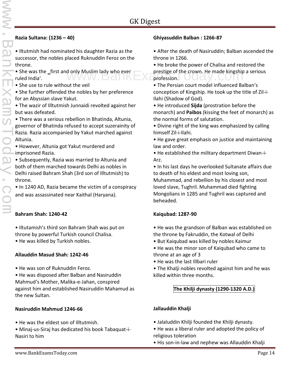#### **Razia Sultana: (1236 – 40)**

• Iltutmish had nominated his daughter Razia as the successor, the nobles placed Ruknuddin Feroz on the throne.

• She was the first and only Muslim lady who ever ruled India'.

• She use to rule without the veil

• She further offended the nobles by her preference for an Abyssian slave Yakut.

• The wazir of Illtutmish Junnaidi revolted against her but was defeated.

• There was a serious rebellion in Bhatinda, Altunia, governor of Bhatinda refused to accept suzerainity of Razia. Razia accompanied by Yakut marched against Altunia.

• However, Altunia got Yakut murdered and imprisoned Razia.

• Subsequently, Razia was married to Altunia and both of them marched towards Delhi as nobles in Delhi raised Bahram Shah (3rd son of Illtutmish) to throne.

• In 1240 AD, Razia became the victim of a conspiracy and was assassinated near Kaithal (Haryana).

#### **Bahram Shah: 1240-42**

• Iltutamish's third son Bahram Shah was put on throne by powerful Turkish council Chalisa.

• He was killed by Turkish nobles.

#### **Allauddin Masud Shah: 1242-46**

• He was son of Ruknuddin Feroz.

• He was disposed after Balban and Nasiruddin Mahmud's Mother, Malika-e-Jahan, conspired against him and established Nasiruddin Mahamud as the new Sultan.

#### **Nasiruddin Mahmud 1246-66**

- He was the eldest son of Illtutmish.
- Minaj-us-Siraj has dedicated his book Tabaquat-i- Nasiri to him

#### **Ghiyasuddin Balban : 1266-87**

• After the death of Nasiruddin; Balban ascended the throne in 1266.

• He broke the power of Chalisa and restored the d only Muslim lady who ever<br>prestige of the crown. He made kingship a serious<br>profession. profession.

• The Persian court model influenced Balban's conception of Kingship. He took up the title of Zil-i-Ilahi (Shadow of God).

• He introduced **Sijda** (prostration before the monarch) and **Paibos** (kissing the feet of monarch) as the normal forms of salutation.

• Divine right of the king was emphasized by calling himself Zil-i-Ilahi.

• He gave great emphasis on justice and maintaining law and order.

• He established the military department Diwan-i- Arz.

• In his last days he overlooked Sultanate affairs due to death of his eldest and most loving son,

Muhammad, and rebellion by his closest and most loved slave, Tughril. Muhammad died fighting Mongolians in 1285 and Tughril was captured and beheaded.

#### **Kaiqubad: 1287-90**

- He was the grandson of Balban was established on the throne by Fakruddin, the Kotwal of Delhi
- But Kaiqubad was killed by nobles Kaimur
- He was the minor son of Kaiqubad who came to throne at an age of 3
- He was the last Illbari ruler
- The Khalji nobles revolted against him and he was killed within three months.

#### **The Khilji dynasty (1290-1320 A.D.)**

#### **Jallauddin Khalji**

- Jalaluddin Khilji founded the Khilji dynasty.
- He was a liberal ruler and adopted the policy of religious toleration
- His son-in-law and nephew was Allauddin Khalji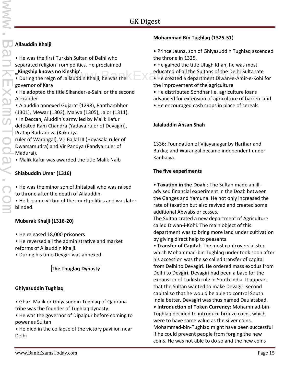#### **Allauddin Khalji**

- He was the first Turkish Sultan of Delhi who separated religion from politics. He proclaimed
- ‗**Kingship knows no Kinship'**.
- During the reign of Jallauddin Khalji, he was the governor of Kara
- He adopted the title Sikander-e-Saini or the second Alexander
- Alauddin annexed Gujarat (1298), Ranthambhor (1301), Mewar (1303), Malwa (1305), Jalor (1311).
- In Deccan, Aluddin's army led by Malik Kafur defeated Ram Chandra (Yadava ruler of Devagiri), Pratap Rudradeva (Kakatiya
- ruler of Warangal), Vir Ballal III (Hoyasala ruler of Dwarsamudra) and Vir Pandya (Pandya ruler of Madurai).
- Malik Kafur was awarded the title Malik Naib

#### **Shiabuddin Umar (1316)**

- He was the minor son of Jhitaipali who was raised to throne after the death of Allauddin.
- He became victim of the court politics and was later blinded.

#### **Mubarak Khalji (1316-20)**

- He released 18,000 prisoners
- He reversed all the administrative and market reforms of Allauddin Khalji.
- During his time Devgiri was annexed.

#### **The Thuglaq Dynasty**

#### **Ghiyasuddin Tughlaq**

- Ghazi Malik or Ghiyasuddin Tughlaq of Qaurana tribe was the founder of Tughlaq dynasty.
- He was the governor of Dipalpur before coming to power as Sultan
- He died in the collapse of the victory pavilion near Delhi

#### **Mohammad Bin Tughlaq (1325-51)**

- Prince Jauna, son of Ghiyasuddin Tughlaq ascended the throne in 1325.
- He gained the title Ulugh Khan, he was most
- nship'.<br>Illauddin Khalji, he was the **Witter and Contract of all the Sultans of the Delhi Sultanate**<br>References a department Diwan-e-Amir-e-Kohi for • He created a department Diwan-e-Amir-e-Kohi for the improvement of the agriculture
	- He distributed Sondhar i.e. agriculture loans advanced for extension of agriculture of barren land
	- He encouraged cash crops in place of cereals

#### **Jalaluddin Ahsan Shah**

1336: Foundation of Vijayanagar by Harihar and Bukka; and Warangal became independent under Kanhaiya.

#### **The five experiments**

• **Taxation in the Doab** : The Sultan made an ill advised financial experiment in the Doab between the Ganges and Yamuna. He not only increased the rate of taxation but also revived and created some additional Abwabs or cesses.

The Sultan crated a new department of Agriculture called Diwan-i-Kohi. The main object of this department was to bring more land under cultivation by giving direct help to peasants.

• **Transfer of Capital**: The most controversial step which Mohammad-bin Tughlaq under took soon after his accession was the so called transfer of capital from Delhi to Devagiri. He ordered mass exodus from Delhi to Devgiri. Devagiri had been a base for the expansion of Turkish rule in South India. It appears that the Sultan wanted to make Devagiri second capital so that he would be able to control South India better. Devagiri was thus named Daulatabad.

**• Introduction of Token Currency:** Mohammad-bin- Tughlaq decided to introduce bronze coins, which were to have same value as the silver coins. Mohammad-bin-Tughlaq might have been successful if he could prevent people from forging the new coins. He was not able to do so and the new coins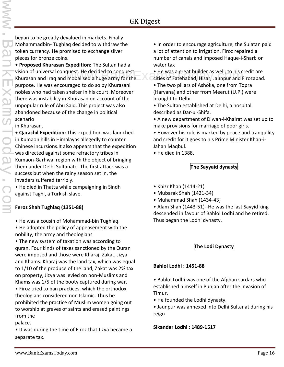began to be greatly devalued in markets. Finally Mohammadbin- Tughlaq decided to withdraw the token currency. He promised to exchange silver pieces for bronze coins.

**• Proposed Khurasan Expedition:** The Sultan had a vision of universal conquest. He decided to conquest Khurasan and Iraq and mobalised a huge army for the purpose. He was encouraged to do so by Khurasani nobles who had taken shelter in his court. Moreover there was instability in Khurasan on account of the unpopular rule of Abu Said. This project was also abandoned because of the change in political scenario

in Khurasan.

**• Qarachil Expedition:** This expedition was launched in Kumaon hills in Himalayas allegedly to counter Chinese incursions.It also appears that the expedition was directed against some refractory tribes in Kumaon-Garhwal region with the object of bringing them under Delhi Sultanate. The first attack was a success but when the rainy season set in, the invaders suffered terribly.

• He died in Thatta while campaigning in Sindh against Taghi, a Turkish slave.

#### **Feroz Shah Tughlaq (1351-88)**

• He was a cousin of Mohammad-bin Tughlaq.

• He adopted the policy of appeasement with the nobility, the army and theologians

• The new system of taxation was according to quran. Four kinds of taxes sanctioned by the Quran were imposed and those were Kharaj, Zakat, Jizya and Khams. Kharaj was the land tax, which was equal to 1/10 of the produce of the land, Zakat was 2% tax on property, Jizya was levied on non-Muslims and Khams was 1/5 of the booty captured during war.

• Firoz tried to ban practices, which the orthodox theologians considered non Islamic. Thus he prohibited the practice of Muslim women going out to worship at graves of saints and erased paintings from the

palace.

• It was during the time of Firoz that Jizya became a separate tax.

• In order to encourage agriculture, the Sulatan paid a lot of attention to irrigation. Firoz repaired a number of canals and imposed Haque-i-Sharb or water tax

quest. He decided to conquest **the set of the was a great builder as well**; to his credit are<br>mobalised a huge army for the cities of Fatehabad, Hisar, Jaunpur and Firozabad. cities of Fatehabad, Hisar, Jaunpur and Firozabad.

• The two pillars of Ashoka, one from Topra (Haryana) and other from Meerut (U.P.) were brought to Delhi.

• The Sultan established at Delhi, a hospital described as Dar-ul-Shifa.

• A new department of Diwan-i-Khairat was set up to make provisions for marriage of poor girls.

• However his rule is marked by peace and tranquility and credit for it goes to his Prime Minister Khan-i- Jahan Maqbul.

• He died in 1388.

#### **The Sayyaid dynasty**

- Khizr Khan (1414-21)
- Mubarak Shah (1421-34)
- Muhammad Shah (1434-43)

• Alam Shah (1443-51)--He was the last Sayyid king descended in favour of Bahlol Lodhi and he retired. Thus began the Lodhi dynasty.

**The Lodi Dynasty**

#### **Bahlol Lodhi : 1451-88**

• Bahlol Lodhi was one of the Afghan sardars who established himself in Punjab after the invasion of Timur.

• He founded the Lodhi dynasty.

• Jaunpur was annexed into Delhi Sultanat during his reign

**Sikandar Lodhi : 1489-1517**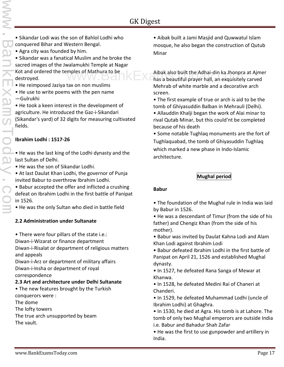- Sikandar Lodi was the son of Bahlol Lodhi who conquered Bihar and Western Bengal.
- Agra city was founded by him.

• Sikandar was a fanatical Muslim and he broke the sacred images of the Jwalamukhi Temple at Nagar Kot and ordered the temples of Mathura to be destroyed.

- He reimposed Jaziya tax on non muslims
- He use to write poems with the pen name ―Gulrukhi‖

• He took a keen interest in the development of agriculture. He introduced the Gaz-i-Sikandari (Sikandar's yard) of 32 digits for measuring cultivated fields.

#### **Ibrahim Lodhi : 1517-26**

- He was the last king of the Lodhi dynasty and the last Sultan of Delhi.
- He was the son of Sikandar Lodhi.
- At last Daulat Khan Lodhi, the governor of Punja invited Babur to overthrow Ibrahim Lodhi.
- Babur accepted the offer and inflicted a crushing defeat on Ibrahim Lodhi in the first battle of Panipat in 1526.
- He was the only Sultan who died in battle field

#### **2.2 Administration under Sultanate**

• There were four pillars of the state i.e.: Diwan-i-Wizarat or finance department Diwan-i-Risalat or department of religious matters and appeals

Diwan-i-Arz or department of military affairs Diwan-i-Insha or department of royal correspondence

#### **2.3 Art and architecture under Delhi Sultanate**

- The new features brought by the Turkish conquerors were :
- The dome
- The lofty towers
- The true arch unsupported by beam The vault.

• Aibak built a Jami Masjid and Quwwatul Islam mosque, he also began the construction of Qutub Minar

- Aibak also built the Adhai-din ka Jhonpra at Ajmer mples of Mathura to be<br>Albak also built the Adhai-din ka Jhonpra at Ajmer<br>Thas a beautiful prayer hall, an exquisitely carved Mehrab of white marble and a decorative arch screen.
	- The first example of true or arch is aid to be the tomb of Ghiyasuddin Balban in Mehrauli (Delhi).
	- Allauddin Khalji began the work of Alai minar to rival Qutab Minar, but this could'nt be completed because of his death
	- Some notable Tughlaq monuments are the fort of Tughlaquabad, the tomb of Ghiyasuddin Tughlaq which marked a new phase in Indo-Islamic architecture.

#### **Mughal period**

#### **Babur**

- The foundation of the Mughal rule in India was laid by Babur in 1526.
- He was a descendant of Timur (from the side of his father) and Chengiz Khan (from the side of his mother).
- Babur was invited by Daulat Kahna Lodi and Alam Khan Lodi against Ibrahim Lodi
- Babur defeated Ibrahim Lodhi in the first battle of Panipat on April 21, 1526 and established Mughal dynasty.
- In 1527, he defeated Rana Sanga of Mewar at Khanwa.
- In 1528, he defeated Medini Rai of Chaneri at Chanderi.
- In 1529, he defeated Muhammad Lodhi (uncle of Ibrahim Lodhi) at Ghaghra.
- In 1530, he died at Agra. His tomb is at Lahore. The tomb of only two Mughal emperors are outside India i.e. Babur and Bahadur Shah Zafar
- He was the first to use gunpowder and artillery in India.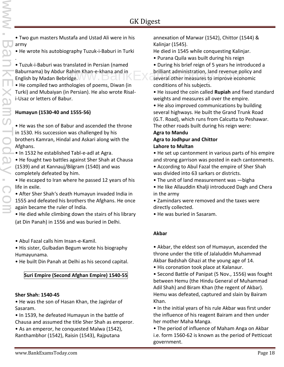• Two gun masters Mustafa and Ustad Ali were in his army

• He wrote his autobiography Tuzuk-i-Baburi in Turki

.• Tuzuk-i-Baburi was translated in Persian (named Baburnama) by Abdur Rahim Khan-e-khana and in English by Madan Bebridge.

• He compiled two anthologies of poems, Diwan (in Turki) and Mubaiyan (in Persian). He also wrote Risali-Usaz or letters of Babur.

#### **Humayun (1530-40 and 1555-56)**

• He was the son of Babur and ascended the throne in 1530. His succession was challenged by his brothers Kamran, Hindal and Askari along with the Afghans.

• In 1532 he established Tabl-e-adl at Agra.

• He fought two battles against Sher Shah at Chausa (1539) and at Kannauj/Bilgram (1540) and was completely defeated by him.

• He escaped to Iran where he passed 12 years of his life in exile.

• After Sher Shah's death Humayun invaded India in 1555 and defeated his brothers the Afghans. He once again became the ruler of India.

• He died while climbing down the stairs of his library (at Din Panah) in 1556 and was buried in Delhi.

- Abul Fazal calls him Insan-e-Kamil.
- His sister, Gulbadan Begum wrote his biography Humayunama.
- He built Din Panah at Delhi as his second capital.

#### **Suri Empire (Second Afghan Empire) 1540-55**

#### **Sher Shah: 1540-45**

• He was the son of Hasan Khan, the Jagirdar of Sasaram.

- In 1539, he defeated Humayun in the battle of Chausa and assumed the title Sher Shah as emperor.
- As an emperor, he conquested Malwa (1542), Ranthambhor (1542), Raisin (1543), Rajputana

annexation of Marwar (1542), Chittor (1544) & Kalinjar (1545).

He died in 1545 while conquesting Kalinjar.

- Purana Quila was built during his reign
- During his brief reign of 5 years he introduced a Rahim Khan-e-khana and in **the brilliant administration, land revenue policy and**<br>idge. several other measures to improve economic conditions of his subjects.

• He issued the coin called **Rupiah** and fixed standard weights and measures all over the empire.

• He also improved communications by building several highways. He built the Grand Trunk Road (G.T. Road), which runs from Calcutta to Peshawar. The other roads built during his reign were:

#### **Agra to Mandu Agra to Jodhpur and Chittor Lahore to Multan**

• He set up cantonment in various parts of his empire and strong garrison was posted in each cantonments.

• According to Abul Fazal the empire of Sher Shah was divided into 63 sarkars or districts.

- The unit of land measurement was —bigha
- He like Allauddin Khalji introduced Dagh and Chera in the army
- Zamindars were removed and the taxes were directly collected.
- He was buried in Sasaram.

#### **Akbar**

• Akbar, the eldest son of Humayun, ascended the throne under the title of Jalaluddin Muhammad Akbar Badshah Ghazi at the young age of 14.

• His coronation took place at Kalanaur.

• Second Battle of Panipat (5 Nov., 1556) was fought between Hemu (the Hindu General of Muhammad Adil Shah) and Biram Khan (the regent of Akbar). Hemu was defeated, captured and slain by Bairam Khan.

• In the initial years of his rule Akbar was first under the influence of his reagent Bairam and then under her mother Maha Manga.

• The period of influence of Maham Anga on Akbar i.e. form 1560-62 is known as the period of Petticoat government.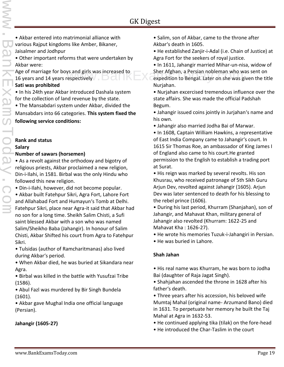• Akbar entered into matrimonial alliance with various Rajput kingdoms like Amber, Bikaner, Jaisalmer and Jodhpur

• Other important reforms that were undertaken by Akbar were:

Age of marriage for boys and girls was increased to 16 years and 14 years respectively

#### **Sati was prohibited**

• In his 24th year Akbar introduced Dashala system for the collection of land revenue by the state.

• The Mansabdari system under Akbar, divided the

Mansabdars into 66 categories. **This system fixed the following service conditions:**

#### **Rank and status**

# **Salary** www.BankExamsToday.com

#### **Number of sawars (horsemen)**

• As a revolt against the orthodoxy and bigotry of religious priests, Akbar proclaimed a new religion, Din-i-Ilahi, in 1581. Birbal was the only Hindu who followed this new religion.

• Din-i-Ilahi, however, did not become popular.

• Akbar built Fatehpur Sikri, Agra Fort, Lahore Fort and Allahabad Fort and Humayun's Tomb at Delhi. Fatehpur Sikri, place near Agra-it said that Akbar had no son for a long time. Sheikh Salim Chisti, a Sufi saint blessed Akbar with a son who was named Salim/Sheikho Baba (Jahangir). In honour of Salim Chisti, Akbar Shifted his court from Agra to Fatehpur Sikri.

• Tulsidas (author of Ramcharitmanas) also lived during Akbar's period.

• When Akbar died, he was buried at Sikandara near Agra.

• Birbal was killed in the battle with Yusufzai Tribe (1586).

• Abul Fazl was murdered by Bir Singh Bundela (1601).

• Akbar gave Mughal India one official language (Persian).

#### **Jahangir (1605-27)**

• Salim, son of Akbar, came to the throne after Akbar's death in 1605.

• He established Zanjir-i-Adal (i.e. Chain of Justice) at Agra Fort for the seekers of royal justice.

• In 1611, Jahangir married Mihar-un-nisa, widow of Sher Afghan, a Persian nobleman who was sent on ys and girls was increased to Sher Afghan, a Persian nobleman who was sent on<br>espectively expedition to Bengal. Later on she was given the title Nurjahan.

• Nurjahan excercised tremendous influence over the state affairs. She was made the official Padshah Begum.

• Jahangir issued coins jointly in Jurjahan's name and his own.

• Jahangir also married Jodha Bai of Marwar.

• In 1608, Captain William Hawkins, a representative of East India Company came to Jahangir's court. In 1615 Sir Thomas Roe, an ambassador of King James I of England also came to his court.He granted permission to the English to establish a trading port at Surat.

• His reign was marked by several revolts. His son Khusrau, who received patronage of 5th Sikh Guru Arjun Dev, revolted against Jahangir (1605). Arjun Dev was later sentenced to death for his blessing to the rebel prince (1606).

• During his last period, Khurram (Shanjahan), son of Jahangir, and Mahavat Khan, military general of Jahangir also revolted (Khurram: 1622-25 and Mahavat Kha : 1626-27).

• He wrote his memories Tuzuk-i-Jahangiri in Persian.

• He was buried in Lahore.

#### **Shah Jahan**

• His real name was Khurram, he was born to Jodha Bai (daughter of Raja Jagat Singh).

• Shahjahan ascended the throne in 1628 after his father's death.

• Three years after his accession, his beloved wife Mumtaj Mahal (original name- Arzumand Bano) died in 1631. To perpetuate her memory he built the Taj Mahal at Agra in 1632-53.

• He continued applying tika (tilak) on the fore-head

• He introduced the Char-Taslim in the court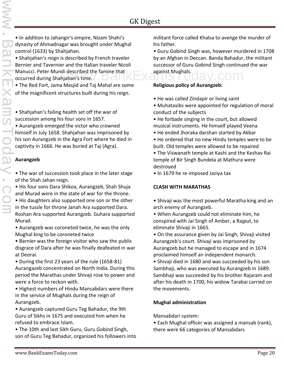• In addition to Jahangir's empire, Nizam Shahi's dynasty of Ahmadnagar was brought under Mughal control (1633) by Shahjahan.

• Shahjahan's reign is described by French traveler Bernier and Tavernier and the Italian traveler Nicoli Manucci. Peter Mundi described the famine that  $\mathbb{E}$   $\mathbb{E}$  against Mughals. COM occurred during Shahjahan's time.

• The Red Fort, Jama Masjid and Taj Mahal are some of the magnificent structures built during his reign.

• Shahjahan's failing health set off the war of succession among his four sons in 1657.

• Aurangzeb emerged the victor who crowned himself in July 1658. Shahjahan was imprisoned by his son Aurangzeb in the Agra Fort where he died in captivity in 1666. He was buried at Taj (Agra).

#### **Aurangzeb**

• The war of succession took place in the later stage of the Shah Jahan reign.

• His four sons Dara Shikoa, Aurangzeb, Shah Shuja and Murad were in the state of war for the throne.

• His daughters also supported one son or the other in the tussle for throne Janah Ara supported Dara. Roshan Ara supported Aurangzeb. Guhara supported Murad.

• Aurangzeb was coroneted twice, he was the only Mughal king to be coroneted twice

• Barnier was the foreign visitor who saw the public disgrace of Dara after he was finally deafeated in war at Deorai.

• During the first 23 years of the rule (1658-81) Aurangazeb concentrated on North India. During this period the Marathas under Shivaji rose to power and were a force to reckon with.

• Highest numbers of Hindu Mansabdars were there in the service of Mughals during the reign of Aurangzeb.

• Aurangzeb captured Guru Teg Bahadur, the 9th Guru of Sikhs in 1675 and executed him when he refused to embrace Islam.

• The 10th and last Sikh Guru, Guru Gobind Singh, son of Guru Teg Bahadur, organized his followers into militant force called Khalsa to avenge the murder of his father.

• Guru Gobind Singh was, however murdered in 1708 by an Afghan in Deccan. Banda Bahadur, the militant successor of Guru Gobind Singh continued the war against Mughals.

**Religious policy of Aurangzeb:**

- He was called Zindapir or living saint
- Muhatasibs were appointed for regulation of moral conduct of the subjects
- He forbade singing in the court, but allowed musical instruments. He himself played Veena
- He ended Jhoraka darshan started by Akbar
- He ordered that no new Hindu temples were to be built. Old temples were allowed to be repaired

• The Viswanath temple at Kashi and the Keshav Rai temple of Bir Singh Bundela at Mathura were destroyed

• In 1679 he re-imposed Jaziya tax

#### **CLASH WITH MARATHAS**

• Shivaji was the most powerful Maratha king and an arch enemy of Aurangzeb.

• When Aurangzeb could not eliminate him, he conspired with Jai Singh of Amber, a Rajput, to eliminate Shivaji in 1665.

• On the assurance given by Jai Singh, Shivaji visited Aurangzeb's court. Shivaji was imprisoned by Aurangzeb but he managed to escape and in 1674 proclaimed himself an independent monarch.

• Shivaji died in 1680 and was succeeded by his son Sambhaji, who was executed by Aurangzeb in 1689. Sambhaji was succeeded by his brother Rajaram and after his death in 1700, his widow Tarabai carried on the movements.

#### **Mughal administration**

Mansabdari system:

• Each Mughal officer was assigned a mansab (rank), there were 66 categories of Mansabdars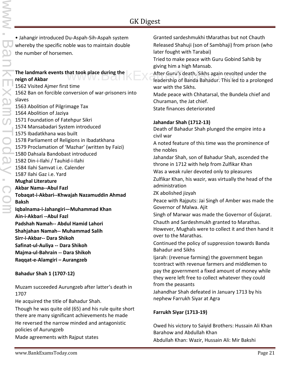• Jahangir introduced Du-Aspah-Sih-Aspah system whereby the specific noble was to maintain double the number of horsemen.

#### **The landmark events that took place during the reign of Akbar**

1562 Visited Ajmer first time 1562 Ban on forcible conversion of war-prisoners into slaves 1563 Abolition of Pilgrimage Tax 1564 Abolition of Jaziya 1571 Foundation of Fatehpur Sikri 1574 Mansabadari System introduced 1575 Ibadatkhana was built 1578 Parliament of Religions in Ibadatkhana 1579 Proclamation of 'Mazhar' (written by Faizi) 1580 Dahsala Bandobast introduced 1582 Din-i-Ilahi / Tauhid-i-Ilahi 1584 Ilahi Samvat i.e. Calender 1587 Ilahi Gaz i.e. Yard **Mughal Literature Akbar Nama--Abul Fazl Tobaqat-i-Akbari--Khwajah Nazamuddin Ahmad Baksh Iqbalnama-i-Jahangiri—Muhammad Khan Ain-i-Akbari --Abul Fazl Padshah Namah-- Abdul Hamid Lahori Shahjahan Namah-- Muhammad Salih Sirr-i-Akbar-- Dara Shikoh Safinat-ul-Auliya -- Dara Shikoh Majma-ul-Bahrain -- Dara Shikoh Raqqat-e-Alamgiri – Aurangzeb**

#### **Bahadur Shah 1 (1707-12)**

Muzam succeeded Aurungzeb after latter's death in 1707

He acquired the title of Bahadur Shah.

Though he was quite old (65) and his rule quite short there are many significant achievements he made He reversed the narrow minded and antagonistic policies of Aurungzeb Made agreements with Rajput states

Granted sardeshmukhi tMarathas but not Chauth Released Shahuji (son of Sambhaji) from prison (who later fought with Tarabai)

Tried to make peace with Guru Gobind Sahib by giving him a high Mansab.

hat took place during the **After Guru's death, Sikhs again revolted under the**<br>Rankin of Banda Bahadur. This led to a prolonged leadership of Banda Bahadur. This led to a prolonged war with the Sikhs.

> Made peace with Chhatarsal, the Bundela chief and Churaman, the Jat chief.

State finances deteriorated

#### **Jahandar Shah (1712-13)**

Death of Bahadur Shah plunged the empire into a civil war

A noted feature of this time was the prominence of the nobles

Jahandar Shah, son of Bahadur Shah, ascended the throne in 1712 with help from Zulfikar Khan

Was a weak ruler devoted only to pleasures

Zulfikar Khan, his wazir, was virtually the head of the administration

ZK abolished jizyah

Peace with Rajputs: Jai Singh of Amber was made the Governor of Malwa. Ajit

Singh of Marwar was made the Governor of Gujarat.

Chauth and Sardeshmukh granted to Marathas.

However, Mughals were to collect it and then hand it over to the Marathas.

Continued the policy of suppression towards Banda Bahadur and Sikhs

Ijarah: (revenue farming) the government began tcontract with revenue farmers and middlemen to pay the government a fixed amount of money while they were left free to collect whatever they could from the peasants

Jahandhar Shah defeated in January 1713 by his nephew Farrukh Siyar at Agra

#### **Farrukh Siyar (1713-19)**

Owed his victory to Saiyid Brothers: Hussain Ali Khan Barahow and Abdullah Khan Abdullah Khan: Wazir, Hussain Ali: Mir Bakshi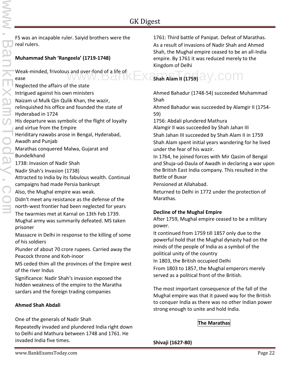FS was an incapable ruler. Saiyid brothers were the real rulers.

#### **Muhammad Shah 'Rangeela' (1719-1748)**

Weak-minded, frivolous and over-fond of a life of ease

Neglected the affairs of the state Intrigued against his own ministers Naizam ul Mulk Qin Qulik Khan, the wazir, relinquished his office and founded the state of Hyderabad in 1724 His departure was symbolic of the flight of loyalty and virtue from the Empire Heriditary nawabs arose in Bengal, Hyderabad, Awadh and Punjab Marathas conquered Malwa, Gujarat and Bundelkhand 1738: Invasion of Nadir Shah Nadir Shah's Invasion (1738) Attracted to India by its fabulous wealth. Continual campaigns had made Persia bankrupt Also, the Mughal empire was weak. Didn't meet any resistance as the defense of the north-west frontier had been neglected for years The twarmies met at Karnal on 13th Feb 1739.

Mughal army was summarily defeated. MS taken prisoner

Massacre in Delhi in response to the killing of some of his soldiers

Plunder of about 70 crore rupees. Carried away the Peacock throne and Koh-inoor

MS ceded thim all the provinces of the Empire west of the river Indus

Significance: Nadir Shah's invasion exposed the hidden weakness of the empire to the Maratha sardars and the foreign trading companies

#### **Ahmed Shah Abdali**

One of the generals of Nadir Shah

Repeatedly invaded and plundered India right down to Delhi and Mathura between 1748 and 1761. He invaded India five times.

1761: Third battle of Panipat. Defeat of Marathas. As a result of invasions of Nadir Shah and Ahmed Shah, the Mughal empire ceased to be an all-India empire. By 1761 it was reduced merely to the Kingdom of Delhi

# **Shah Alam II (1759)** and over-fond of a life of **EXAM** COMPLETED Shah Alam II (1759) and **Shah Alam II**

Ahmed Bahadur (1748-54) succeeded Muhammad Shah

Ahmed Bahadur was succeeded by Alamgir II (1754- 59)

1756: Abdali plundered Mathura

Alamgir II was succeeded by Shah Jahan III

Shah Jahan III succeeded by Shah Alam II in 1759 Shah Alam spent initial years wandering for he lived under the fear of his wazir.

In 1764, he joined forces with Mir Qasim of Bengal and Shuja-ud-Daula of Awadh in declaring a war upon the British East India company. This resulted in the Battle of Buxar

Pensioned at Allahabad.

Returned to Delhi in 1772 under the protection of Marathas.

#### **Decline of the Mughal Empire**

After 1759, Mughal empire ceased to be a military power.

It continued from 1759 till 1857 only due to the powerful hold that the Mughal dynasty had on the minds of the people of India as a symbol of the political unity of the country

In 1803, the British occupied Delhi

From 1803 to 1857, the Mughal emperors merely served as a political front of the British.

The most important consequence of the fall of the Mughal empire was that it paved way for the British to conquer India as there was no other Indian power strong enough to unite and hold India.

#### **The Marathas**

**Shivaji (1627-80)**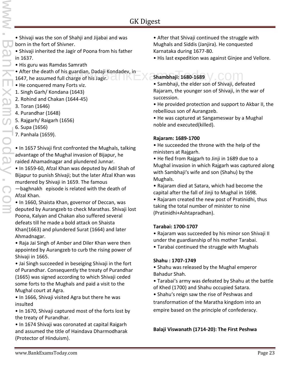- Shivaji was the son of Shahji and Jijabai and was born in the fort of Shivner.
- Shivaji inherited the Jagir of Poona from his father in 1637.
- His guru was Ramdas Samrath
- After the death of his guardian, Dadaji Kondadev, in 1647, he assumed full charge of his Jagir. version and Shambhaji: 1680-1689<br>Compare of his Jagir.
- He conquered many Forts viz.
- 1. Singh Garh/ Kondana (1643)
- 2. Rohind and Chakan (1644-45)
- 3. Toran (1646)
- 4. Purandhar (1648)
- 5. Rajgarh/ Raigarh (1656)
- 6. Supa (1656)
- 7. Panhala (1659).

• In 1657 Shivaji first confronted the Mughals, talking advantage of the Mughal invasion of Bijapur, he raided Ahamadnagar and plundered Junnar.

• In 1659-60, Afzal Khan was deputed by Adil Shah of Bijapur to punish Shivaji; but the later Afzal Khan was murdered by Shivaji in 1659. The famous

―baghnakh‖ episode is related with the death of Afzal Khan.

• In 1660, Shaista Khan, governor of Deccan, was deputed by Aurangzeb to check Marathas. Shivaji lost Poona, Kalyan and Chakan also suffered several defeats till he made a bold attack on Shaista Khan(1663) and plundered Surat (1664) and later Ahmadnagar.

• Raja Jai Singh of Amber and Diler Khan were then appointed by Aurangzeb to curb the rising power of Shivaji in 1665.

• Jai Singh succeeded in beseiging Shivaji in the fort of Purandhar. Consequently the treaty of Purandhar (1665) was signed according to which Shivaji ceded some forts to the Mughals and paid a visit to the Mughal court at Agra.

• In 1666, Shivaji visited Agra but there he was insulted

• In 1670, Shivaji captured most of the forts lost by the treaty of Purandhar.

• In 1674 Shivaji was coronated at capital Raigarh and assumed the title of Haindava Dharmodharak (Protector of Hinduism).

• His last expedition was against Ginjee and Vellore.

• Sambhaji, the elder son of Shivaji, defeated Rajaram, the younger son of Shivaji, in the war of succession.

• He provided protection and support to Akbar II, the rebellious son of Aurangzeb.

• He was captured at Sangameswar by a Mughal noble and executed(killed).

#### **Rajaram: 1689-1700**

• He succeeded the throne with the help of the ministers at Rajgarh.

• He fled from Rajgarh to Jinji in 1689 due to a Mughal invasion in which Rajgarh was captured along with Sambhaji's wife and son (Shahu) by the Mughals.

• Rajaram died at Satara, which had become the capital after the fall of Jinji to Mughal in 1698.

• Rajaram created the new post of Pratinidhi, thus taking the total number of minister to nine (Pratinidhi+Ashtapradhan).

#### **Tarabai: 1700-1707**

• Rajaram was succeeded by his minor son Shivaji II under the guardianship of his mother Tarabai.

• Tarabai continued the struggle with Mughals

#### **Shahu : 1707-1749**

• Shahu was released by the Mughal emperor Bahadur Shah.

- Tarabai's army was defeated by Shahu at the battle of Khed (1700) and Shahu occupied Satara.
- Shahu's reign saw the rise of Peshwas and transformation of the Maratha kingdom into an empire based on the principle of confederacy.

**Balaji Viswanath (1714-20): The First Peshwa**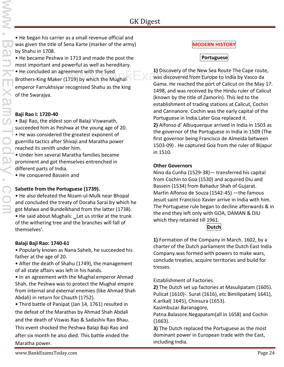• He began his carrier as a small revenue official and was given the title of Sena Karte (marker of the army) by Shahu in 1708.

• He became Peshwa in 1713 and made the post the most important and powerful as well as hereditary.

• He concluded an agreement with the Syed Brothers-King Maker (1719) by which the Mughal emperor Farrukhsiyar recognised Shahu as the king of the Swarajya.

#### **Baji Rao I: 1720-40**

• Baji Rao, the eldest son of Balaji Viswanath, succeeded him as Peshwa at the young age of 20. • He was considered the greatest exponent of guerrilla tactics after Shivaji and Maratha power

reached its zenith under him. • Under him several Maratha families became prominent and got themselves entrenched in different parts of India.

• He conquered Bassein and

#### **Salsette from the Portuguese (1739).**

• He also defeated the Nizam-ul-Mulk near Bhopal and concluded the treaty of Doraha Sarai by which he got Malwa and Bundelkhand from the latter (1738).

• He said about Mughals: Let us strike at the trunk of the withering tree and the branches will fall of themselves'.

#### **Balaji Baji Rao: 1740-61**

• Popularly known as Nana Saheb, he succeeded his father at the age of 20.

• After the death of Shahu (1749), the management of all state affairs was left in his hands.

• In an agreement with the Mughal emperor Ahmad Shah, the Peshwa was to protect the Mughal empire from internal and external enemies (like Ahmad Shah Abdali) in return for Chauth (1752).

• Third battle of Panipat (Jan 14, 1761) resulted in the defeat of the Marathas by Ahmad Shah Abdali and the death of Viswas Rao & Sadashiv Rao Bhau. This event shocked the Peshwa Balaji Baji Rao and after six month he also died. This battle ended the Maratha power.

#### **MODERN HISTORY**

#### **Portuguese**

**1)** Discovery of the New Sea Route The Cape route, ement with the Syed<br>
The Was discovered from Europe to India by Vasco da<br>
Was discovered from Europe to India by Vasco da Gama. He reached the port of Calicut on the May 17. 1498, and was received by the Hindu ruler of Calicut (known by the title of Zamorin). This led to the establishment of trading stations at Calicut, Cochin and Cannanore. Cochin was the early capital of the Portuguese in India.Later Goa replaced it.

> **2)** Alfonso d' Albuquerque arrived in India in 1503 as the governor of the Portuguese in India in 1509 (The first governor being Francisco de Almeida between 1503-09) . He captured Goa from the ruler of Bijapur in 1510.

#### **Other Governors**

Nino da Cunha (1529-38)— transferred his capital from Cochin to Goa (1530) and acquired Diu and Bassein (1534) from Bahadur Shah of Gujarat. Martin Alfonso de Souza (1542-45) —the famous Jesuit saint Francisco Xavier arrive in India with him. The Portuguese rule began to decline afterwards & in the end they left only with GOA, DAMAN & DIU which they retained till 1961.

#### **Dutch**

**1)** Formation of the Company in March. 1602, by a charter of the Dutch parliament the Dutch East India Company.was formed with powers to make wars, conclude treaties, acquire territories and build for tresses.

Establishment of Factories

**2)** The Dutch set up factories at Masulipatam (1605). Pulicat (1610)-. Surat (1616), etc Bimilipatam( 1641), K.arikal( 1645), Chinsura (1653).

Kasimbuzar.Baranagore,

Patna.Balasore.Negapatam(all in 1658) and Cochin (1663).

**3)** The Dutch replaced the Portuguese as the most dominant power in European trade with the East, including India.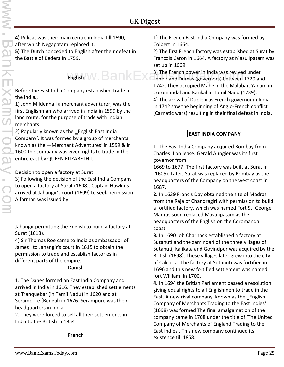**4)** Pulicat was their main centre in India till 1690, after which Negapatam replaced it. **5)** The Dutch conceded to English after their defeat in the Battle of Bedera in 1759.

Before the East India Company established trade in the India.,

1) John Mildenhall a merchant adventurer, was the first Englishman who arrived in India in 1599 by the land route, for the purpose of trade with Indian merchants.

2) Popularly known as the \_English East India Company'. It was formed by a group of merchants known as the ―Merchant Adventures' in 1599 & in 1600 the company was given rights to trade in the entire east by QUEEN ELIZABETH I.

Decision to open a factory at Surat

3) Following the decision of the East India Company to open a factory at Surat (1608). Captain Hawkins arrived at Jahangir's court (1609) to seek permission. A farman was issued by

Jahangir permitting the English to build a factory at Surat (1613).

4) Sir Thomas Roe came to India as ambassador of James I to Jahangir's court in 1615 to obtain the permission to trade and establish factories in different parts of the empire.

#### **Danish**

1. The Danes formed an East India Company and arrived in India in 1616. They established settlements at Tranquebar (in Tamil Nadu) in 1620 and at Serampore (Bengal) in 1676. Serampore was their headquarters in India.

2. They were forced to sell all their settlements in India to the British in 1854

**French**

1) The French East India Company was formed by Colbert in 1664.

2) The first French factory was established at Surat by Francois Caron in 1664. A factory at Masulipatam was set up in 1669.

English W.BankEx<sup>3)</sup> The French power in India was revived English 3) The French power in India was revived under Lenoir and Dumas (governors) between 1720 and 1742. They occupied Mahe in the Malabar, Yanam in Coromandal and Karikal in Tamil Nadu (1739).

> 4) The arrival of Dupleix as French governor in India in 1742 saw the beginning of Anglo-French conflict (Carnatic wars) resulting in their final defeat in India.

#### **EAST INDIA COMPANY**

1. The East India Company acquired Bombay from Charles II on lease. Gerald Aungier was its first governor from

1669 to 1677. The first factory was built at Surat in (1605). Later, Surat was replaced by Bombay as the headquarters of the Company on the west coast in 1687.

**2.** In 1639 Francis Day obtained the site of Madras from the Raja of Chandragiri with permission to build a fortified factory, which was named Fort St. George. Madras soon replaced Masulipatam as the headquarters of the English on the Coromandal coast.

**3.** In 1690 Job Charnock established a factory at Sutanuti and the zamindari of the three villages of Sutanuti, Kalikata and Govindpur was acquired by the British (1698). These villages later grew into the city of Calcutta. The factory at Sutanuti was fortified in 1696 and this new fortified settlement was named fort William' in 1700.

**4.** In 1694 the British Parliament passed a resolution giving equal rights to all Englishmen to trade in the East. A new rival company, known as the \_English Company of Merchants Trading to the East Indies' (1698) was formed The final amalgamation of the company came in 1708 under the title of 'The United Company of Merchants of England Trading to the East Indies'. This new company continued its existence till 1858.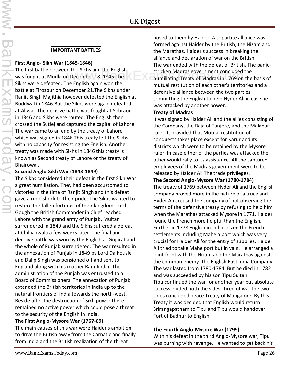#### **IMPORTANT BATTLES**

#### **First Anglo- Sikh War (1845-1846)**

The first battle between the Sikhs and the English was fought at Mudki on December 18, 1845.The Sikhs were defeated. The English again won the battle at Firozpur on December 21.The Sikhs under Ranjit Singh Majithia however defeated the English at Buddwal in 1846.But the Sikhs were again defeated at Aliwal. The decisive battle was fought at Sobraon in 1846 and Sikhs were routed. The English then crossed the Sutlej and captured the capital of Lahore. The war came to an end by the treaty of Lahore which was signed in 1846.This treaty left the Sikhs with no capacity for resisting the English. Another treaty was made with Sikhs in 1846 this treaty is known as Second treaty of Lahore or the treaty of Bhairowal.

#### **Second Anglo-Sikh War (1848-1849)**

The Sikhs considered their defeat in the first Sikh War a great humiliation. They had been accustomed to victories in the time of Ranjit Singh and this defeat gave a rude shock to their pride. The Sikhs wanted to restore the fallen fortunes of their kingdom. Lord Gough the British Commander in Chief reached Lahore with the grand army of Punjab. Multan surrendered in 1849 and the Sikhs suffered a defeat at Chillianwala a few weeks later. The final and decisive battle was won by the English at Gujarat and the whole of Punjab surrendered. The war resulted in the annexation of Punjab in 1849 by Lord Dalhousie and Dalip Singh was pensioned off and sent to England along with his mother Rani Jindan.The administration of the Punjab was entrusted to a Board of Commissioners. The annexation of Punjab extended the British territories in India up to the natural frontiers of India towards the north-west. Beside after the destruction of Sikh power there remained no active power which could pose a threat to the security of the English in India.

#### **The First Anglo-Mysore War (1767-69)**

The main causes of this war were Haider's ambition to drive the British away from the Carnatic and finally from India and the British realization of the threat

posed to them by Haider. A tripartite alliance was formed against Haider by the British, the Nizam and the Marathas. Haider's success in breaking the alliance and declaration of war on the British. The war ended with the defeat of British. The panic n the SIKIS and the English<br>
Stricken Madras government concluded the<br>humiliating Treaty of Madras in 1769 on the basis of humiliating Treaty of Madras in 1769 on the basis of mutual restitution of each other's territories and a defensive alliance between the two parties committing the English to help Hyder Ali in case he was attacked by another power.

#### **Treaty of Madras**

It was signed by Haider Ali and the allies consisting of the Company, the Raja of Tanjore, and the Malabar ruler. It provided that Mutual restitution of conquests takes place except for Karur and its districts which were to be retained by the Mysore ruler. In case either of the parties was attacked the other would rally to its assistance. All the captured employees of the Madras government were to be released by Haider Ali The trade privileges.

**The Second Anglo-Mysore War (1780-1784)**

The treaty of 1769 between Hyder Ali and the English company proved more in the nature of a truce and Hyder Ali accused the company of not observing the terms of the defensive treaty by refusing to help him when the Marathas attacked Mysore in 1771. Haider found the French more helpful than the English. Further in 1778 English in India seized the French settlements including Mahe a port which was very crucial for Haider Ali for the entry of supplies. Haider Ali tried to take Mahe port but in vain. He arranged a joint front with the Nizam and the Marathas against the common enemy -the English East India Company. The war lasted from 1780-1784. But he died in 1782 and was succeeded by his son Tipu Sultan. Tipu continued the war for another year but absolute success eluded both the sides. Tired of war the two sides concluded peace Treaty of Mangalore. By this Treaty it was decided that English would return Srirangapatnam to Tipu and Tipu would handover Fort of Badnur to English.

#### **The Fourth Anglo-Mysore War (1799)**

With his defeat in the third Anglo-Mysore war, Tipu was burning with revenge. He wanted to get back his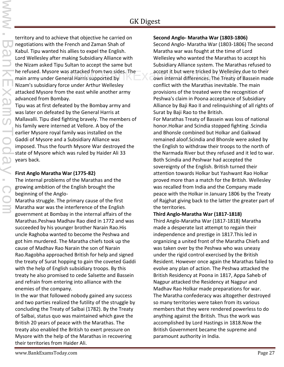territory and to achieve that objective he carried on negotiations with the French and Zaman Shah of Kabul. Tipu wanted his allies to expel the English. Lord Wellesley after making Subsidiary Alliance with the Nizam asked Tipu Sultan to accept the same but he refused. Mysore was attacked from two sides. The main army under General Harris supported by Nizam's subsidiary force under Arthur Wellesley attacked Mysore from the east while another army advanced from Bombay.

Tipu was at first defeated by the Bombay army and was later on defeated by the General Harris at Mallavalli. Tipu died fighting bravely. The members of his family were interned at Vellore. A boy of the earlier Mysore royal family was installed on the Gaddi of Mysore and a Subsidiary Alliance was imposed. Thus the fourth Mysore War destroyed the state of Mysore which was ruled by Haider Ali 33 years back.

#### **First Anglo Maratha War (1775-82)**

The internal problems of the Marathas and the growing ambition of the English brought the beginning of the Anglo-

Maratha struggle. The primary cause of the first Maratha war was the interference of the English government at Bombay in the internal affairs of the Marathas.Peshwa Madhav Rao died in 1772 and was succeeded by his younger brother Narain Rao.His uncle Raghoba wanted to become the Peshwa and got him murdered. The Maratha chiefs took up the cause of Madhav Rao Narain the son of Narain Rao.Ragobha approached British for help and signed the treaty of Surat hopping to gain the coveted Gaddi with the help of English subsidiary troops. By this treaty he also promised to cede Salsette and Bassein and refrain from entering into alliance with the enemies of the company.

In the war that followed nobody gained any success and two parties realized the futility of the struggle by concluding the Treaty of Salbai (1782). By the Treaty of Salbai, status quo was maintained which gave the British 20 years of peace with the Marathas. The treaty also enabled the British to exert pressure on Mysore with the help of the Marathas in recovering their territories from Haider Ali.

#### **Second Anglo- Maratha War (1803-1806)**

Second Anglo- Maratha War (1803-1806) The second Maratha war was fought at the time of Lord Wellesley who wanted the Marathas to accept his Subsidiary Alliance system. The Marathas refused to s attacked from two sides. The exaccept it but were tricked by Wellesley due to their<br>ral Harris supported by exactly some internal differences. The Treaty of Bassein made own internal differences. The Treaty of Bassein made conflict with the Marathas inevitable. The main provisions of the treated were the recognition of Peshwa's claim in Poona acceptance of Subsidiary Alliance by Baji Rao II and relinquishing of all rights of Surat by Baji Rao to the British.

> For Marathas Treaty of Bassein was loss of national honor.Holkar and Scindia stopped fighting .Scindia and Bhonsle combined but Holkar and Gaikwad remained aloof.Scindia and Bhonsle were asked by the English to withdraw their troops to the north of the Narmada River but they refused and it led to war. Both Scindia and Peshwar had accepted the sovereignty of the English. British turned their attention towards Holkar but Yashwant Rao Holkar proved more than a match for the British. Wellesley was recalled from India and the Company made peace with the Holkar in January 1806 by the Treaty of Rajghat giving back to the latter the greater part of the territories.

#### **Third Anglo-Maratha War (1817-1818)**

Third Anglo-Maratha War (1817-1818) Maratha made a desperate last attempt to regain their independence and prestige in 1817.This led in organizing a united front of the Maratha Chiefs and was taken over by the Peshwa who was uneasy under the rigid control exercised by the British Resident. However once again the Marathas failed to evolve any plan of action. The Peshwa attacked the British Residency at Poona in 1817, Appa Saheb of Nagpur attacked the Residency at Nagpur and Madhav Rao Holkar made preparations for war. The Maratha confederacy was altogether destroyed so many territories were taken from its various members that they were rendered powerless to do anything against the British. Thus the work was accomplished by Lord Hastings in 1818.Now the British Government became the supreme and paramount authority in India.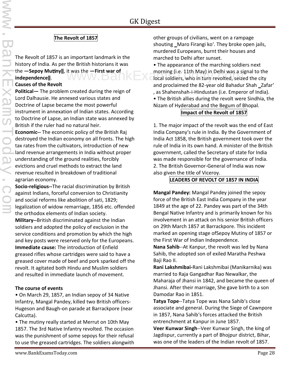#### **The Revolt of 1857**

The Revolt of 1857 is an important landmark in the history of India. As per the British historians it was the **-Sepoy Mutiny**||, it was the **-First war of independence‖**.

#### **Causes of the Revolt**

**Political—** The problem created during the reign of Lord Dalhausie. He annexed various states and Doctrine of Lapse became the most powerful instrument in annexation of Indian states. According to Doctrine of Lapse, an Indian state was annexed by British if the ruler had no natural heir.

**Economic--** The economic policy of the British Raj destroyed the Indian economy on all fronts. The high tax rates from the cultivators, introduction of new land revenue arrangements in India without proper understanding of the ground realities, forcibly evictions and cruel methods to extract the land revenue resulted in breakdown of traditional agrarian economy.

**Socio-religious--**The racial discrimination by British against Indians, forceful conversion to Christianity and social reforms like abolition of sati, 1829; legalization of widow remarriage, 1856 etc. offended the orthodox elements of Indian society. **Military--**British discriminated against the Indian soldiers and adopted the policy of exclusion in the service conditions and promotion by which the high and key posts were reserved only for the Europeans. **Immediate cause:** The introduction of Enfield greased rifles whose cartridges were said to have a greased cover made of beef and pork sparked off the revolt. It agitated both Hindu and Muslim soldiers and resulted in immediate launch of movement.

#### **The course of events**

• On March 29, 1857, an Indian sepoy of 34 Native Infantry, Mangal Pandey, killed two British officers- Hugeson and Baugh-on parade at Barrackpore (near Calcutta).

• The mutiny really started at Merrut on 10th May 1857. The 3rd Native Infantry revolted. The occasion was the punishment of some sepoys for their refusal to use the greased cartridges. The soldiers alongwith other groups of civilians, went on a rampage shouting Maro Firangi ko'. They broke open jails, murdered Europeans, burnt their houses and marched to Delhi after sunset.

• The appearance of the marching soldiers next morning (i.e. 11th May) in Delhi was a signal to the it was the **-First war of** morning (i.e. 11th May) in Delhi was a signal to the dividend of the city discommended to the city and proclaimed the 82-year old Bahadur Shah Zafar' , as Shahenshah-i-Hindustan (i.e. Emperor of India). • The British allies during the revolt were Sindhia, the Nizam of Hyderabad and the Begum of Bhopal.

#### **Impact of the Revolt of 1857**

1. The major impact of the revolt was the end of East India Company's rule in India. By the Government of India Act 1858, the British government took over the rule of India in its own hand. A minister of the British government, called the Secretary of state for India was made responsible for the governance of India. 2. The British Governor-General of India was now also given the title of Viceroy.

#### **LEADERS OF REVOLT OF 1857 IN INDIA**

**Mangal Pandey:** Mangal Pandey joined the sepoy force of the British East India Company in the year 1849 at the age of 22. Pandey was part of the 34th Bengal Native Infantry and is primarily known for his involvement in an attack on his senior British officers on 29th March 1857 at Barrackpore. This incident marked an opening stage ofSepoy Mutiny of 1857 or the First War of Indian Independence.

**Nana Sahib**--At Kanpur, the revolt was led by Nana Sahib, the adopted son of exiled Maratha Peshwa Baji Rao II.

**Rani Lakshmibai-**Rani Lakshmibai (Manikarnika) was married to Raja Gangadhar Rao Newalkar, the Maharaja of Jhansi in 1842, and became the queen of Jhansi. After their marriage, She gave birth to a son Damodar Rao in 1851.

**Tatya Tope**--Tatya Tope was Nana Sahib's close associate and general. During the Siege of Cawnpore in 1857, Nana Sahib's forces attacked the British entrenchment at Kanpur in June 1857.

**Veer Kunwar Singh**--Veer Kunwar Singh, the king of Jagdispur, currently a part of Bhojpur district, Bihar, was one of the leaders of the Indian revolt of 1857.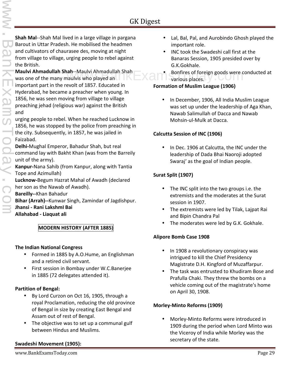**Shah Mal**--Shah Mal lived in a large village in pargana Barout in Uttar Pradesh. He mobilised the headmen and cultivators of chaurasee des, moving at night from village to village, urging people to rebel against the British.

**Maulvi Ahmadullah Shah**--Maulvi Ahmadullah Shah was one of the many maulvis who played an important part in the revolt of 1857. Educated in Hyderabad, he became a preacher when young. In 1856, he was seen moving from village to village preaching jehad (religious war) against the British and

urging people to rebel. When he reached Lucknow in 1856, he was stopped by the police from preaching in the city. Subsequently, in 1857, he was jailed in Faizabad.

**Delhi-**Mughal Emperor, Bahadur Shah, but real command lay with Bakht Khan (was from the Barreily unit of the army).

**Kanpur-**Nana Sahib (from Kanpur, along with Tantia Tope and Azimullah)

**Lucknow-**Begum Hazrat Mahal of Awadh (declared her son as the Nawab of Awadh).

**Bareilly--**Khan Bahadur

**Bihar (Arrah)--**Kunwar Singh, Zamindar of Jagdishpur.

**Jhansi - Rani LakshmI Bai**

**Allahabad - Liaquat ali**

#### **MODERN HISTORY (AFTER 1885)**

#### **The Indian National Congress**

- Formed in 1885 by A.O.Hume, an Englishman and a retired civil servant.
- First session in Bombay under W.C.Banerjee in 1885 (72 delegates attended it).

#### **Partition of Bengal:**

- By Lord Curzon on Oct 16, 1905, through a royal Proclamation, reducing the old province of Bengal in size by creating East Bengal and Assam out of rest of Bengal.
- The objective was to set up a communal gulf between Hindus and Muslims.

#### **Swadeshi Movement (1905):**

- Lal, Bal, Pal, and Aurobindo Ghosh played the important role.
- INC took the Swadeshi call first at the Banaras Session, 1905 presided over by G.K.Gokhale.
- ah--Maulvi Ahmadullah Shah<br>haulvis who played an **Example 2008** Santinus places. various places.

#### **Formation of Muslim League (1906)**

• In December, 1906, All India Muslim League was set up under the leadership of Aga Khan, Nawab Salimullah of Dacca and Nawab Mohsin-ul-Mulk at Dacca.

#### **Calcutta Session of INC (1906)**

 In Dec. 1906 at Calcutta, the INC under the leadership of Dada Bhai Naoroji adopted Swaraj' as the goal of Indian people.

#### **Surat Split (1907)**

- The INC split into the two groups i.e. the extremists and the moderates at the Surat session in 1907.
- The extremists were led by Tilak, Lajpat Rai and Bipin Chandra Pal
- The moderates were led by G.K. Gokhale.

#### **Alipore Bomb Case 1908**

- In 1908 a revolutionary conspiracy was intrigued to kill the Chief Presidency Magistrate D.H. Kingford of Muzaffarpur.
- The task was entrusted to Khudiram Bose and Prafulla Chaki. They threw the bombs on a vehicle coming out of the magistrate's home on April 30, 1908.

#### **Morley-Minto Reforms (1909)**

 Morley-Minto Reforms were introduced in 1909 during the period when Lord Minto was the Viceroy of India while Morley was the secretary of the state.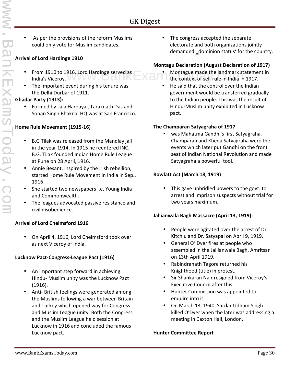As per the provisions of the reform Muslims could only vote for Muslim candidates.

#### **Arrival of Lord Hardinge 1910**

- From 1910 to 1916, Lord Hardinge served as India's Viceroy. **WV WV** DCL
- The important event during his tenure was the Delhi Durbar of 1911.

#### **Ghadar Party (1913):**

 Formed by Lala Hardayal, Taraknath Das and Sohan Singh Bhakna. HQ was at San Francisco.

#### **Home Rule Movement (1915-16)**

- B.G Tilak was released from the Mandlay jail in the year 1914. In 1915 he reentered INC. B.G. Tilak founded Indian Home Rule League at Pune on 28 April, 1916.
- Annie Besant, inspired by the Irish rebellion, started Home Rule Movement in India in Sep., 1916.
- She started two newspapers i.e. Young India and Commonwealth.
- The leagues advocated passive resistance and civil disobedience.

#### **Arrival of Lord Chelmsford 1916**

 On April 4, 1916, Lord Chelmsford took over as next Viceroy of India.

#### **Lucknow Pact-Congress-League Pact (1916)**

- An important step forward in achieving Hindu- Muslim unity was the Lucknow Pact (1916).
- Anti- British feelings were generated among the Muslims following a war between Britain and Turkey which opened way for Congress and Muslim League unity. Both the Congress and the Muslim League held session at Lucknow in 1916 and concluded the famous Lucknow pact.

 The congress accepted the separate electorate and both organizations jointly demanded \_dominion status' for the country.

#### **Montagu Declaration (August Declaration of 1917)**

- 916, Lord Hardinge served as **Montague made the landmark statement in**<br>the context of self rule in India in 1917. the context of self rule in India in 1917.
	- He said that the control over the Indian government would be transferred gradually to the Indian people. This was the result of Hindu-Muslim unity exhibited in Lucknow pact.

#### **The Champaran Satyagraha of 1917**

 was Mahatma Gandhi's first Satyagraha. Champaran and Kheda Satyagraha were the events which later put Gandhi on the front seat of Indian National Revolution and made Satyagraha a powerful tool.

#### **Rowlatt Act (March 18, 1919)**

• This gave unbridled powers to the govt. to arrest and imprison suspects without trial for two years maximum.

#### **Jallianwala Bagh Massacre (April 13, 1919):**

- People were agitated over the arrest of Dr. Kitchlu and Dr. Satyapal on April 9, 1919.
- General O' Dyer fires at people who assembled in the Jallianwala Bagh, Amritsar on 13th April 1919.
- Rabindranath Tagore returned his Knighthood (title) in protest.
- Sir Shankaran Nair resigned from Viceroy's Executive Council after this.
- Hunter Commission was appointed to enquire into it.
- On March 13, 1940, Sardar Udham Singh killed O'Dyer when the later was addressing a meeting in Caxton Hall, London.

#### **Hunter Committee Report**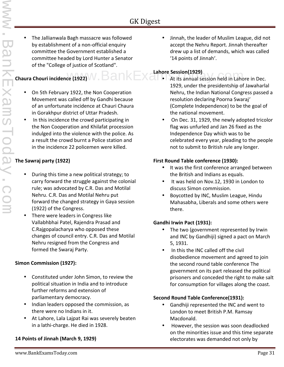The Jallianwala Bagh massacre was followed by establishment of a non-official enquiry committee the Government established a committee headed by Lord Hunter a Senator of the "College of justice of Scotland".

- On 5th February 1922, the Non Cooperation Movement was called off by Gandhi because of an unfortunate incidence at Chauri Chaura in Gorakhpur district of Uttar Pradesh.
- In this incidence the crowd participating in the Non Cooperation and Khilafat procession indulged into the violence with the police. As a result the crowd burnt a Police station and in the incidence 22 policemen were killed.

#### **The Sawraj party (1922)**

- During this time a new political strategy; to carry forward the struggle against the colonial rule; was advocated by C.R. Das and Motilal Nehru. C.R. Das and Motilal Nehru put forward the changed strategy in Gaya session (1922) of the Congress.
- There were leaders in Congress like Vallabhbhai Patel, Rajendra Prasad and C.Rajgopalacharya who opposed these changes of council entry. C.R. Das and Motilal Nehru resigned from the Congress and formed the Swaraj Party.

#### **Simon Commission (1927):**

- Constituted under John Simon, to review the political situation in India and to introduce further reforms and extension of parliamentary democracy.
- Indian leaders opposed the commission, as there were no Indians in it.
- At Lahore, Lala Lajpat Rai was severely beaten in a lathi‐charge. He died in 1928.

#### **14 Points of Jinnah (March 9, 1929)**

 Jinnah, the leader of Muslim League, did not accept the Nehru Report. Jinnah thereafter drew up a list of demands, which was called '14 points of Jinnah'.

#### **Lahore Session(1929)**

- **Chaura Chouri incidence (1922) W** .  $\textbf{B}$  and  $\textbf{k}$   $\textbf{K}$  and  $\textbf{s}$  at its annual session held in Lahc At its annual session held in Lahore in Dec. 1929, under the presidentship of Jawaharlal Nehru, the Indian National Congress passed a resolution declaring Poorna Swaraj' (Complete Independence) to be the goal of the national movement.
	- On Dec. 31, 1929, the newly adopted tricolor flag was unfurled and Jan 26 fixed as the Independence Day which was to be celebrated every year, pleading to the people not to submit to British rule any longer.

#### **First Round Table conference (1930):**

- It was the first conference arranged between the British and Indians as equals.
- It was held on Nov.12, 1930 in London to discuss Simon commission.
- Boycotted by INC, Muslim League, Hindu Mahasabha, Liberals and some others were there.

#### **Gandhi Irwin Pact (1931):**

- The two (government represented by Irwin and INC by Gandhiji) signed a pact on March 5, 1931.
- In this the INC called off the civil disobedience movement and agreed to join the second round table conference The government on its part released the political prisoners and conceded the right to make salt for consumption for villages along the coast.

#### **Second Round Table Conference(1931):**

- Gandhiji represented the INC and went to London to meet British P.M. Ramsay Macdonald.
- However, the session was soon deadlocked on the minorities issue and this time separate electorates was demanded not only by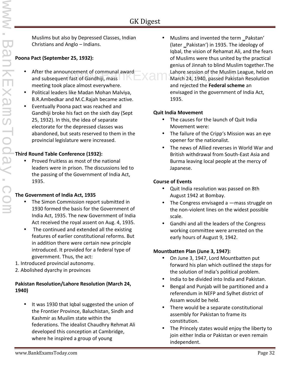Muslims but also by Depressed Classes, Indian Christians and Anglo – Indians.

#### **Poona Pact (September 25, 1932):**

- After the announcement of communal award and subsequent fast of Gandhiji, mass meeting took place almost everywhere.
- Political leaders like Madan Mohan Malviya, B.R.Ambedkar and M.C.Rajah became active.
- Eventually Poona pact was reached and Gandhiji broke his fact on the sixth day (Sept 25, 1932). In this, the idea of separate electorate for the depressed classes was abandoned, but seats reserved to them in the provincial legislature were increased.

#### **Third Round Table Conference (1932):**

• Proved fruitless as most of the national leaders were in prison. The discussions led to the passing of the Government of India Act, 1935.

#### **The Government of India Act, 1935**

- The Simon Commission report submitted in 1930 formed the basis for the Government of India Act, 1935. The new Government of India Act received the royal assent on Aug. 4, 1935.
- The continued and extended all the existing features of earlier constitutional reforms. But in addition there were certain new principle introduced. It provided for a federal type of government. Thus, the act:
- 1. Introduced provincial autonomy.
- 2. Abolished dyarchy in provinces

#### **Pakistan Resolution/Lahore Resolution (March 24, 1940)**

• It was 1930 that Iqbal suggested the union of the Frontier Province, Baluchistan, Sindh and Kashmir as Muslim state within the federations. The idealist Chaudhry Rehmat Ali developed this conception at Cambridge, where he inspired a group of young

Muslims and invented the term \_Pakstan' (later Pakistan') in 1935. The ideology of Iqbal, the vision of Rehamat Ali, and the fears of Muslims were thus united by the practical genius of Jinnah to blind Muslim together.The uncement of communal award<br>  $\blacksquare$  Lahore session of the Muslim League, held on<br>
March 24, 1940, passed Pakistan Resolution March 24, 1940, passed Pakistan Resolution and rejected the **Federal scheme** an envisaged in the government of India Act, 1935.

#### **Quit India Movement**

- The causes for the launch of Quit India Movement were:
- The failure of the Cripp's Mission was an eye opener for the nationalist.
- The news of Allied reverses in World War and British withdrawal from South-East Asia and Burma leaving local people at the mercy of Japanese.

#### **Course of Events**

- Quit India resolution was passed on 8th August 1942 at Bombay.
- The Congress envisaged a —mass struggle on the non-violent lines on the widest possible scale.
- Gandhi and all the leaders of the Congress working committee were arrested on the early hours of August 9, 1942.

#### **Mountbatten Plan (June 3, 1947):**

- On June 3, 1947, Lord Mountbatten put forward his plan which outlined the steps for the solution of India's political problem.
- India to be divided into India and Pakistan.
- Bengal and Punjab will be partitioned and a referendum in NEFP and Sylhet district of Assam would be held.
- There would be a separate constitutional assembly for Pakistan to frame its constitution.
- The Princely states would enjoy the liberty to join either India or Pakistan or even remain independent.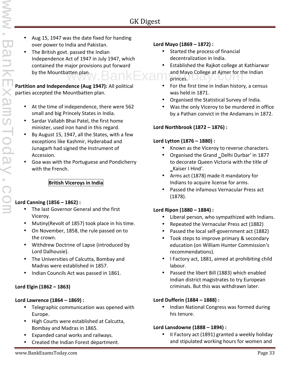- Aug 15, 1947 was the date fixed for handing over power to India and Pakistan.
- The British govt. passed the Indian Independence Act of 1947 in July 1947, which contained the major provisions put forward by the Mountbatten plan.

#### **Partition and Independence (Aug 1947):** All political parties accepted the Mountbatten plan.

- At the time of independence, there were 562 small and big Princely States in India.
- Sardar Vallabh Bhai Patel, the first home minister, used iron hand in this regard.
- By August 15, 1947, all the States, with a few exceptions like Kashmir, Hyderabad and Junagarh had signed the Instrument of Accession.
- Goa was with the Portuguese and Pondicherry with the French.

#### **British Viceroys in India**

#### **Lord Canning (1856 – 1862) :**

- The last Governor General and the first Viceroy.
- Mutiny(Revolt of 1857) took place in his time.
- On November, 1858, the rule passed on to the crown.
- Withdrew Doctrine of Lapse (introduced by Lord Dalhousie).
- The Universities of Calcutta, Bombay and Madras were established in 1857.
- Indian Councils Act was passed in 1861.

#### **Lord Elgin (1862 – 1863)**

#### **Lord Lawrence (1864 – 1869) :**

- Telegraphic communication was opened with Europe.
- High Courts were established at Calcutta, Bombay and Madras in 1865.
- Expanded canal works and railways.
- Created the Indian Forest department.

#### **Lord Mayo (1869 – 1872) :**

- Started the process of financial decentralization in India.
- Established the Rajkot college at Kathiarwar atten plan.<br>  $\blacksquare$   $\blacksquare$   $\blacksquare$   $\blacksquare$   $\blacksquare$   $\blacksquare$   $\blacksquare$  and Mayo College at Ajmer for the Indian princes.
	- For the first time in Indian history, a census was held in 1871.
	- Organised the Statistical Survey of India.
	- Was the only Viceroy to be murdered in office by a Pathan convict in the Andamans in 1872.

#### **Lord Northbrook (1872 – 1876) :**

#### **Lord Lytton (1876 – 1880) :**

- Known as the Viceroy to reverse characters.
- Organised the Grand \_Delhi Durbar' in 1877 to decorate Queen Victoria with the title of ‗Kaiser I Hind'.
- Arms act (1878) made it mandatory for Indians to acquire license for arms.
- Passed the infamous Vernacular Press act (1878).

#### **Lord Ripon (1880 – 1884) :**

- Liberal person, who sympathized with Indians.
- Repeated the Vernacular Press act (1882)
- Passed the local self-government act (1882)
- Took steps to improve primary & secondary education (on William Hunter Commission's recommendations).
- I Factory act, 1881, aimed at prohibiting child labour.
- Passed the libert Bill (1883) which enabled Indian district magistrates to try European criminals. But this was withdrawn later.

#### **Lord Dufferin (1884 – 1888) :**

 Indian National Congress was formed during his tenure.

#### **Lord Lansdowne (1888 – 1894) :**

 II Factory act (1891) granted a weekly holiday and stipulated working hours for women and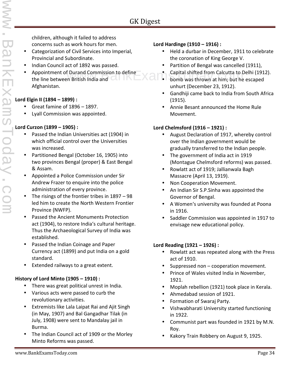children, although it failed to address concerns such as work hours for men.

- Categorization of Civil Services into Imperial, Provincial and Subordinate.
- Indian Council act of 1892 was passed.
- Appointment of Durand Commission to define the line between British India and Afghanistan. f Durand Commission to define<br>
m British India and Commission Capital shifted from Calcutta to Delhi (1912).

#### **Lord Elgin II (1894 – 1899) :**

- Great famine of 1896 1897.
- Lyall Commission was appointed.

#### **Lord Curzon (1899 – 1905) :**

- Passed the Indian Universities act (1904) in which official control over the Universities was increased.
- Partitioned Bengal (October 16, 1905) into two provinces Bengal (proper) & East Bengal & Assam.
- Appointed a Police Commission under Sir Andrew Frazer to enquire into the police administration of every province.
- The risings of the frontier tribes in 1897 98 led him to create the North Western Frontier Province (NWFP).
- Passed the Ancient Monuments Protection act (1904), to restore India's cultural heritage. Thus the Archaeological Survey of India was established.
- Passed the Indian Coinage and Paper Currency act (1899) and put India on a gold standard.
- Extended railways to a great extent.

#### **History of Lord Minto (1905 – 1910) :**

- There was great political unrest in India.
- Various acts were passed to curb the revolutionary activities.
- Extremists like Lala Laipat Rai and Ajit Singh (in May, 1907) and Bal Gangadhar Tilak (in July, 1908) were sent to Mandalay jail in Burma.
- The Indian Council act of 1909 or the Morley Minto Reforms was passed.

#### **Lord Hardinge (1910 – 1916) :**

- Held a durbar in December, 1911 to celebrate the coronation of King George V.
- Partition of Bengal was cancelled (1911),
- Capital shifted from Calcutta to Delhi (1912).
- unhurt (December 23, 1912).
- Gandhiji came back to India from South Africa (1915).
- Annie Besant announced the Home Rule Movement.

#### **Lord Chelmsford (1916 – 1921) :**

- August Declaration of 1917, whereby control over the Indian government would be gradually transferred to the Indian people.
- The government of India act in 1919 (Montague Chelmsford reforms) was passed.
- Rowlatt act of 1919; Jallianwala Bagh Massacre (April 13, 1919).
- Non Cooperation Movement.
- An Indian Sir S.P.Sinha was appointed the Governor of Bengal.
- A Women's university was founded at Poona in 1916.
- Saddler Commission was appointed in 1917 to envisage new educational policy.

#### **Lord Reading (1921 – 1926) :**

- Rowlatt act was repeated along with the Press act of 1910.
- Suppressed non cooperation movement.
- Prince of Wales visited India in November, 1921.
- Moplah rebellion (1921) took place in Kerala.
- Ahmedabad session of 1921.
- Formation of Swaraj Party.
- Vishwabharati University started functioning in 1922.
- Communist part was founded in 1921 by M.N. Roy.
- Kakory Train Robbery on August 9, 1925.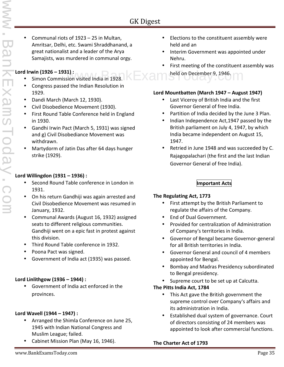Communal riots of 1923 – 25 in Multan, Amritsar, Delhi, etc. Swami Shraddhanand, a great nationalist and a leader of the Arya Samajists, was murdered in communal orgy.

#### **Lord Irwin (1926 – 1931) :**

- Simon Commission visited India in 1928.
- Congress passed the Indian Resolution in 1929.
- Dandi March (March 12, 1930).
- Civil Disobedience Movement (1930).
- First Round Table Conference held in England in 1930.
- Gandhi Irwin Pact (March 5, 1931) was signed and g) Civil Disobediance Movement was withdrawn.
- Martydorm of Jatin Das after 64 days hunger strike (1929).

#### **Lord Willingdon (1931 – 1936) :**

- Second Round Table conference in London in 1931.
- On his return Gandhiji was again arrested and Civil Disobedience Movement was resumed in January, 1932.
- Communal Awards (August 16, 1932) assigned seats to different religious communities. Gandhiji went on a epic fast in protest against this division.
- Third Round Table conference in 1932.
- Poona Pact was signed.
- Government of India act (1935) was passed.

#### **Lord Linlithgow (1936 – 1944) :**

 Government of India act enforced in the provinces.

#### **Lord Wavell (1944 – 1947) :**

- Arranged the Shimla Conference on June 25, 1945 with Indian National Congress and Muslim League; failed.
- Cabinet Mission Plan (May 16, 1946).
- Elections to the constituent assembly were held and an
- Interim Government was appointed under Nehru.
- First meeting of the constituent assembly was
- 1) :  $h$ ion visited India in 1928.  $\mathbb{R}$   $\mathbb{R}$   $\mathbb{R}$  and  $\mathbb{R}$  held on December 9, 1946.

#### **Lord Mountbatten (March 1947 – August 1947)**

- Last Viceroy of British India and the first Governor General of free India.
- Partition of India decided by the June 3 Plan.
- Indian Independence Act, 1947 passed by the British parliament on July 4, 1947, by which India became independent on August 15, 1947.
- Retried in June 1948 and was succeeded by C. Rajagopalachari (the first and the last Indian Governor General of free India).

#### **Important Acts**

#### **The Regulating Act, 1773**

- First attempt by the British Parliament to regulate the affairs of the Company.
- End of Dual Government.
- Provided for centralization of Administration of Company's territories in India.
- Governor of Bengal became Governor-general for all British territories in India.
- Governor General and council of 4 members appointed for Bengal.
- Bombay and Madras Presidency subordinated to Bengal presidency.
- Supreme court to be set up at Calcutta.

#### **The Pitts India Act, 1784**

- This Act gave the British government the supreme control over Company's affairs and its administration in India.
- Established dual system of governance. Court of directors consisting of 24 members was appointed to look after commercial functions.

#### **The Charter Act of 1793**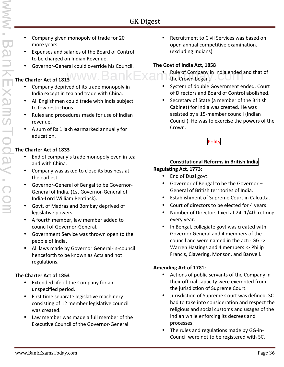- Company given monopoly of trade for 20 more years.
- Expenses and salaries of the Board of Control to be charged on Indian Revenue.
- Governor-General could override his Council.

## **The Charter Act of 1813**

- Company deprived of its trade monopoly in India except in tea and trade with China.
- All Englishmen could trade with India subject to few restrictions.
- Rules and procedures made for use of Indian revenue.
- A sum of Rs 1 lakh earmarked annually for education.

#### **The Charter Act of 1833**

- End of company's trade monopoly even in tea and with China.
- Company was asked to close its business at the earliest.
- Governor-General of Bengal to be Governor- General of India. (1st Governor-General of India-Lord William Bentinck).
- Govt. of Madras and Bombay deprived of legislative powers.
- A fourth member, law member added to council of Governor-General.
- Government Service was thrown open to the people of India.
- All laws made by Governor General-in-council henceforth to be known as Acts and not regulations.

#### **The Charter Act of 1853**

- Extended life of the Company for an unspecified period.
- First time separate legislative machinery consisting of 12 member legislative council was created.
- Law member was made a full member of the Executive Council of the Governor-General

 Recruitment to Civil Services was based on open annual competitive examination. (excluding Indians)

#### **The Govt of India Act, 1858**

- Rule of Company in India ended and that of  $www.BankExan<sup>th</sup>$  Rule of Company in India ended and The Crown began.
	- System of double Government ended. Court of Directors and Board of Control abolished.
	- Secretary of State (a member of the British Cabinet) for India was created. He was assisted by a 15-member council (Indian Council). He was to exercise the powers of the Crown.

Polity

#### **Constitutional Reforms in British India**

#### **Regulating Act, 1773:**

- End of Dual govt.
- Governor of Bengal to be the Governor General of British territories of India.
- Establishment of Supreme Court in Calcutta.
- Court of directors to be elected for 4 years
- Number of Directors fixed at 24, 1/4th retiring every year.
- In Bengal, collegiate govt was created with Governor General and 4 members of the council and were named in the act:- GG -> Warren Hastings and 4 members -> Philip Francis, Clavering, Monson, and Barwell.

#### **Amending Act of 1781:**

- Actions of public servants of the Company in their official capacity were exempted from the jurisdiction of Supreme Court.
- Jurisdiction of Supreme Court was defined. SC had to take into consideration and respect the religious and social customs and usages of the Indian while enforcing its decrees and processes.
- The rules and regulations made by GG-in- Council were not to be registered with SC.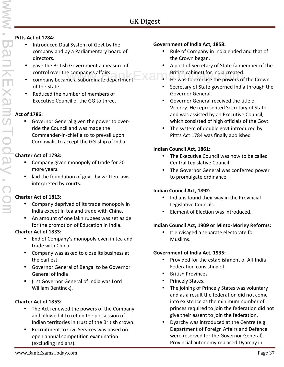#### **Pitts Act of 1784:**

- Introduced Dual System of Govt by the company and by a Parliamentary board of directors.
- gave the British Government a measure of control over the company's affairs
- company became a subordinate department of the State.
- Reduced the number of members of Executive Council of the GG to three.

#### **Act of 1786:**

 Governor General given the power to over ride the Council and was made the Commander-in-chief also to prevail upon Cornawalis to accept the GG-ship of India

#### **Charter Act of 1793:**

- Company given monopoly of trade for 20 more years.
- laid the foundation of govt. by written laws, interpreted by courts.

#### **Charter Act of 1813:**

- Company deprived of its trade monopoly in India except in tea and trade with China.
- An amount of one lakh rupees was set aside for the promotion of Education in India.

#### **Charter Act of 1833:**

- End of Company's monopoly even in tea and trade with China.
- Company was asked to close its business at the earliest.
- Governor General of Bengal to be Governor General of India
- (1st Governor General of India was Lord William Bentinck).

#### **Charter Act of 1853:**

- The Act renewed the powers of the Company and allowed it to retain the possession of Indian territories in trust of the British crown.
- Recruitment to Civil Services was based on open annual competition examination (excluding Indians).

#### **Government of India Act, 1858:**

- Rule of Company in India ended and that of the Crown began.
- A post of Secretary of State (a member of the British cabinet) for India created. He company's affairs<br>The Was to exercise the powers of the Crown.<br>The was to exercise the powers of the Crown.
	-
	- Secretary of State governed India through the Governor General.
	- Governor General received the title of Viceroy. He represented Secretary of State and was assisted by an Executive Council, which consisted of high officials of the Govt.
	- The system of double govt introduced by Pitt's Act 1784 was finally abolished

#### **Indian Council Act, 1861:**

- The Executive Council was now to be called Central Legislative Council.
- The Governor General was conferred power to promulgate ordinance.

#### **Indian Council Act, 1892:**

- Indians found their way in the Provincial Legislative Councils.
- Element of Election was introduced.

#### **Indian Council Act, 1909 or Minto-Morley Reforms:**

• It envisaged a separate electorate for Muslims.

#### **Government of India Act, 1935:**

- Provided for the establishment of All-India Federation consisting of
- British Provinces
- Princely States.
- The joining of Princely States was voluntary and as a result the federation did not come into existence as the minimum number of princes required to join the federation did not give their assent to join the federation.
- Dyarchy was introduced at the Centre (e.g. Department of Foreign Affairs and Defence were reserved for the Governor General). Provincial autonomy replaced Dyarchy in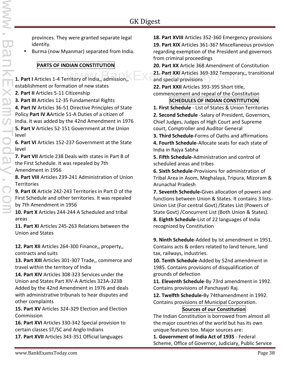www.BankExamsToday.com

provinces. They were granted separate legal identity.

Burma (now Myanmar) separated from India.

#### **PARTS OF INDIAN CONSTITUTION**

**1. Part I** Articles 1-4 Territory of India,, admission,, establishment or formation of new states

**2. Part II** Articles 5-11 Citizenship

**3. Part III** Articles 12-35 Fundamental Rights

**4. Part IV** Articles 36-51 Directive Principles of State Policy **Part IV A**Article 51-A Duties of a citizen of India. It was added by the 42nd Amendment in 1976 **5. Part V** Articles 52-151 Government at the Union level

**6. Part VI** Articles 152-237 Government at the State level

**7. Part VII** Article 238 Deals with states in Part B of the First Schedule. It was repealed by 7th Amendment in 1956

**8. Part VIII** Articles 239-241 Administration of Union **Territories** 

**9. Part IX** Article 242-243 Territories in Part D of the First Schedule and other territories. It was repealed by 7th Amendment in 1956

**10. Part X** Articles 244-244 A Scheduled and tribal areas

**11. Part XI** Articles 245-263 Relations between the Union and States

**12. Part XII** Articles 264-300 Finance,, property,, contracts and suits

**13. Part XIII** Articles 301-307 Trade,, commerce and travel within the territory of India

**14. Part XIV** Articles 308-323 Services under the Union and States Part XIV-A Articles 323A-323B Added by the 42nd Amendment in 1976 and deals with administrative tribunals to hear disputes and other complaints

**15. Part XV** Articles 324-329 Election and Election Commission

**16. Part XVI** Articles 330-342 Special provision to certain classes ST/SC and Anglo Indians

**17. Part XVII** Articles 343-351 Official languages

**18. Part XVIII** Articles 352-360 Emergency provisions **19. Part XIX** Articles 361-367 Miscellaneous provision regarding exemption of the President and governors from criminal proceedings

**20. Part XX** Article 368 Amendment of Constitution **21. Part XXI** Articles 369-392 Temporary,, transitional entritory of India,, admission, and special provisions

> **22. Part XXII** Articles 393-395 Short title, commencement and repeal of the Constitution

#### **SCHEDULES OF INDIAN CONSTITUTION**

**1. First Schedule** - List of States & Union Territories **2. Second Schedule** -Salary of President, Governors, Chief Judges, Judges of High Court and Supreme court, Comptroller and Auditor General

**3. Third Schedule-**Forms of Oaths and affirmations

**4. Fourth Schedule**-Allocate seats for each state of India in Rajya Sabha

**5. Fifth Schedule**-Administration and control of scheduled areas and tribes

**6. Sixth Schedule**-Provisions for administration of Tribal Area in Asom, Meghalaya, Tripura, Mizoram & Arunachal Pradesh

**7. Seventh Schedule-**Gives allocation of powers and functions between Union & States. It contains 3 lists- Union List (For central Govt) /States List (Powers of State Govt) /Concurrent List (Both Union & States). **8. Eighth Schedule**-List of 22 languages of India recognized by Constitution

**9. Ninth Schedule**-Added by Ist amendment in 1951. Contains acts & orders related to land tenure, land tax, railways, industries.

**10. Tenth Schedule**-Added by 52nd amendment in 1985. Contains provisions of disqualification of grounds of defection

**11. Eleventh Schedule**-By 73rd amendment in 1992. Contains provisions of Panchayati Raj.

**12. Twelfth Schedule-**By 74thamendment in 1992. Contains provisions of Municipal Corporation.

#### **Sources of our Constitution**

The Indian Constitution is borrowed from almost all the major countries of the world but has its own unique features too. Major sources are:

**1. Government of India Act of 1935** - Federal Scheme, Office of Governor, Judiciary, Public Service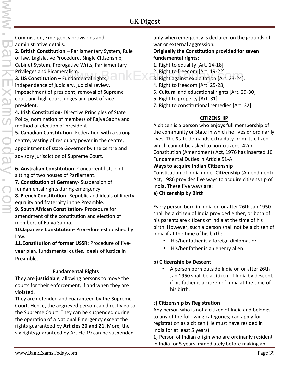Commission, Emergency provisions and administrative details.

**2. British Constitution** – Parliamentary System, Rule of law, Lagislative Procedure, Single Citizenship, Cabinet System, Prerogative Writs, Parliamentary Privileges and Bicameralism.

**3. US Constitution** – Fundamental rights, independence of judiciary, judicial review, impeachment of president, removal of Supreme court and high court judges and post of vice president.

**4. Irish Constitution-** Directive Principles of State Policy, nomination of members of Rajya Sabha and method of election of president

**5. Canadian Constitution-** Federation with a strong centre, vesting of residuary power in the centre, appointment of state Governor by the centre and advisory jurisdiction of Supreme Court.

**6. Australian Constitution-** Concurrent list, joint sitting of two houses of Parliament.

**7. Constitution of Germany-** Suspension of fundamental rights during emergency.

**8. French Constitution-** Republic and ideals of liberty, equality and fraternity in the Preamble.

**9. South African Constitution-** Procedure for amendment of the constitution and election of members of Rajya Sabha.

**10.Japanese Constitution-** Procedure established by Law.

**11.Constitution of former USSR:** Procedure of five year plan, fundamental duties, ideals of justice in Preamble.

#### **Fundamental Rights**

They are **justiciable**, allowing persons to move the courts for their enforcement, if and when they are violated.

They are defended and guaranteed by the Supreme Court. Hence, the aggrieved person can directly go to the Supreme Court. They can be suspended during the operation of a National Emergency except the rights guaranteed by **Articles 20 and 21**. More, the six rights guaranteed by Article 19 can be suspended

only when emergency is declared on the grounds of war or external aggression.

#### **Originally the Constitution provided for seven fundamental rights:**

- 1. Right to equality [Art. 14-18]
- 2. Right to freedom [Art. 19-22]
- alism.<br>  $\begin{array}{c} \text{all} \\ \text{all} \end{array}$  a. Right against exploitation [Art. 23-24].
	- 4. Right to freedom [Art. 25-28]
	- 5. Cultural and educational rights [Art. 29-30]
	- 6. Right to property [Art. 31]
	- 7. Right to constitutional remedies [Art. 32]

#### **CITIZENSHIP**

A citizen is a person who enjoys full membership of the community or State in which he lives or ordinarily lives. The State demands extra duty from its citizen which cannot be asked to non-citizens. 42nd Constitution (Amendment) Act, 1976 has inserted 10 Fundamental Duties in Article 51-A.

#### **Ways to acquire Indian Citizenship**

Constitution of India under Citizenship (Amendment) Act, 1986 provides five ways to acquire citizenship of India. These five ways are:

#### **a) Citizenship by Birth**

Every person born in India on or after 26th Jan 1950 shall be a citizen of India provided either, or both of his parents are citizens of India at the time of his birth. However, such a person shall not be a citizen of India if at the time of his birth:

- His/her father is a foreign diplomat or
- His/her father is an enemy alien.

#### **b) Citizenship by Descent**

 A person born outside India on or after 26th Jan 1950 shall be a citizen of India by descent, if his father is a citizen of India at the time of his birth.

#### **c) Citizenship by Registration**

Any person who is not a citizen of India and belongs to any of the following categories; can apply for registration as a citizen (He must have resided in India for at least 5 years):

1) Person of Indian origin who are ordinarily resident in India for 5 years immediately before making an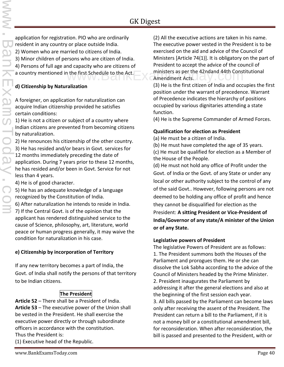application for registration. PIO who are ordinarily resident in any country or place outside India. 2) Women who are married to citizens of India. 3) Minor children of persons who are citizen of India. 4) Persons of full age and capacity who are citizens of a country mentioned in the first Schedule to the Act.

#### **d) Citizenship by Naturalization**

A foreigner, on application for naturalization can acquire Indian citizenship provided he satisfies certain conditions:

1) He is not a citizen or subject of a country where Indian citizens are prevented from becoming citizens by naturalization.

2) He renounces his citizenship of the other country.

3) He has resided and/or bears in Govt. services for 12 months immediately preceding the date of application. During 7 years prior to these 12 months, he has resided and/or been in Govt. Service for not less than 4 years.

4) He is of good character.

5) He has an adequate knowledge of a language recognized by the Constitution of India.

6) After naturalization he intends to reside in India.

7) If the Central Govt. is of the opinion that the applicant has rendered distinguished service to the cause of Science, philosophy, art, literature, world peace or human progress generally, it may waive the condition for naturalization in his case.

#### **e) Citizenship by incorporation of Territory**

If any new territory becomes a part of India, the Govt. of India shall notify the persons of that territory to be Indian citizens.

#### **The President**

**Article 52** – There shall be a President of India. **Article 53** – The executive power of the Union shall be vested in the President. He shall exercise the executive power directly or through subordinate officers in accordance with the constitution. Thus the President is:

(1) Executive head of the Republic.

(2) All the executive actions are taken in his name. The executive power vested in the President is to be exercised on the aid and advice of the Council of Ministers [Article 74(1)]. It is obligatory on the part of President to accept the advice of the council of I the first Schedule to the Act. Ministers as per the 42ndand 44th Constitutional<br>
Amendment Acts. Amendment Acts.

(3) He is the first citizen of India and occupies the first position under the warrant of precedence. Warrant of Precedence indicates the hierarchy of positions occupied by various dignitaries attending a state function.

(4) He is the Supreme Commander of Armed Forces.

#### **Qualification for election as President**

(a) He must be a citizen of India.

(b) He must have completed the age of 35 years. (c) He must be qualified for election as a Member of the House of the People.

(d) He must not hold any office of Profit under the Govt. of India or the Govt. of any State or under any local or other authority subject to the control of any of the said Govt.. However, following persons are not deemed to be holding any office of profit and hence they cannot be disqualified for election as the President: **A sitting President or Vice-President of India/Governor of any state/A minister of the Union or of any State.**

#### **Legislative powers of President**

The legislative Powers of President are as follows: 1. The President summons both the Houses of the Parliament and prorogues them. He or she can dissolve the Lok Sabha according to the advice of the Council of Ministers headed by the Prime Minister. 2. President inaugurates the Parliament by addressing it after the general elections and also at the beginning of the first session each year. 3. All bills passed by the Parliament can become laws only after receiving the assent of the President. The President can return a bill to the Parliament, if it is not a money bill or a constitutional amendment bill, for reconsideration. When after reconsideration, the bill is passed and presented to the President, with or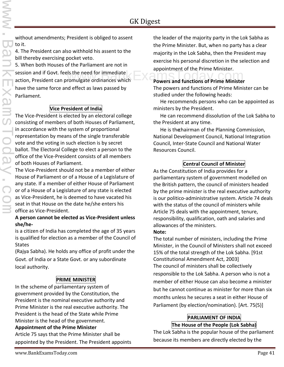without amendments; President is obliged to assent to it.

4. The President can also withhold his assent to the bill thereby exercising pocket veto.

5. When both Houses of the Parliament are not in session and if Govt. feels the need for immediate action, President can promulgate ordinances which have the same force and effect as laws passed by Parliament. Powers and functions of Prime Minister.<br>
Powers and functions of Prime Minister<br>
Powers and functions of Prime Minister

#### **Vice President of India**

The Vice-President is elected by an electoral college consisting of members of both Houses of Parliament, in accordance with the system of proportional representation by means of the single transferable vote and the voting in such election is by secret ballot. The Electoral College to elect a person to the office of the Vice-President consists of all members of both Houses of Parliament.

The Vice-President should not be a member of either House of Parliament or of a House of a Legislature of any state. If a member of either House of Parliament or of a House of a Legislature of any state is elected as Vice-President, he is deemed to have vacated his seat in that House on the date he/she enters his office as Vice-President.

#### **A person cannot be elected as Vice-President unless she/he-**

is a citizen of India has completed the age of 35 years is qualified for election as a member of the Council of **States** 

(Rajya Sabha). He holds any office of profit under the Govt. of India or a State Govt. or any subordinate local authority.

#### **PRIME MINISTER**

In the scheme of parliamentary system of government provided by the Constitution, the President is the nominal executive authority and Prime Minister is the real executive authority. The President is the head of the State while Prime Minister is the head of the government. **Appointment of the Prime Minister**

Article 75 says that the Prime Minister shall be appointed by the President. The President appoints the leader of the majority party in the Lok Sabha as the Prime Minister. But, when no party has a clear majority in the Lok Sabha, then the President may exercise his personal discretion in the selection and appointment of the Prime Minister.

The powers and functions of Prime Minister can be studied under the following heads:

 He recommends persons who can be appointed as ministers by the President.

 He can recommend dissolution of the Lok Sabha to the President at any time.

 He is thechairman of the Planning Commission, National Development Council, National Integration Council, Inter-State Council and National Water Resources Council.

#### **Central Council of Minister**

As the Constitution of India provides for a parliamentary system of government modelled on the British pattern, the council of ministers headed by the prime minister is the real executive authority is our politico-administrative system. Article 74 deals with the status of the council of ministers while Article 75 deals with the appointment, tenure, responsibility, qualification, oath and salaries and allowances of the ministers.

#### **Note:**

The total number of ministers, including the Prime Minister, in the Council of Ministers shall not exceed 15% of the total strength of the Lok Sabha. [91st Constitutional Amendment Act, 2003] The council of ministers shall be collectively responsible to the Lok Sabha. A person who is not a member of either House can also become a minister but he cannot continue as minister for more than six months unless he secures a seat in either House of Parliament (by election/nomination). [Art. 75(5)]

#### **PARLIAMENT OF INDIA The House of the People (Lok Sabha)**

The Lok Sabha is the popular house of the parliament because its members are directly elected by the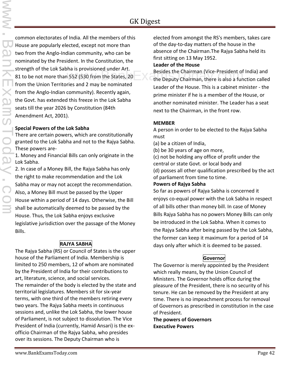common electorates of India. All the members of this House are popularly elected, except not more than two from the Anglo-Indian community, who can be nominated by the President. In the Constitution, the strength of the Lok Sabha is provisioned under Art. 81 to be not more than 552 (530 from the States, 20 from the Union Territories and 2 may be nominated from the Anglo-Indian community). Recently again, the Govt. has extended this freeze in the Lok Sabha seats till the year 2026 by Constitution (84th Amendment Act, 2001).

#### **Special Powers of the Lok Sabha**

There are certain powers, which are constitutionally granted to the Lok Sabha and not to the Rajya Sabha. These powers are-

1. Money and Financial Bills can only originate in the Lok Sabha.

2. In case of a Money Bill, the Rajya Sabha has only the right to make recommendation and the Lok Sabha may or may not accept the recommendation. Also, a Money Bill must be passed by the Upper House within a period of 14 days. Otherwise, the Bill shall be automatically deemed to be passed by the House. Thus, the Lok Sabha enjoys exclusive legislative jurisdiction over the passage of the Money Bills.

#### **RAJYA SABHA**

The Rajya Sabha (RS) or Council of States is the upper house of the Parliament of India. Membership is limited to 250 members, 12 of whom are nominated by the President of India for their contributions to art, literature, science, and social services. The remainder of the body is elected by the state and territorial legislatures. Members sit for six-year terms, with one third of the members retiring every two years. The Rajya Sabha meets in continuous sessions and, unlike the Lok Sabha, the lower house of Parliament, is not subject to dissolution. The Vice President of India (currently, Hamid Ansari) is the ex officio Chairman of the Rajya Sabha, who presides over its sessions. The Deputy Chairman who is

elected from amongst the RS's members, takes care of the day-to-day matters of the house in the absence of the Chairman.The Rajya Sabha held its first sitting on 13 May 1952.

#### **Leader of the House**

Besides the Chairman (Vice-President of India) and the Deputy Chairman (Vice-President of India) and<br>1552 (530 from the States, 20 the Deputy Chairman, there is also a function called Leader of the House. This is a cabinet minister - the prime minister if he is a member of the House, or another nominated minister. The Leader has a seat next to the Chairman, in the front row.

#### **MEMBER**

A person in order to be elected to the Rajya Sabha must

- (a) be a citizen of India,
- (b) be 30 years of age on more,

(c) not be holding any office of profit under the central or state Govt. or local body and (d) posses all other qualification prescribed by the act of parliament from time to time.

#### **Powers of Rajya Sabha**

So far as powers of Rajya Sabha is concerned it enjoys co-equal power with the Lok Sabha in respect of all bills other than money bill. In case of Money Bills Rajya Sabha has no powers Money Bills can only be introduced in the Lok Sabha. When it comes to the Rajya Sabha after being passed by the Lok Sabha, the former can keep it maximum for a period of 14 days only after which it is deemed to be passed.

#### **Governor**

The Governor is merely appointed by the President which really means, by the Union Council of Ministers. The Governor holds office during the pleasure of the President, there is no security of his tenure. He can be removed by the President at any time. There is no impeachment process for removal of Governors as prescribed in constitution in the case of President.

**The powers of Governors Executive Powers**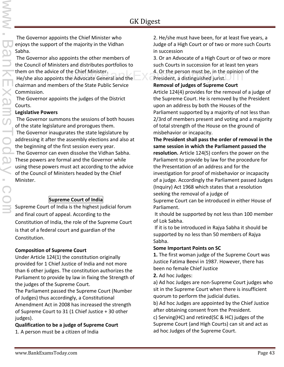The Governor appoints the Chief Minister who enjoys the support of the majority in the Vidhan Sabha.

The Governor also appoints the other members of the Council of Ministers and distributes portfolios to them on the advice of the Chief Minister. He/she also appoints the Advocate General and the chairman and members of the State Public Service Commission.

The Governor appoints the judges of the District Courts.

#### **Legislative Powers**

The Governor summons the sessions of both houses of the state legislature and prorogues them.

The Governor inaugurates the state legislature by addressing it after the assembly elections and also at the beginning of the first session every year.

The Governor can even dissolve the Vidhan Sabha. These powers are formal and the Governor while using these powers must act according to the advice of the Council of Ministers headed by the Chief Minister.

#### **Supreme Court of India**

Supreme Court of India is the highest judicial forum and final court of appeal. According to the Constitution of India, the role of the Supreme Court is that of a federal court and guardian of the Constitution.

#### **Composition of Supreme Court**

Under Article 124(1) the constitution originally provided for 1 Chief Justice of India and not more than 6 other judges. The constitution authorizes the Parliament to provide by law in fixing the Strength of the judges of the Supreme Court.

The Parliament passed the Supreme Court (Number of Judges) thus accordingly, a Constitutional Amendment Act in 2008 has increased the strength of Supreme Court to 31 (1 Chief Justice + 30 other judges).

#### **Qualification to be a judge of Supreme Court**

1. A person must be a citizen of India

2. He/she must have been, for at least five years, a Judge of a High Court or of two or more such Courts in succession

3. Or an Advocate of a High Court or of two or more such Courts in succession for at least ten years

the Chief Minister. 4. Or the person must be, in the opinion of the headvocate General and the service of the computer of the Advocate General and the service of the service of the service of the Advocate General and the s President, a distinguished jurist.

#### **Removal of judges of Supreme Court**

Article 124(4) provides for the removal of a judge of the Supreme Court. He is removed by the President upon an address by both the Houses of the Parliament supported by a majority of not less than 2/3rd of members present and voting and a majority of total strength of the House on the ground of misbehavior or incapacity.

**The President shall pass the order of removal in the same session in which the Parliament passed the resolution.** Article 124(5) confers the power on the Parliament to provide by law for the procedure for the Presentation of an address and for the investigation for proof of misbehavior or incapacity of a judge. Accordingly the Parliament passed Judges (Inquiry) Act 1968 which states that a resolution seeking the removal of a judge of

Supreme Court can be introduced in either House of Parliament.

It should be supported by not less than 100 member of Lok Sabha.

If it is to be introduced in Rajya Sabha it should be supported by no less than 50 members of Rajya Sabha.

#### **Some Important Points on SC**

**1.** The first woman judge of the Supreme Court was Justice Fatima Beevi in 1987. However, there has been no female Chief Justice

**2.** Ad hoc Judges:

a) Ad hoc Judges are non-Supreme Court judges who sit in the Supreme Court when there is insufficient quorum to perform the judicial duties.

b) Ad hoc Judges are appointed by the Chief Justice after obtaining consent from the President.

c) Serving(HC) and retired(SC & HC) judges of the Supreme Court (and High Courts) can sit and act as ad hoc Judges of the Supreme Court.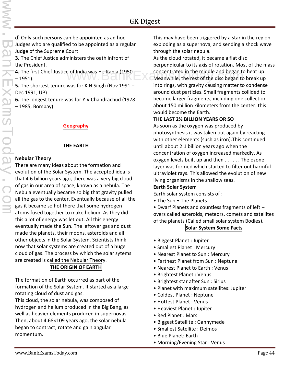d) Only such persons can be appointed as ad hoc Judges who are qualified to be appointed as a regular Judge of the Supreme Court

**3.** The Chief Justice administers the oath infront of the President.

**4.** The first Chief Justice of India was H J Kania (1950 – 1951).

**5.** The shortest tenure was for K N Singh (Nov 1991 – Dec 1991, UP)

**6.** The longest tenure was for Y V Chandrachud (1978 – 1985, Bombay)

#### **Geography**

#### **THE EARTH**

#### **Nebular Theory**

There are many ideas about the formation and evolution of the Solar System. The accepted idea is that 4.6 billion years ago, there was a very big cloud of gas in our area of space, known as a nebula. The Nebula eventually became so big that gravity pulled all the gas to the center. Eventually because of all the gas it became so hot there that some hydrogen atoms fused together to make helium. As they did this a lot of energy was let out. All this energy eventually made the Sun. The leftover gas and dust made the planets, their moons, asteroids and all other objects in the Solar System. Scientists think now that solar systems are created out of a huge cloud of gas. The process by which the solar sytems are created is called the Nebular Theory.

#### **THE ORIGIN OF EARTH**

The formation of Earth occurred as part of the formation of the Solar System. It started as a large rotating cloud of dust and gas.

This cloud, the solar nebula, was composed of hydrogen and helium produced in the Big Bang, as well as heavier elements produced in supernovas. Then, about 4.68×109 years ago, the solar nebula began to contract, rotate and gain angular momentum.

This may have been triggered by a star in the region exploding as a supernova, and sending a shock wave through the solar nebula.

As the cloud rotated, it became a flat disc perpendicular to its axis of rotation. Most of the mass concentrated in the middle and began to heat up. e of India was H J Kania (1950 concentrated in the middle and began to heat up.<br>Meanwhile, the rest of the disc began to break up into rings, with gravity causing matter to condense around dust particles. Small fragments collided to become larger fragments, including one collection about 150 million kilometers from the center: this would become the Earth.

#### **THE LAST 2½ BILLION YEARS OR SO**

As soon as the oxygen was produced by photosynthesis it was taken out again by reacting with other elements (such as iron).This continued until about 2.1 billion years ago when the concentration of oxygen increased markedly. As oxygen levels built up and then . . . . . . The ozone layer was formed which started to filter out harmful ultraviolet rays. This allowed the evolution of new living organisms in the shallow seas.

#### **Earth Solar System**

Earth solar system consists of :

• The Sun • The Planets

• Dwarf Planets and countless fragments of left – overs called asteroids, meteors, comets and satellites of the planets (Called small solar system Bodies).

#### **Solar System Some Facts**

- Biggest Planet : Jupiter
- Smallest Planet : Mercury
- Nearest Planet to Sun : Mercury
- Farthest Planet from Sun : Neptune
- Nearest Planet to Earth : Venus
- Brightest Planet : Venus
- Brightest star after Sun : Sirius
- Planet with maximum satellites: Jupiter
- Coldest Planet : Neptune
- Hottest Planet : Venus
- Heaviest Planet : Jupiter
- Red Planet : Mars
- Biggest Satellite : Gannymede
- Smallest Satellite : Deimos
- Blue Planet: Earth
- Morning/Evening Star : Venus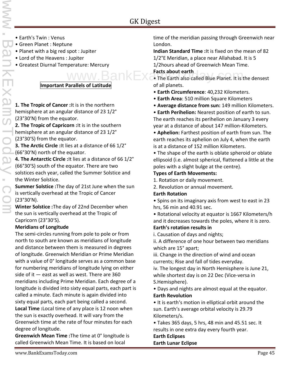- Earth's Twin : Venus
- Green Planet : Neptune
- Planet with a big red spot : Jupiter
- Lord of the Heavens : Jupiter
- Greatest Diurnal Temperature: Mercury

#### **Important Parallels of Latitude**

**1. The Tropic of Cancer :**It is in the northern hemisphere at an angular distance of 23 1/2° (23°30'N) from the equator.

**2. The Tropic of Capricorn :**It is in the southern hemisphere at an angular distance of 23 1/2° (23°30'S) from the equator.

**3. The Arctic Circle :**It lies at a distance of 66 1/2° (66°30'N) north of the equator.

**4. The Antarctic Circle :**It lies at a distance of 66 1/2° (66°30'S) south of the equator. There are two solstices each year, called the Summer Solstice and the Winter Solstice.

**Summer Solstice :**The day of 21st June when the sun is vertically overhead at the Tropic of Cancer (23°30'N).

**Winter Solstice :**The day of 22nd December when the sun is vertically overhead at the Tropic of Capricorn (23°30'S).

#### **Meridians of Longitude**

The semi-circles running from pole to pole or from north to south are known as meridians of longitude and distance between them is measured in degrees of longitude. Greenwich Meridian or Prime Meridian with a value of 0° longitude serves as a common base for numbering meridians of longitude lying on either side of it  $-$  east as well as west. There are 360 meridians including Prime Meridian. Each degree of a longitude is divided into sixty equal parts, each part is called a minute. Each minute is again divided into sixty equal parts, each part being called a second.

**Local Time :**Local time of any place is 12 noon when the sun is exactly overhead. It will vary from the Greenwich time at the rate of four minutes for each degree of longitude.

**Greenwich Mean Time :**The time at 0° longitude is called Greenwich Mean Time. It is based on local

time of the meridian passing through Greenwich near London.

**Indian Standard Time :**It is fixed on the mean of 82 1/2°E Meridian, a place near Allahabad. It is 5

1/2hours ahead of Greenwich Mean Time.

#### **Facts about earth**

 $www.BankEx$  Facts about earth of all planets.

- **Earth Circumference**: 40,232 Kilometers.
- **Earth Area**: 510 million Square Kilometers
- **Average distance from sun:** 149 million Kilometers.

• **Earth Perihelion:** Nearest position of earth to sun. The earth reaches its perihelion on January 3 every year at a distance of about 147 million-Kilometers.

• **Aphelion:** Farthest position of earth from sun. The earth reaches its aphelion on July 4, when the earth is at a distance of 152 million Kilometers.

• The shape of the earth is oblate spheroid or oblate ellipsoid (i.e. almost spherical, flattened a little at the poles with a slight bulge at the centre).

#### **Types of Earth Movements:**

1. Rotation or daily movement.

2. Revolution or annual movement.

#### **Earth Rotation**

• Spins on its imaginary axis from west to east in 23 hrs, 56 min and 40.91 sec.

• Rotational velocity at equator is 1667 Kilometers/h and it decreases towards the poles, where it is zero. **Earth's rotation results in**

i. Causation of days and nights;

ii. A difference of one hour between two meridians which are 15° apart;

iii. Change in the direction of wind and ocean currents; Rise and fall of tides everyday.

iv. The longest day in North Hemisphere is June 21, while shortest day is on 22 Dec (Vice-versa in S.Hemisphere).

• Days and nights are almost equal at the equator. **Earth Revolution**

• It is earth's motion in elliptical orbit around the sun. Earth's average orbital velocity is 29.79 Kilometers/s.

• Takes 365 days, 5 hrs, 48 min and 45.51 sec. It results in one extra day every fourth year.

**Earth Eclipses Earth Lunar Eclipse**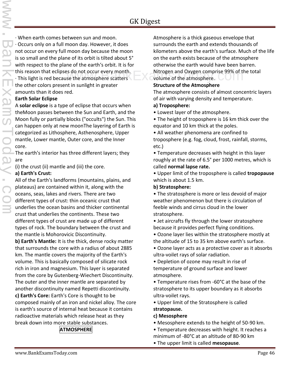· When earth comes between sun and moon.

· Occurs only on a full moon day. However, it does not occur on every full moon day because the moon is so small and the plane of its orbit is tilted about 5° with respect to the plane of the earth's orbit. It is for this reason that eclipses do not occur every month. · This light is red because the atmosphere scatters the other colors present in sunlight in greater amounts than it does red.

#### **Earth Solar Eclipse**

A **solar eclipse** is a type of eclipse that occurs when theMoon passes between the Sun and Earth, and the Moon fully or partially blocks ("occults") the Sun. This can happen only at new moonThe layering of Earth is categorized as Lithosphere, Asthenosphere, Upper mantle, Lower mantle, Outer core, and the Inner core.

The earth's interior has three different layers; they are

(i) the crust (ii) mantle and (iii) the core.

#### **a) Earth's Crust:**

All of the Earth's landforms (mountains, plains, and plateaus) are contained within it, along with the oceans, seas, lakes and rivers. There are two different types of crust: thin oceanic crust that underlies the ocean basins and thicker continental crust that underlies the continents. These two different types of crust are made up of different types of rock. The boundary between the crust and the mantle is Mohorovicic Discontinuity.

**b) Earth's Mantle:** It is the thick, dense rocky matter that surrounds the core with a radius of about 2885 km. The mantle covers the majority of the Earth's volume. This is basically composed of silicate rock rich in iron and magnesium. This layer is separated from the core by Gutenberg-Wiechert Discontinuity. The outer and the inner mantle are separated by another discontinuity named Repetti discontinuity. **c) Earth's Core:** Earth's Core is thought to be composed mainly of an iron and nickel alloy. The core is earth's source of internal heat because it contains radioactive materials which release heat as they break down into more stable substances.

#### **ATMOSPHERE**

Atmosphere is a thick gaseous envelope that surrounds the earth and extends thousands of kilometers above the earth's surface. Much of the life on the earth exists because of the atmosphere otherwise the earth would have been barren. S do not occur every month.<br>Se the atmosphere scatters and Oxygen comprise 99% of the total<br>Notice of the atmosphere. volume of the atmosphere.

#### **Structure of the Atmosphere**

The atmosphere consists of almost concentric layers of air with varying density and temperature.

#### **a) Troposphere:**

• Lowest layer of the atmosphere.

• The height of troposphere is 16 km thick over the equator and 10 km thick at the poles.

• All weather phenomena are confined to troposphere (e.g. fog, cloud, frost, rainfall, storms, etc.)

• Temperature decreases with height in this layer roughly at the rate of 6.5° per 1000 metres, which is called **normal lapse rate.**

• Upper limit of the troposphere is called **tropopause** which is about 1.5 km.

#### **b) Stratosphere:**

• The stratosphere is more or less devoid of major weather phenomenon but there is circulation of feeble winds and cirrus cloud in the lower stratosphere.

• Jet aircrafts fly through the lower stratosphere because it provides perfect flying conditions.

• Ozone layer lies within the stratosphere mostly at the altitude of 15 to 35 km above earth's surface.

• Ozone layer acts as a protective cover as it absorbs ultra-voilet rays of solar radiation.

• Depletion of ozone may result in rise of temperature of ground surface and lower atmosphere.

• Temperature rises from -60°C at the base of the stratosphere to its upper boundary as it absorbs ultra-voilet rays.

• Upper limit of the Stratosphere is called **stratopause.**

#### **c) Mesosphere**

- Mesosphere extends to the height of 50-90 km.
- Temperature decreases with height. It reaches a
- minimum of -80°C at an altitude of 80-90 km
- The upper limit is called **mesopause**.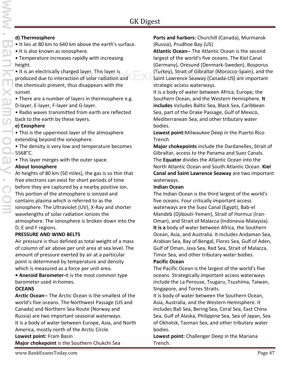#### **d) Thermosphere**

- It lies at 80 km to 640 km above the earth's surface.
- It is also known as ionosphere.

• Temperature increases rapidly with increasing height.

• It is an electrically charged layer. This layer is produced due to interaction of solar radiation and the chemicals present, thus disappears with the sunset.

• There are a number of layers in thermosphere e.g. D-layer, E-layer, F-layer and G-layer.

• Radio waves transmitted from earth are reflected back to the earth by these layers.

#### **e) Exosphere**

• This is the uppermost layer of the atmosphere extending beyond the ionosphere.

• The density is very low and temperature becomes 5568°C.

• This layer merges with the outer space.

#### **About Ionosphere**

At heights of 80 km (50 miles), the gas is so thin that free electrons can exist for short periods of time before they are captured by a nearby positive ion. This portion of the atmosphere is ionized and contains plasma which is referred to as the ionosphere. The Ultraviolet (UV), X-Ray and shorter wavelengths of solar radiation ionizes the atmosphere. The ionosphere is broken down into the D, E and F regions.

#### **PRESSURE AND WIND BELTS**

Air pressure is thus defined as total weight of a mass of column of air above per unit area at sea level. The amount of pressure exerted by air at a particular point is determined by temperature and density which is measured as a force per unit area.

**• Aneroid Barometer-**It is the most common type barometer used in homes.

#### **OCEANS**

**Arctic Ocean--** The Arctic Ocean is the smallest of the world's five oceans. The Northwest Passage (US and Canada) and Northern Sea Route (Norway and Russia) are two important seasonal waterways. It is a body of water between Europe, Asia, and North America, mostly north of the Arctic Circle. **Lowest point:** Fram Basin

**Major chokepoint** is the Southern Chukchi Sea

**Ports and harbors:** Churchill (Canada), Murmansk (Russia), Prudhoe Bay (US)

**Atlantic Ocean--** The Atlantic Ocean is the second largest of the world's five oceans. The Kiel Canal (Germany), Oresund (Denmark-Sweden), Bosporus (Turkey), Strait of Gibraltar (Morocco-Spain), and the arged layer. This layer is (Turkey), Strait of Gibraltar (Morocco-Spain), and the<br>ction of solar radiation and Saint Lawrence Seaway (Canada-US) are important strategic access waterways.

> It is a body of water between Africa, Europe, the Southern Ocean, and the Western Hemisphere. **It includes** includes Baltic Sea, Black Sea, Caribbean Sea, part of the Drake Passage, Gulf of Mexico, Mediterranean Sea, and other tributary water bodies.

> **Lowest point:**Milwaukee Deep in the Puerto Rico Trench

**Major chokepoints** include the Dardanelles, Strait of Gibraltar, access to the Panama and Suez Canals. The **Equator** divides the Atlantic Ocean into the North Atlantic Ocean and South Atlantic Ocean. **Kiel Canal and Saint Lawrence Seaway** are two important waterways.

#### **Indian Ocean**

The Indian Ocean is the third largest of the world's five oceans. Four critically important access waterways are the Suez Canal (Egypt), Bab-el Mandeb (Djibouti-Yemen), Strait of Hormuz (Iran- Oman), and Strait of Malacca (Indonesia-Malaysia). **It is a** body of water between Africa, the Southern Ocean, Asia, and Australia. It includes Andaman Sea, Arabian Sea, Bay of Bengal, Flores Sea, Gulf of Aden, Gulf of Oman, Java Sea, Red Sea, Strait of Malacca, Timor Sea, and other tributary water bodies.

#### **Pacific Ocean**

The Pacific Ocean is the largest of the world's five oceans. Strategically important access waterways include the La Perouse, Tsugaru, Tsushima, Taiwan, Singapore, and Torres Straits.

It is body of water between the Southern Ocean, Asia, Australia, and the Western Hemisphere. It includes Bali Sea, Bering Sea, Coral Sea, East China Sea, Gulf of Alaska, Philippine Sea, Sea of Japan, Sea of Okhotsk, Tasman Sea, and other tributary water bodies.

**Lowest point:** Challenger Deep in the Mariana Trench.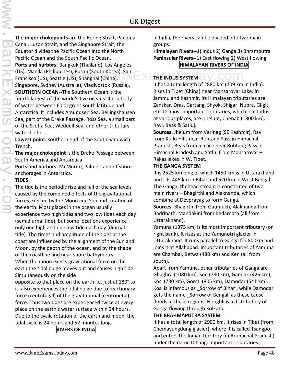The **major chokepoints** are the Bering Strait, Panama Canal, Luzon Strait, and the Singapore Strait; the Equator divides the Pacific Ocean into the North Pacific Ocean and the South Pacific Ocean. **Ports and harbors:** Bangkok (Thailand), Los Angeles (US), Manila (Philippines), Pusan (South Korea), San Francisco (US), Seattle (US), Shanghai (China), Singapore, Sydney (Australia), Vladivostok (Russia). **SOUTHERN OCEAN--**The Southern Ocean is the fourth largest of the world's five oceans. It is a body of water between 60 degrees south latitude and Antarctica. It includes Amundsen Sea, Bellingshausen Sea, part of the Drake Passage, Ross Sea, a small part of the Scotia Sea, Weddell Sea, and other tributary water bodies. es), Pusan (South Korea), San<br>(US), Shanghai (China), **Website Limbus System and A**lternative Communist

**Lowest point:** southern end of the South Sandwich Trench.

**The major chokepoint** is the Drake Passage between South America and Antarctica.

**Ports and harbors:** McMurdo, Palmer, and offshore anchorages in Antarctica.

#### **TIDES**

The tide is the periodic rise and fall of the sea levels caused by the combined effects of the gravitational forces exerted by the Moon and Sun and rotation of the earth. Most places in the ocean usually experience two high tides and two low tides each day (semidiurnal tide), but some locations experience only one high and one low tide each day (diurnal tide). The times and amplitude of the tides at the coast are influenced by the alignment of the Sun and Moon, by the depth of the ocean, and by the shape of the coastline and near-shore bathymetry. When the moon exerts gravitational force on the earth the tidal bulge moves out and causes high tide. Simultaneously on the side

opposite to that place on the earth i.e. just at 180° to it, also experiences the tidal bulge due to reactionary force (centrifugal) of the gravitational (centripetal) force. Thus two tides are experienced twice at every place on the earth's water surface within 24 hours. Due to the cyclic rotation of the earth and moon, the tidal cycle is 24 hours and 52 minutes long.

## **RIVERS OF INDIA**

In India, the rivers can be divided into two main groups:

**Himalayan Rivers--**1) Indus 2) Ganga 3) Bhramputra **Peninsular Rivers--**1) East flowing 2) West flowing **HIMALAYAN RIVERS OF INDIA**

It has a total length of 2880 km (709 km in India). Rises in Tibet (China) near Mansarovar Lake. In Jammu and Kashmir, its Himalayan tributaries are: Zanskar, Dras, Gartang, Shyok, Shigar, Nubra, Gilgit, etc. Its most important tributaries, which join Indus at various places, are: Jhelum, Chenab (1800 km), Ravi, Beas & Satluj.

**Sources:** Jhelum from Verinag (SE Kashmir), Ravi from Kullu Hills near Rohtang Pass in Himachal Pradesh, Beas from a place near Rohtang Pass in Himachal Pradesh and Satluj from Mansarovar – Rakas lakes in W. Tibet.

#### **THE GANGA SYSTEM**

It is 2525 km long of which 1450 km is in Uttarakhand and UP, 445 km in Bihar and 520 km in West Bengal. The Ganga, thehead stream is constituted of two main rivers – Bhagirthi and Alaknanda, which combine at Devprayag to form Ganga.

**Sources:** Bhagirthi from Gaumukh, Alaknanda from Badrinath, Mandakini from Kedarnath (all from Uttarakhand).

Yamuna (1375 km) is its most important tributary (on right bank). It rises at the Yamunotri glacier in Uttarakhand. It runs parallel to Ganga for 800km and joins it at Allahabad. Important tributaries of Yamuna are Chambal, Betwa (480 km) and Ken (all from south).

Apart from Yamuna, other tributaries of Ganga are Ghaghra (1080 km), Son (780 km), Gandak (425 km), Kosi (730 km), Gomti (805 km), Damodar (541 km). Kosi is infamous as \_Sorrow of Bihar', while Damodar gets the name \_Sorrow of Bengal' as these cause floods in these regions. Hooghli is a distributory of Ganga flowing through Kolkata.

#### **THE BRAHMAPUTRA SYSTEM**

It has a total length of 2900 km. It rises in Tibet (from Chemayungdung glacier), where it is called Tsangpo, and enters the Indian territory (in Arunachal Pradesh) under the name Dihang. Important Tributaries: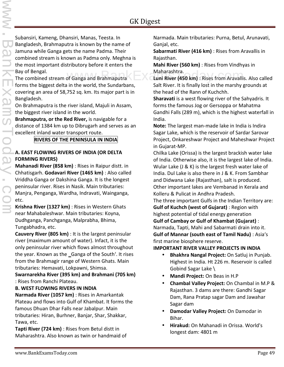Subansiri, Kameng, Dhansiri, Manas, Teesta. In Bangladesh, Brahmaputra is known by the name of Jamuna while Ganga gets the name Padma. Their combined stream is known as Padma only. Meghna is the most important distributory before it enters the Bay of Bengal.

The combined stream of Ganga and Brahmaputra forms the biggest delta in the world, the Sundarbans, covering an area of 58,752 sq. km. Its major part is in Bangladesh.

On Brahmaputra is the river island, Majuli in Assam, the biggest river island in the world.

**Brahmaputra, or the Red River,** is navigable for a distance of 1384 km up to Dibrugarh and serves as an excellent inland water transport route.

#### **RIVERS OF THE PENINSULA IN INDIA**

#### **A. EAST FLOWING RIVERS OF INDIA (OR DELTA FORMING RIVERS)**

**Mahanadi River (858 km)** : Rises in Raipur distt. in Chhatisgarh. **Godavari River (1465 km)** : Also called Vriddha Ganga or Dakshina Ganga. It is the longest peninsular river. Rises in Nasik. Main tributaries: Manjra, Penganga, Wardha, Indravati, Wainganga, etc.

**Krishna River (1327 km)** : Rises in Western Ghats near Mahabaleshwar. Main tributaries: Koyna, Dudhganga, Panchganga, Malprabha, Bhima, Tungabhadra, etc.

**Cauvery River (805 km)** : It is the largest peninsular river (maximum amount of water). Infact, it is the only peninsular river which flows almost throughout the year. Known as the Ganga of the South'. It rises from the Brahmagir range of Western Ghats. Main tributaries: Hemavati, Lokpawni, Shimsa.

**Swarnarekha River (395 km) and Brahmani (705 km)** : Rises from Ranchi Plateau.

#### **B. WEST FLOWING RIVERS IN INDIA**

**Narmada River (1057 km)** : Rises in Amarkantak Plateau and flows into Gulf of Khambat. It forms the famous Dhuan Dhar Falls near Jabalpur. Main tributaries: Hiran, Burhner, Banjar, Shar, Shakkar, Tawa, etc.

**Tapti River (724 km)** : Rises from Betul distt in Maharashtra. Also known as twin or handmaid of Narmada. Main tributaries: Purna, Betul, Arunavati, Ganjal, etc.

**Sabarmati River (416 km)** : Rises from Aravallis in Rajasthan.

**Mahi River (560 km)** : Rises from Vindhyas in Maharashtra.

Maharashtra.<br> **Luni River (450 km)** : Rises from Aravallis. Also called Salt River. It is finally lost in the marshy grounds at the head of the Rann of Kuchchh.

**Sharavati** is a west flowing river of the Sahyadris. It forms the famous Jog or Gersoppa or Mahatma Gandhi Falls (289 m), which is the highest waterfall in India.

**Note:** The largest man-made lake in India is Indira Sagar Lake, which is the reservoir of Sardar Sarovar Project, Onkareshwar Project and Maheshwar Project in Gujarat-MP.

Chilka Lake (Orissa) is the largest brackish water lake of India. Otherwise also, it is the largest lake of India. Wular Lake (J & K) is the largest fresh water lake of India. Dul Lake is also there in J & K. From Sambhar and Didwana Lake (Rajasthan), salt is produced. Other important lakes are Vembanad in Kerala and Kolleru & Pulicat in Andhra Pradesh.

The three important Gulfs in the Indian Territory are: **Gulf of Kuchch (west of Gujarat)** : Region with highest potential of tidal energy generation

**Gulf of Cambay or Gulf of Khambat (Gujarat)** : Narmada, Tapti, Mahi and Sabarmati drain into it. **Gulf of Mannar (south east of Tamil Nadu)** : Asia's first marine biosphere reserve.

#### **IMPORTANT RIVER VALLEY PROJECTS IN INDIA**

- **Bhakhra Nangal Project:** On Satluj in Punjab. Highest in India. Ht 226 m. Reservoir is called Gobind Sagar Lake \
- **Mandi Project:** On Beas in H.P
- **Chambal Valley Project:** On Chambal in M.P & Rajasthan. 3 dams are there: Gandhi Sagar Dam, Rana Pratap sagar Dam and Jawahar Sagar dam
- **Damodar Valley Project:** On Damodar in Bihar.
- **Hirakud:** On Mahanadi in Orissa. World's longest dam: 4801 m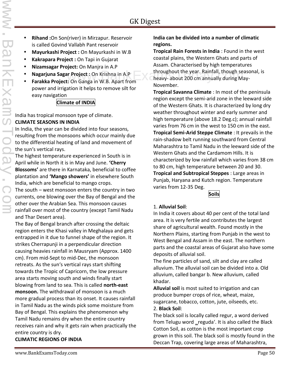- **Rihand :**On Son(river) in Mirzapur. Reservoir is called Govind Vallabh Pant reservoir
- **Mayurkashi Project :** On Mayurkashi in W.B
- **Kakrapara Project :** On Tapi in Gujarat
- **Nizamsagar Project:** On Manjra in A.P
- **Nagarjuna Sagar Project :** On Krishna in A.P
- **Farakka Project:** On Ganga in W.B. Apart from power and irrigation it helps to remove silt for easy navigation

#### **Climate of INDIA**

India has tropical monsoon type of climate. **CLIMATE SEASONS IN INDIA**

In India, the year can be divided into four seasons, resulting from the monsoons which occur mainly due to the differential heating of land and movement of the sun's vertical rays.

The highest temperature experienced in South is in April while in North it is in May and June. **'Cherry Blossoms'** are there in Karnataka, beneficial to coffee plantation and **'Mango showers'** in elsewhere South India, which are beneficial to mango crops.

The south – west monsoon enters the country in two currents, one blowing over the Bay of Bengal and the other over the Arabian Sea. This monsoon causes rainfall over most of the country (except Tamil Nadu and Thar Desert area).

The Bay of Bengal branch after crossing the deltaic region enters the Khasi valley in Meghalaya and gets entrapped in it due to funnel shape of the region. It strikes Cherrapunji in a perpendicular direction causing heavies rainfall in Mausryam (Approx. 1400 cm). From mid-Sept to mid-Dec, the monsoon retreats. As the sun's vertical rays start shifting towards the Tropic of Capricorn, the low pressure area starts moving south and winds finally start blowing from land to sea. This is called **north-east monsoon.** The withdrawal of monsoon is a much more gradual process than its onset. It causes rainfall in Tamil Nadu as the winds pick some moisture from Bay of Bengal. This explains the phenomenon why Tamil Nadu remains dry when the entire country receives rain and why it gets rain when practically the entire country is dry. **CLIMATIC REGIONS OF INDIA**

#### **India can be divided into a number of climatic regions.**

**Tropical Rain Forests in India** : Found in the west coastal plains, the Western Ghats and parts of Assam. Characterised by high temperatures throughout the year. Rainfall, though seasonal, is **heavy- about the year. Rainfall, though seasonal, i.**<br>In Project : On Krishna in A.P. **The axamsToday-about 200 cm annually during May-**November.

**Tropical Savanna Climate** : In most of the peninsula region except the semi-arid zone in the leeward side of the Western Ghats. It is characterized by long dry weather throughout winter and early summer and high temperature (above 18.2 Deg.c); annual rainfall varies from 76 cm in the west to 150 cm in the east. **Tropical Semi-Arid Steppe Climate** : It prevails in the rain-shadow belt running southward from Central Maharashtra to Tamil Nadu in the leeward side of the Western Ghats and the Cardamom Hills. It is characterized by low rainfall which varies from 38 cm to 80 cm, high temperature between 20 and 30. **Tropical and Subtropical Steppes** : Large areas in Punjab, Haryana and Kutch region. Temperature varies from 12-35 Deg.

**Soils**

#### 1. **Alluvial Soil**:

In India it covers about 40 per cent of the total land area. It is very fertile and contributes the largest share of agricultural wealth. Found mostly in the Northern Plains, starting from Punjab in the west to West Bengal and Assam in the east. The northern parts and the coastal areas of Gujarat also have some deposits of alluvial soil.

The fine particles of sand, silt and clay are called alluvium. The alluvial soil can be divided into a. Old alluvium, called bangar b. New alluvium, called khadar.

**Alluvial soil** is most suited to irrigation and can produce bumper crops of rice, wheat, maize, sugarcane, tobacco, cotton, jute, oilseeds, etc.

#### 2. **Black Soil**:

The black soil is locally called regur, a word derived from Telugu word \_reguda'. It is also called the Black Cotton Soil, as cotton is the most important crop grown in this soil. The black soil is mostly found in the Deccan Trap, covering large areas of Maharashtra,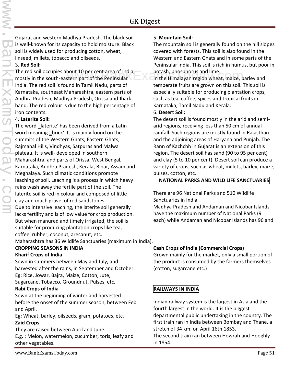www.BankExamsToday.com

Gujarat and western Madhya Pradesh. The black soil is well-known for its capacity to hold moisture. Black soil is widely used for producing cotton, wheat, linseed, millets, tobacco and oilseeds.

#### 3. **Red Soil:**

The red soil occupies about 10 per cent area of India, mostly in the south-eastern part of the Peninsular India. The red soil is found in Tamil Nadu, parts of Karnataka, southeast Maharashtra, eastern parts of Andhra Pradesh, Madhya Pradesh, Orissa and Jhark hand. The red colour is due to the high percentage of iron contents. bout 10 per cent area of India, ether potash, phosphorus and lime.<br>stern part of the Peninsular and Canada Canadayan region wheat, maize, barley and

#### 4. **Laterite Soil:**

The word laterite' has been derived from a Latin word meaning brick'. It is mainly found on the summits of the Western Ghats, Eastern Ghats, Rajmahal Hills, Vindhyas, Satpuras and Malwa plateau. It is well- developed in southern Maharashtra, and parts of Orissa, West Bengal, Karnataka, Andhra Pradesh, Kerala, Bihar, Assam and Meghalaya. Such climatic conditions promote leaching of soil. Leaching is a process in which heavy rains wash away the fertile part of the soil. The laterite soil is red in colour and composed of little clay and much gravel of red sandstones. Due to intensive leaching, the laterite soil generally lacks fertility and is of low value for crop production. But when manured and timely irrigated, the soil is suitable for producing plantation crops like tea,

coffee, rubber, coconut, arecanut, etc.

Maharashtra has 36 Wildlife Sanctuaries (maximum in India).

#### **CROPPING SEASONS IN INDIA Kharif Crops of India**

Sown in summers between May and July, and harvested after the rains, in September and October. Eg: Rice, Jowar, Bajra, Maize, Cotton, Jute,

Sugarcane, Tobacco, Groundnut, Pulses, etc.

#### **Rabi Crops of India**

Sown at the beginning of winter and harvested before the onset of the summer season, between Feb and April.

Eg: Wheat, barley, oilseeds, gram, potatoes, etc.

#### **Zaid Crops**

They are raised between April and June.

E.g. : Melon, watermelon, cucumber, toris, leafy and other vegetables.

#### 5. **Mountain Soil:**

The mountain soil is generally found on the hill slopes covered with forests. This soil is also found in the Western and Eastern Ghats and in some parts of the Peninsular India. This soil is rich in humus, but poor in potash, phosphorus and lime.

temperate fruits are grown on this soil. This soil is especially suitable for producing plantation crops, such as tea, coffee, spices and tropical fruits in Karnataka, Tamil Nadu and Kerala.

#### 6. **Desert Soil:**

The desert soil is found mostly in the arid and semi arid regions, receiving less than 50 cm of annual rainfall. Such regions are mostly found in Rajasthan and the adjoining areas of Haryana and Punjab. The Rann of Kachchh in Gujarat is an extension of this region. The desert soil has sand (90 to 95 per cent) and clay (5 to 10 per cent). Desert soil can produce a variety of crops, such as wheat, millets, barley, maize, pulses, cotton, etc.

#### **NATIONAL PARKS AND WILD LIFE SANCTUARIES**

There are 96 National Parks and 510 Wildlife Sanctuaries in India.

Madhya Pradesh and Andaman and Nicobar Islands have the maximum number of National Parks (9 each) while Andaman and Nicobar Islands has 96 and

#### **Cash Crops of India (Commercial Crops)**

Grown mainly for the market, only a small portion of the product is consumed by the farmers themselves (cotton, sugarcane etc.)

#### **RAILWAYS IN INDIA**

Indian railway system is the largest in Asia and the fourth largest in the world. It is the biggest departmental public undertaking in the country. The first train ran in India between Bombay and Thane, a stretch of 34 km. on April 16th 1853. The second train ran between Howrah and Hooghly in 1854.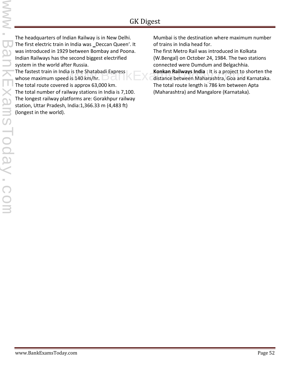www.BankExamsToday.comKHXan **LSU** 

The headquarters of Indian Railway is in New Delhi. The first electric train in India was \_Deccan Queen'. It was introduced in 1929 between Bombay and Poona. Indian Railways has the second biggest electrified system in the world after Russia.

The fastest train in India is the Shatabadi Express whose maximum speed is 140 km/hr. The total route covered is approx 63,000 km. The total number of railway stations in India is 7,100. The longest railway platforms are: Gorakhpur railway station, Uttar Pradesh, India:1,366.33 m (4,483 ft) (longest in the world).

Mumbai is the destination where maximum number of trains in India head for.

The first Metro Rail was introduced in Kolkata (W.Bengal) on October 24, 1984. The two stations connected were Dumdum and Belgachhia.

**Konkan Railways India** : It is a project to shorten the a is the Shatabadi Express<br>distance between Maharashtra, Goa and Karnataka. The total route length is 786 km between Apta (Maharashtra) and Mangalore (Karnataka).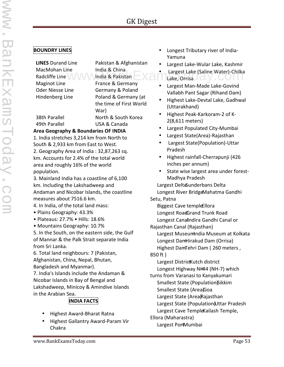#### **BOUNDRY LINES**

MacMohan Line India & China Radcliffe Line VIAN India & Pakistan

**LINES** Durand Line Pakistan & Afghanistan Maginot Line France & Germany Oder Niesse Line Germany & Poland Hindenberg Line Poland & Germany (at the time of First World War) 38th Parallel North & South Korea

49th Parallel USA & Canada

**Area Geography & Boundaries OF INDIA**

1. India stretches 3,214 km from North to South & 2,933 km from East to West. 2. Geography Area of India : 32,87,263 sq. km. Accounts for 2.4% of the total world area and roughly 16% of the world population.

3. Mainland India has a coastline of 6,100 km. Including the Lakshadweep and Andaman and Nicobar Islands, the coastline measures about 7516.6 km.

4. In India, of the total land mass:

- Plains Geography: 43.3%
- Plateaus: 27.7% Hills: 18.6%
- Mountains Geography: 10.7%

5. In the South, on the eastern side, the Gulf of Mannar & the Palk Strait separate India from Sri Lanka.

6. Total land neighbours: 7 (Pakistan, Afghanistan, China, Nepal, Bhutan, Bangladesh and Myanmar).

7. India's Islands include the Andaman & Nicobar Islands in Bay of Bengal and Lakshadweep, Minicoy & Amindive Islands in the Arabian Sea.

## **INDIA FACTS**

- Highest Award-Bharat Ratna
- Highest Gallantry Award-Param Vir Chakra
- Longest Tributary river of India- Yamuna
- Largest Lake-Wular Lake, Kashmir
- ne India & China<br>
Www.Mindia & Pakistan Lake, Orrisa Caline Water)-Chilka<br>
Transa & Carmeny Valley Lake, Orrisa Lake, Orrisa
	- Largest Man-Made Lake-Govind Vallabh Pant Sagar (Rihand Dam)
	- Highest Lake-Devtal Lake, Gadhwal (Uttarakhand)
	- Highest Peak-Karkoram-2 of K- 2(8,611 meters)
	- Largest Populated City-Mumbai
	- Largest State(Area)-Rajasthan
	- Largest State(Population)-Uttar Pradesh
	- Highest rainfall-Cherrapunji (426 inches per annum)
	- State wise largest area under forest-Madhya Pradesh

Largest DeltaSunderbans Delta Longest River BridgeMahatma Gandhi Setu, Patna Biggest Cave templeEllora Longest RoadGrand Trunk Road Longest Canalndira Gandhi Canal or Rajasthan Canal (Rajasthan) Largest MuseumIndia Museum at Kolkata Longest DamHirakud Dam (Orrisa) Highest DamTehri Dam (260 meters, 850 ft ) Largest DistrictKutch district Longest Highway NH44 (NH-7) which turns from Varanasi to Kanyakumari Smallest State (Population)Sikkim Smallest State (Area)Goa Largest State (Area)Rajasthan Largest State (Population)Uttar Pradesh

- Largest Cave Temple Kailash Temple,
- Ellora (Maharastra) Largest PortMumbai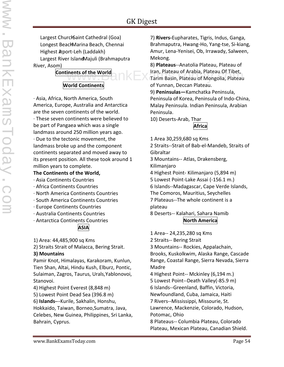Largest Church-Saint Cathedral (Goa) Longest BeachMarina Beach, Chennai Highest Arport-Leh (Laddakh) Largest River IslandMajuli (Brahmaputra River, Asom)

> **Continents of the World World Continents**

· Asia, Africa, North America, South America, Europe, Australia and Antarctica are the seven continents of the world. · These seven continents were believed to be part of Pangaea which was a single landmass around 250 million years ago. · Due to the tectonic movement, the landmass broke up and the component continents separated and moved away to its present position. All these took around 1 million years to complete.

#### **The Continents of the World,**

- · Asia Continents Countries
- · Africa Continents Countries
- · North America Continents Countries
- · South America Continents Countries
- · Europe Continents Countries
- · Australia Continents Countries
- · Antarctica Continents Countries



1) Area: 44,485,900 sq Kms

2) Straits Strait of Malacca, Bering Strait.

#### **3) Mountains**

Pamir Knot, Himalayas, Karakoram, Kunlun, Tien Shan, Altai, Hindu Kush, Elburz, Pontic, Sulaiman, Zagros, Taurus, Urals,Yablonovoi, Stanovoi.

4) Highest Point Everest (8,848 m)

5) Lowest Point Dead Sea (396.8 m)

6) **Islands-**--Kurile, Sakhalin, Honshu, Hokkaido, Taiwan, Borneo,Sumatra, Java, Celebes, New Guinea, Philippines, Sri Lanka, Bahrain, Cyprus.

7) **Rivers-**Eupharates, Tigris, Indus, Ganga, Brahmaputra, Hwang-Ho, Yang-tse, Si-kiang, Amur, Lena-Yenisei, Ob, Irrawady, Salween, Mekong.

8) **Plateaus**--Anatolia Plateau, Plateau of Iran, Plateau of Arabia, Plateau Of Tibet, Iran, Plateau of Arabia, Plateau Of Tibet,<br>WWW.BankExamsTorim Basin, Plateau of Mongolia, Plateau of Yunnan, Deccan Plateau.

9) **Peninsulas—**Kamchatka Peninsula, Peninsula of Korea, Peninsula of Indo-China, Malay Peninsula. Indian Peninsula, Arabian Peninsula.

10) Deserts-Arab, Thar

#### **Africa**

1 Area 30,259,680 sq Kms

2 Straits--Strait of Bab-el-Mandeb, Straits of Gibraltar

3 Mountains-- Atlas, Drakensberg, Kilimanjaro

4 Highest Point- Kilimanjaro (5,894 m)

5 Lowest Point-Lake Assai (-156.1 m.)

6 Islands--Madagascar, Cape Verde Islands,

The Comoros, Mauritius, Seychelles

7 Plateaus--The whole continent is a plateau

8 Deserts-- Kalahari, Sahara Namib **North America**

1 Area-- 24,235,280 sq Kms

2 Straits-- Bering Strait

3 Mountains-- Rockies, Appalachain, Brooks, Kuskolkwim, Alaska Range, Cascade Range, Coastal Range, Sierra Nevada, Sierra Madre

4 Highest Point-- Mckinley (6,194 m.) 5 Lowest Point--Death Valley(-85.9 m) 6 Islands--Greenland, Baffin, Victoria, Newfoundland, Cuba, Jamaica, Haiti 7 Rivers--Mississippi, Missourie, St. Lawrence, Mackenzie, Colorado, Hudson, Potomac, Ohio 8 Plateaus-- Columbia Plateau, Colorado Plateau, Mexican Plateau, Canadian Shield.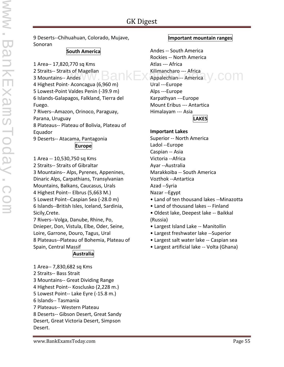9 Deserts--Chihuahuan, Colorado, Mujave, Sonoran

#### **South America**

1 Area-- 17,820,770 sq Kms 2 Straits-- Straits of Magellan 3 Mountains-- Andes 4 Highest Point- Aconcagua (6,960 m) 5 Lowest-Point Valdes Penin (-39.9 m) 6 Islands-Galapagos, Falkland, Tierra del Fuego. 7 Rivers--Amazon, Orinoco, Paraguay, Parana, Uruguay 8 Plateaus-- Plateau of Bolivia, Plateau of Equador 9 Deserts-- Atacama, Pantagonia **Europe** 1 Area -- 10,530,750 sq Kms 2 Straits-- Straits of Gibraltar

3 Mountains-- Alps, Pyrenes, Appenines, Dinaric Alps, Carpathians, Transylvanian Mountains, Balkans, Caucasus, Urals 4 Highest Point-- Elbrus (5,663 M.) 5 Lowest Point--Caspian Sea (-28.0 m) 6 Islands--British Isles, Iceland, Sardinia, Sicily,Crete.

7 Rivers--Volga, Danube, Rhine, Po, Dnieper, Don, Vistula, Elbe, Oder, Seine, Loire, Garrone, Douro, Tagus, Ural 8 Plateaus--Plateau of Bohemia, Plateau of Spain, Central Massif

#### **Australia**

1 Area-- 7,830,682 sq Kms 2 Straits-- Bass Strait 3 Mountains-- Great Dividing Range 4 Highest Point-- Kosclusko (2,228 m.) 5 Lowest Point-- Lake Eyre (-15.8 m.) 6 Islands-- Tasmania 7 Plateaus-- Western Plateau 8 Deserts-- Gibson Desert, Great Sandy Desert, Great Victoria Desert, Simpson Desert.

#### **Important mountain ranges**

Andes -- South America Rockies -- North America Atlas --- Africa Kilimancharo --- Africa ts of Magellan  $\mathsf{BallM}\boxtimes \mathsf{All}$  Kilimancharo --- Africa  $\mathsf{y}$  COM Ural ---Europe Alps ---Europe Karpathyan ---Europe Mount Eribus --- Antartica Himalayam --- Asia **LAKES**

#### **Important Lakes**

Superior -- North America Ladol --Europe Caspian -- Asia Victoria --Africa Ayar --Australia Marakkoiba -- South America Vozthok --Antartica Azad --Syria Nazar --Egypt • Land of ten thousand lakes --Minazotta

- Land of thousand lakes -- Finland
- Oldest lake, Deepest lake -- Baikkal (Russia)
- Largest Island Lake -- Manitollin
- Largest freshwater lake --Superior
- Largest salt water lake -- Caspian sea
- Largest artificial lake -- Volta (Ghana)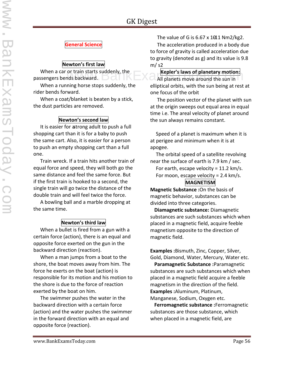#### **General Science**

#### **Newton's first law**

 When a car or train starts suddenly, the passengers bends backward. **Kepler's laws of planetary motion:**<br>
Mail planets move around the sun in

 When a running horse stops suddenly, the rider bends forward.

 When a coat/blanket is beaten by a stick, the dust particles are removed.

#### **Newton's second law**

 It is easier for astrong adult to push a full shopping cart than it is for a baby to push the same cart. Also, it is easier for a person to push an empty shopping cart than a full one.

 Train wreck. If a train hits another train of equal force and speed, they will both go the same distance and feel the same force. But if the first train is hooked to a second, the single train will go twice the distance of the double train and will feel twice the force.

 A bowling ball and a marble dropping at the same time.

#### **Newton's third law**

 When a bullet is fired from a gun with a certain force (action), there is an equal and opposite force exerted on the gun in the backward direction (reaction).

 When a man jumps from a boat to the shore, the boat moves away from him. The force he exerts on the boat (action) is responsible for its motion and his motion to the shore is due to the force of reaction exerted by the boat on him.

 The swimmer pushes the water in the backward direction with a certain force (action) and the water pushes the swimmer in the forward direction with an equal and opposite force (reaction).

The value of G is  $6.67 \times 1011$  Nm2/kg2. The acceleration produced in a body due to force of gravity is called acceleration due to gravity (denoted as g) and its value is 9.8 m/ s2

 All planets move around the sun in elliptical orbits, with the sun being at rest at one focus of the orbit

 The position vector of the planet with sun at the origin sweeps out equal area in equal time i.e. The areal velocity of planet around the sun always remains constant.

Speed of a planet is maximum when it is at perigee and minimum when it is at apogee.

The orbital speed of a satellite revolving near the surface of earth is 7.9 km / sec.

For earth, escape velocity =  $11.2 \text{ km/s}$ .

For moon, escape velocity =  $2.4 \text{ km/s}$ .

#### **MAGNETISM**

**Magnetic Substance :**On the basis of magnetic behavior, substances can be divided into three categories.

**Diamagnetic substance:** Diamagnetic substances are such substances which when placed in a magnetic field, acquire feeble magnetism opposite to the direction of magnetic field.

**Examples :**Bismuth, Zinc, Copper, Silver, Gold, Diamond, Water, Mercury, Water etc.

**Paramagnetic Substance :**Paramagnetic substances are such substances which when placed in a magnetic field acquire a feeble magnetism in the direction of the field. **Examples :**Aluminum, Platinum, Manganese, Sodium, Oxygen etc.

**Ferromagnetic substance :**Ferromagnetic substances are those substance, which when placed in a magnetic field, are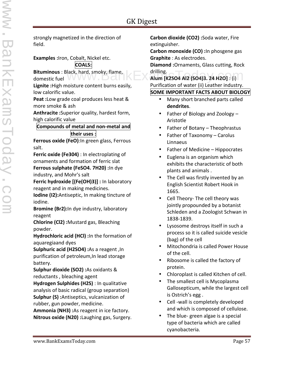strongly magnetized in the direction of field.

**Examples :**Iron, Cobalt, Nickel etc.

**COALS:**

**Bituminous** : Black, hard, smoky, flame, domestic fuel

**Lignite :**High moisture content burns easily, low calorific value.

**Peat :**Low grade coal produces less heat & more smoke & ash

**Anthracite :**Superior quality, hardest form, high calorific value

#### **Compounds of metal and non-metal and their uses :**

**Ferrous oxide (FeO)**:In green glass, Ferrous salt.

**Ferric oxide (Fe304)** : In electroplating of ornaments and formation of ferric slat **Ferrous sulphate (FeSO4. 7H20) :**In dye industry, and Mohr's salt

**Ferric hydroxide [(Fe(OH)3)] :** In laboratory reagent and in making medicines.

**Iodine (I2):**Antiseptic, In making tincture of iodine.

**Bromine (Br2):**In dye industry, laboratory reagent

**Chlorine (Cl2) :**Mustard gas, Bleaching powder.

**Hydrochloric acid (HCl) :**In the formation of aquaregiaand dyes

**Sulphuric acid (H2SO4) :**As a reagent ,In purification of petroleum,In lead storage battery.

**Sulphur dioxide (SO2) :**As oxidants & reductants , bleaching agent

**Hydrogen Sulphides (H2S)** : In qualitative analysis of basic radical (group separation) **Sulphur (S) :**Antiseptics, vulcanization of rubber, gun powder, medicine.

**Ammonia (NH3) :**As reagent in ice factory. **Nitrous oxide (N20) :**Laughing gas, Surgery. **Carbon dioxide (CO2) :**Soda water, Fire extinguisher.

**Carbon monoxide (CO) :**In phosgene gas **Graphite** : As electrodes.

**Diamond :**Ornaments, Glass cutting, Rock drilling.

**Alum [K2SO4 Al2 (SO4)3. 24 H2O]** : (i) Purification of water (ii) Leather industry.

#### **SOME IMPORTANT FACTS ABOUT BIOLOGY**

- Many short branched parts called **dendrites**.
- Father of Biology and Zoology Aristotle
- Father of Botany Theophrastus
- Father of Taxonomy Carolus Linnaeus
- Father of Medicine Hippocrates
- Euglena is an organism which exhibits the characteristic of both plants and animals .
- The Cell was firstly invented by an English Scientist Robert Hook in 1665.
- Cell Theory- The cell theory was jointly propounded by a botanist Schleden and a Zoologist Schwan in 1838-1839.
- Lysosome destroys itself in such a process so it is called suicide vesicle (bag) of the cell
- Mitochondria is called Power House of the cell.
- Ribosome is called the factory of protein.
- Chloroplast is called Kitchen of cell.
- The smallest cell is Mycoplasma Gallosepticum, while the largest cell is Ostrich's egg .
- Cell -wall is completely developed and which is composed of cellulose.
- The blue- green algae is a special type of bacteria which are called cyanobacteria.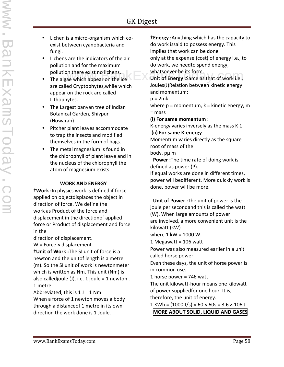- Lichen is a micro-organism which co exist between cyanobacteria and fungi.
- Lichens are the indicators of the air pollution and for the maximum pollution there exist no lichens.
- The algae which appear on the ice are called Cryptophytes,while which appear on the rock are called Lithophytes.
- The Largest banyan tree of Indian Botanical Garden, Shivpur (Howarah)
- Pitcher plant leaves accommodate to trap the insects and modified themselves in the form of bags.
- The metal magnesium is found in the chlorophyll of plant leave and in the nucleus of the chlorophyll the atom of magnesium exists.

#### **WORK AND ENERGY**

†**Work :**In physics work is defined if force applied on objectdisplaces the object in direction of force. We define the work as Product of the force and displacement in the directionof applied force or Product of displacement and force in the

direction of displacement.

 $W =$  Force  $\times$  displacement

†**Unit of Work :**The SI unit of force is a newton and the unitof length is a metre (m). So the SI unit of work is newtonmeter which is written as Nm. This unit (Nm) is also calledjoule  $(J)$ , i.e. 1 joule = 1 newton. 1 metre

Abbreviated, this is  $1 J = 1 Nm$ 

When a force of 1 newton moves a body through a distanceof 1 metre in its own direction the work done is 1 Joule.

†**Energy :**Anything which has the capacity to do work issaid to possess energy. This implies that work can be done only at the expense (cost) of energy i.e., to do work, we needto spend energy,

whatsoever be its form.

In there exist no lichens.<br>ae which appear on the ice **Unit of Energy** : Same as that of work i.e., Joules(J)Relation between kinetic energy and momentum:

 $p = 2mk$ 

where  $p =$  momentum,  $k =$  kinetic energy, m = mass

**(i) For same momentum :**

K-energy varies inversely as the mass K 1

**(ii) For same K-energy**

Momentum varies directly as the square root of mass of the

body. pμ m

**Power :**The time rate of doing work is defined as power (P).

If equal works are done in different times, power will bedifferent. More quickly work is done, power will be more.

**Unit of Power :**The unit of power is the joule per secondand this is called the watt (W). When large amounts of power are involved, a more convenient unit is the kilowatt (kW)

where 1 kW = 1000 W.

1 Megawatt = 106 watt

Power was also measured earlier in a unit called horse power.

Even these days, the unit of horse power is in common use.

1 horse power = 746 watt

The unit kilowatt-hour means one kilowatt of power suppliedfor one hour. It is, therefore, the unit of energy.

 $1$  KWh =  $(1000 \text{ J/s}) \times 60 \times 60 \text{s} = 3.6 \times 106 \text{ J}$ 

**MORE ABOUT SOLID, LIQUID AND GASES**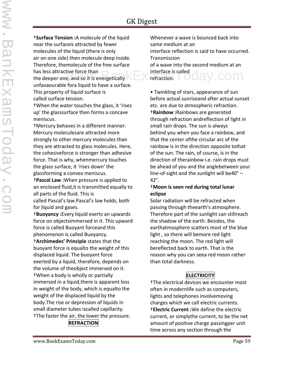†**Surface Tension :**A molecule of the liquid near the surfaceis attracted by fewer molecules of the liquid (there is only air on one side) then molecule deep inside. Therefore, themolecule of the free surface has less attractive force than the deeper one, and so it is energetically unfavaourable fora liquid to have a surface. This property of liquid surface is called surface tension.

†When the water touches the glass, it 'rises up' the glasssurface then forms a concave meniscus.

†Mercury behaves in a different manner. Mercury moleculesare attracted more strongly to other mercury molecules than they are attracted to glass molecules. Here, the cohesiveforce is stronger than adhesive force. That is why, whenmercury touches the glass surface, it 'rises down' the glassforming a convex meniscus.

†**Pascal Law :**When pressure is applied to an enclosed fluid,it is transmitted equally to all parts of the fluid. This is

called Pascal's law.Pascal's law holds, both for liquid and gases.

†**Buoyancy :**Every liquid exerts an upwards force on objectsimmersed in it. This upward force is called Buoyant forceand this phenomenon is called Buoyancy.

†**Archimedes' Principle** states that the buoyant force is equalto the weight of this displaced liquid. The buoyant force exerted by a liquid, therefore, depends on the volume of theobject immersed on it. †When a body is wholly or partially immersed in a liquid,there is apparent loss in weight of the body, which is equalto the weight of the displaced liquid by the body.The rise or depression of liquids in small diameter tubes iscalled capillarity. †The faster the air, the lower the pressure.

#### **REFRACTION**

Whenever a wave is bounced back into same medium at an interface reflection is said to have occurred. Transmission of a wave into the second medium at an interface is called refraction. av.com

• Twinkling of stars, appearance of sun before actual sunriseand after actual sunset etc. are due to atmospheric refraction. †**Rainbow :**Rainbows are generated through refraction andreflection of light in small rain drops. The sun is always behind you when you face a rainbow, and that the center ofthe circular arc of the rainbow is in the direction opposite tothat of the sun. The rain, of course, is in the direction of therainbow i.e. rain drops must be ahead of you and the anglebetween your line-of-sight and the sunlight will be40° – 42°.

#### †**Moon is seen red during total lunar eclipse**

Solar radiation will be refracted when passing through theearth's atmosphere. Therefore part of the sunlight can stillreach the shadow of the earth. Besides, the earthatmosphere scatters most of the blue light , so there will bemore red light reaching the moon. The red light will bereflected back to earth. That is the reason why you can seea red moon rather than total darkness.

#### **ELECTRICITY**

†The electrical devices we encounter most often in modernlife such as computers, lights and telephones involvemoving charges which we call electric currents. †**Electric Current :**We define the electric current, or simplythe current, to be the net amount of positive charge passingper unit time across any section through the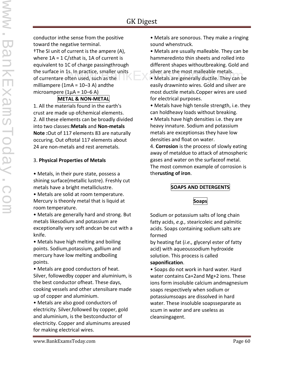conductor inthe sense from the positive toward the negative terminal. †The SI unit of current is the ampere (A), where  $1A = 1 C/sthat is$ , 1A of current is equivalent to 1C of charge passingthrough the surface in 1s. In practice, smaller units of currentare often used, such as the milliampere  $(1mA = 10-3 A)$  and the microampere ( $1\mu$ A =  $10-6$  A) Is. In practice, smaller units<br> **EXAMPLE ARE IS A METALE ARE SERVING METAL CONDUCT** Metals are generally ductile. They can be

#### **METAL & NON-METAL**

1. All the materials found in the earth's crust are made up ofchemical elements. 2. All these elements can be broadly divided into two classes:**Metals** and **Non-metals Note :**Out of 117 elements 83 are naturally occuring. Out oftotal 117 elements about 24 are non-metals and rest aremetals.

#### 3. **Physical Properties of Metals**

• Metals, in their pure state, possess a shining surface(metallic lustre). Freshly cut metals have a bright metalliclustre.

• Metals are solid at room temperature. Mercury is theonly metal that is liquid at room temperature.

• Metals are generally hard and strong. But metals likesodium and potassium are exceptionally very soft andcan be cut with a knife.

• Metals have high melting and boiling points. Sodium,potassium, gallium and mercury have low melting andboiling points.

• Metals are good conductors of heat. Silver, followedby copper and aluminium, is the best conductor ofheat. These days, cooking vessels and other utensilsare made up of copper and aluminium.

• Metals are also good conductors of electricity. Silver,followed by copper, gold and aluminium, is the bestconductor of electricity. Copper and aluminums areused for making electrical wires.

• Metals are sonorous. They make a ringing sound whenstruck.

• Metals are usually malleable. They can be hammeredinto thin sheets and rolled into different shapes withoutbreaking. Gold and silver are the most malleable metals.

easily drawninto wires. Gold and silver are most ductile metals.Copper wires are used for electrical purposes.

• Metals have high tensile strength, i.e. they can holdheavy loads without breaking.

• Metals have high densities i.e. they are heavy innature. Sodium and potassium metals are exceptionsas they have low densities and float on water.

4. **Corrosion** is the process of slowly eating away of metaldue to attack of atmospheric gases and water on the surfaceof metal. The most common example of corrosion is the**rusting of iron**.

#### **SOAPS AND DETERGENTS**

#### **Soaps**

Sodium or potassium salts of long chain fatty acids, *e.g.,* stearicoleic and palmitic acids. Soaps containing sodium salts are formed

by heating fat (*i.e.,* glyceryl ester of fatty acid) with aqueoussodium hydroxide solution. This process is called

#### **saponification**.

• Soaps do not work in hard water. Hard water contains Ca+2and Mg+2 ions. These ions form insoluble calcium andmagnesium soaps respectively when sodium or potassiumsoaps are dissolved in hard water. These insoluble soapsseparate as scum in water and are useless as cleansingagent.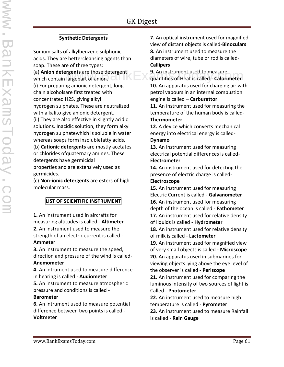#### **Synthetic Detergents**

Sodium salts of alkylbenzene sulphonic acids. They are bettercleansing agents than soap. These are of three types:

(a) **Anion detergents** are those detergent which contain largepart of anion. (i) For preparing anionic detergent, long chain alcoholsare first treated with concentrated H2S, giving alkyl hydrogen sulphates. These are neutralized with alkalito give anionic detergent. (ii) They are also effective in slightly acidic solutions. Inacidic solution, they form alkyl hydrogen sulphatewhich is soluble in water whereas soaps form insolublefatty acids.

(b) **Cationic detergents** are mostly acetates or chlorides ofquaternary amines. These detergents have germicidal

properties and are extensively used as germicides.

(c) **Non-ionic detergents** are esters of high molecular mass.

#### **LIST OF SCIENTIFIC INSTRUMENT**

**1.** An instrument used in aircrafts for measuring altitudes is called - **Altimeter 2.** An instrument used to measure the strength of an electric current is called - **Ammeter**

**3.** An instrument to measure the speed, direction and pressure of the wind is called- **Anemometer**

**4.** An intrument used to measure difference in hearing is called - **Audiometer**

**5.** An instrument to measure atmospheric pressure and conditions is called -

#### **Barometer**

**6.** An intrument used to measure potential difference between two points is called - **Voltmeter**

**7.** An optical instrument used for magnified view of distant objects is called-**Binoculars 8.** An instrument used to measure the diameters of wire, tube or rod is called- **Callipers**

**9.** An instrument used to measure **gents** are those detergent<br>
argepart of anion. **Example 2018** An instrument used to measure<br>
quantities of Heat is called - **Calorimeter 10.** An apparatus used for charging air with petrol vapours in an internal combustion engine is called – **Carburettor 11.** An instrument used for measuring the temperature of the human body is called-

#### **Thermometer**

**12.** A device which converts mechanical energy into electrical energy is called- **Dynamo**

**13.** An instrument used for measuring electrical potential differences is called- **Electrometer**

**14.** An instrument used for detecting the presence of electric charge is called- **Electroscope**

**15.** An instrument used for measuring Electric Current is called - **Galvanometer 16.** An instrument used for measuring depth of the ocean is called - **Fathometer 17.** An instrument used for relative density of liquids is called - **Hydrometer 18.** An instrument used for relative density of milk is called - **Lactometer 19.** An instrument used for magnified view of very small objects is called - **Microscope 20.** An apparatus used in submarines for viewing objects lying above the eye level of the observer is called - **Periscope 21.** An instrument used for comparing the luminous intensity of two sources of light is Called - **Photometer**

**22.** An instrument used to measure high temperature is called - **Pyrometer**

**23.** An instrument used to measure Rainfall is called - **Rain Gauge**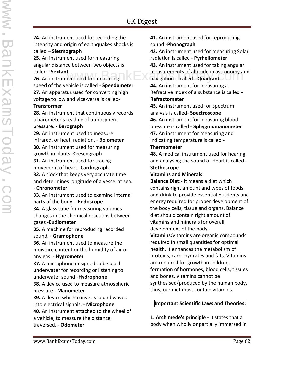www.BankExamsToday.com**LAHARAME** 

**24.** An instrument used for recording the intensity and origin of earthquakes shocks is called – **Siesmograph**

**25.** An instrument used for measuring angular distance between two objects is called - **Sextant**

**26.** An instrument used for measuring speed of the vehicle is called - **Speedometer 27.** An apparatus used for converting high voltage to low and vice-versa is called-

#### **Transformer**

**28.** An instrument that continuously records a barometer's reading of atmospheric pressure. - **Barograph**

**29.** An instrument used to measure infrared, or heat, radiation. - **Bolometer 30.** An instrument used for measuring growth in plants.-**Crescograph 31.** An instrument used for tracing movement of heart.-**Cardiograph 32.** A clock that keeps very accurate time and determines longitude of a vessel at sea.

#### - **Chronometer**

**33.** An instrument used to examine internal parts of the body. - **Endoscope**

**34.** A glass tube for measuring volumes changes in the chemical reactions between gases -**Eudiometer**

**35.** A machine for reproducing recorded sound. - **Gramophone**

**36.** An instrument used to measure the moisture content or the humidity of air or any gas. - **Hygrometer**

**37.** A microphone designed to be used underwater for recording or listening to underwater sound.-**Hydrophone**

**38.** A device used to measure atmospheric pressure - **Manometer**

**39.** A device which converts sound waves into electrical signals. - **Microphone**

**40.** An instrument attached to the wheel of a vehicle, to measure the distance traversed. - **Odometer**

**41.** An instrument used for reproducing sound.-**Phonograph**

**42.** An instrument used for measuring Solar radiation is called - **Pyrheliometer 43.** An instrument used for taking angular

t<br>
ent used for measuring **the set of altitude in astronomy and set of altitude in astronomy and set of altitude in astronomy and** navigation is called - **Quadrant**

**44.** An instrument for measuring a Refractive Index of a substance is called - **Refractometer**

**45.** An instrument used for Spectrum analysis is called- **Spectroscope 46.** An instrument for measuring blood pressure is called - **Sphygmomanometer 47.** An instrument for measuring and indicating temperature is called -

#### **Thermometer**

**48.** A medical instrument used for hearing and analysing the sound of Heart is called - **Stethoscope**

#### **Vitamins and Minerals**

**Balance Diet:**- It means a diet which contains right amount and types of foods and drink to provide essential nutrients and energy required for proper development of the body cells, tissue and organs. Balance diet should contain right amount of vitamins and minerals for overall development of the body.

**Vitamins:**Vitamins are organic compounds required in small quantities for optimal health. It enhances the metabolism of proteins, carbohydrates and fats. Vitamins are required for growth in children, formation of hormones, blood cells, tissues and bones. Vitamins cannot be synthesised/produced by the human body, thus, our diet must contain vitamins.

#### **Important Scientific Laws and Theories:**

**1. Archimede's principle -** It states that a body when wholly or partially immersed in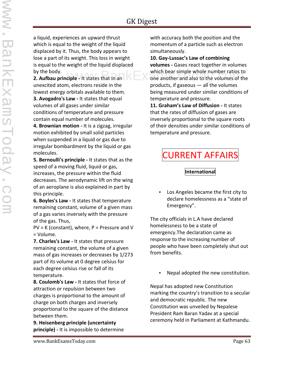a liquid, experiences an upward thrust which is equal to the weight of the liquid displaced by it. Thus, the body appears to lose a part of its weight. This loss in weight is equal to the weight of the liquid displaced by the body.

**2. Aufbau principle -** It states that in an unexcited atom, electrons reside in the lowest energy orbitals available to them. **3. Avogadro's Law -** It states that equal volumes of all gases under similar conditions of temperature and pressure contain equal number of molecules.

**4. Brownian motion -** It is a zigzag, irregular motion exhibited by small solid particles when suspended in a liquid or gas due to irregular bombardment by the liquid or gas molecules.

**5. Bernoulli's principle -** It states that as the speed of a moving fluid, liquid or gas, increases, the pressure within the fluid decreases. The aerodynamic lift on the wing of an aeroplane is also explained in part by this principle.

**6. Boyles's Law -** It states that temperature remaining constant, volume of a given mass of a gas varies inversely with the pressure of the gas. Thus,

 $PV = K (constant)$ , where,  $P =$  Pressure and V = Volume.

**7. Charles's Law -** It states that pressure remaining constant, the volume of a given mass of gas increases or decreases by 1/273 part of its volume at 0 degree celsius for each degree celsius rise or fall of its temperature.

**8. Coulomb's Law -** It states that force of attraction or repulsion between two charges is proportional to the amount of charge on both charges and inversely proportional to the square of the distance between them.

**9. Heisenberg principle (uncertainty principle) -** It is impossible to determine with accuracy both the position and the momentum of a particle such as electron simultaneously.

#### **10. Gay-Lussac's Law of combining**

**volumes -** Gases react together in volumes which bear simple whole number ratios to<br>
one another and also to the volumes of the one another and also to the volumes of the products, if gaseous — all the volumes being measured under similar conditions of temperature and pressure.

> **11. Graham's Law of Diffusion -** It states that the rates of diffusion of gases are inversely proportional to the square roots of their densities under similar conditions of temperature and pressure.

## CURRENT AFFAIRS

#### **International**

 Los Angeles became the first city to declare homelessness as a "state of Emergency".

The city officials in L.A have declared homelessness to be a state of emergency.The declaration came as response to the increasing number of people who have been completely shut out from benefits.

Nepal adopted the new constitution.

Nepal has adopted new Constitution marking the country's transition to a secular and democratic republic. The new Constitution was unveiled by Nepalese President Ram Baran Yadav at a special ceremony held in Parliament at Kathmandu.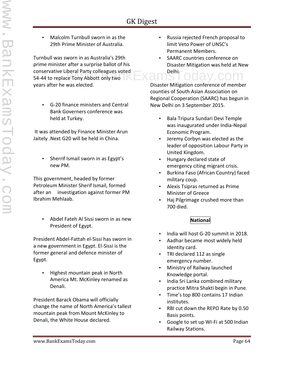Malcolm Turnbull sworn in as the 29th Prime Minister of Australia.

Turnbull was sworn in as Australia's 29th prime minister after a surprise ballot of his conservative Liberal Party colleagues voted  $\mathsf{Exam}^\mathsf{Delhi.}\mathsf{coday.com}$ 54-44 to replace Tony Abbott only two years after he was elected.

 G-20 finance ministers and Central Bank Governers conference was held at Turkey.

It was attended by Finance Minister Arun Jaitely .Next G20 will be held in China.

 Sherrif Ismail sworn in as Egypt's new PM.

This government, headed by former Petroleum Minister Sherif Ismail, formed after an investigation against former PM Ibrahim Mehlaab.

 Abdel Fateh Al Sissi sworn in as new President of Egypt.

President Abdel-Fattah el-Sissi has sworn in a new government in Egypt. El-Sissi is the former general and defence minister of Egypt.

• Highest mountain peak in North America Mt. McKinley renamed as Denali.

President Barack Obama will officially change the name of North America's tallest mountain peak from Mount McKinley to Denali, the White House declared.

- Russia rejected French proposal to limit Veto Power of UNSC's Permanent Members.
- SAARC countries conference on Disaster Mitigation was held at New Delhi.

Disaster Mitigation conference of member counties of South Asian Association on Regional Cooperation (SAARC) has begun in New Delhi on 3 September 2015.

- Bala Tripura Sundari Devi Temple was inaugurated under India-Nepal Economic Program.
- Jeremy Corbyn was elected as the leader of opposition Labour Party in United Kingdom.
- Hungary declared state of emergency citing migrant crisis.
- Burkina Faso (African Country) faced military coup.
- Alexis Tsipras returned as Prime Minister of Greece
- Haj Pilgrimage crushed more than 700 died.

#### **National**

- India will host G-20 summit in 2018.
- Aadhar became most widely held identity card.
- TRI declared 112 as single emergency number.
- Ministry of Railway launched Knowledge portal.
- India Sri Lanka combined military practice Mitra Shakti begin in Pune.
- Time's top 800 contains 17 Indian institutes.
- RBI cut down the REPO Rate by 0.50 Basis points.
- Google to set up WI-Fi at 500 Indian Railway Stations.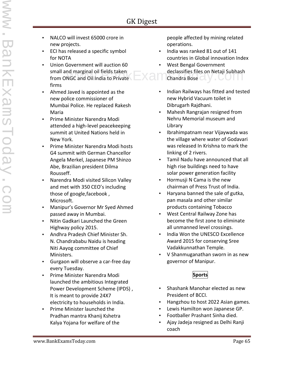- NALCO will invest 65000 crore in new projects.
- ECI has released a specific symbol for NOTA
- Union Government will auction 60 small and marginal oil fields taken from ONGC and Oil India to Private firms
- Ahmed Javed is appointed as the new police commissioner of Mumbai Police. He replaced Rakesh Maria
- Prime Minister Narendra Modi attended a high-level peacekeeping summit at United Nations held in New York.
- Prime Minister Narendra Modi hosts G4 summit with German Chancellor Angela Merkel, Japanese PM Shinzo Abe, Brazilian president Dilma Rousseff.
- Narendra Modi visited Silicon Valley and met with 350 CEO's including those of google,facebook , Microsoft.
- Manipur's Governor Mr Syed Ahmed passed away in Mumbai.
- Nitin Gadkari Launched the Green Highway policy 2015.
- Andhra Pradesh Chief Minister Sh. N. Chandrababu Naidu is heading Niti Aayog committee of Chief Ministers.
- Gurgaon will observe a car-free day every Tuesday.
- Prime Minister Narendra Modi launched the ambitious Integrated Power Development Scheme (IPDS) , It is meant to provide 24X7 electricity to households in India.
- Prime Minister launched the Pradhan mantra Khanij Kshetra Kalya Yojana for welfare of the

people affected by mining related operations.

- India was ranked 81 out of 141 countries in Global innovation Index
- West Bengal Government declassifies files on Netaji Subhash declassifies files on Netaji Subhash declassifies files on Netaji Subhash<br>NGC and Oil India to Private Chandra Bose
	- Indian Railways has fitted and tested new Hybrid Vacuum toilet in Dibrugarh Rajdhani.
	- Mahesh Rangrajan resigned from Nehru Memorial museum and Library
	- Ibrahimpatnam near Vijaywada was the village where water of Godavari was released In Krishna to mark the linking of 2 rivers.
	- Tamil Nadu have announced that all high rise buildings need to have solar power generation facility
	- Hormusji N Cama is the new chairman of Press Trust of India.
	- Haryana banned the sale of gutka, pan masala and other similar products containing Tobacco
	- West Central Railway Zone has become the first zone to eliminate all unmanned level crossings.
	- India Won the UNESCO Excellence Award 2015 for conserving Sree Vadakkunnathan Temple.
	- V Shanmuganathan sworn in as new governor of Manipur.

#### **Sports**

- Shashank Manohar elected as new President of BCCI.
- Hangzhou to host 2022 Asian games.
- Lewis Hamilton won Japanese GP.
- Footballer Prashant Sinha died.
- Ajay Jadeja resigned as Delhi Ranji coach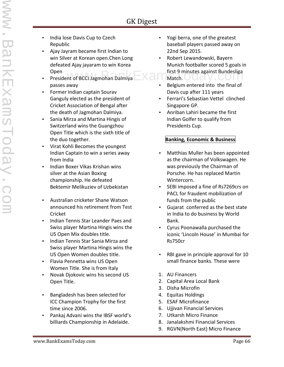- India lose Davis Cup to Czech Republic
- Ajay Jayram became first Indian to win Silver at Korean open.Chen Long defeated Ajay jayaram to win Korea Open
- President of BCCI Jagmohan Dalmiya passes away
- Former Indian captain Sourav Ganguly elected as the president of Cricket Association of Bengal after the death of Jagmohan Dalmiya.
- Sania Mirza and Martina Hingis of Switzerland wins the Guangzhou Open Title which is the sixth title of the duo together.
- Virat Kohli Becomes the youngest Indian Captain to win a series away from India
- Indian Boxer Vikas Krishan wins silver at the Asian Boxing championship. He defeated Bektemir Melikuziev of Uzbekistan
- Australian cricketer Shane Watson announced his retirement from Test Cricket
- Indian Tennis Star Leander Paes and Swiss player Martina Hingis wins the US Open Mix doubles title.
- Indian Tennis Star Sania Mirza and Swiss player Martina Hingis wins the US Open Women doubles title.
- Flavia Pennetta wins US Open Women Title. She is from Italy
- Novak Djokovic wins his second US Open Title.
- Bangladesh has been selected for ICC Champion Trophy for the first time since 2006.
- Pankaj Advani wins the IBSF world's billiards Championship in Adelaide.
- Yogi berra, one of the greatest baseball players passed away on 22nd Sep 2015.
- Robert Lewandowski, Bayern Munich footballer scored 5 goals in first 9 minutes against Bundesliga<br>Match. Camera Match. Camera Camera Stock and Stock and Stock and Stock and Stock and Stock and Stock and Stock<br>Today.com Match. UUC
	- Belgium entered into the final of Davis cup after 111 years
	- Ferrari's Sebastian Vettel clinched Singapore GP.
	- Anriban Lahiri became the first Indian Golfer to qualify from Presidents Cup.

#### **Banking, Economic & Business**

- Matthias Muller has been appointed as the chairman of Volkswagen. He was previously the Chairman of Porsche. He has replaced Martin Wintercorn.
- SEBI imposed a fine of Rs7269crs on PACL for fraudent mobilization of funds from the public
- Gujarat conferred as the best state in India to do business by World Bank.
- Cyrus Poonawalla purchased the iconic 'Lincoln House' in Mumbai for Rs750cr
- RBI gave in principle approval for 10 small finance banks. These were
- 1. AU Financers
- 2. Capital Area Local Bank
- 3. Disha Microfin
- 4. Equitas Holdings
- 5. ESAF Microfinance
- 6. Ujjivan Financial Services
- 7. Utkarsh Micro Finance
- 8. Janalakshmi Financial Services
- 9. RGVN(North East) Micro Finance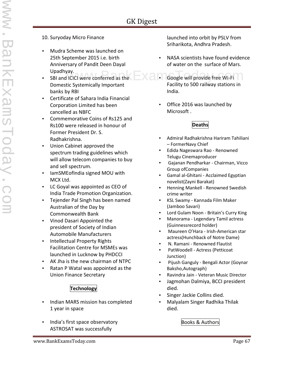- 10. Suryoday Micro Finance
- Mudra Scheme was launched on 25th September 2015 i.e. birth Anniversary of Pandit Deen Dayal Upadhyay.
- SBI and ICICI were conferred as the Domestic Systemically Important banks by RBI
- Certificate of Sahara India Financial Corporation Limited has been cancelled as NBFC
- Commemorative Coins of Rs125 and Rs100 were released in honour of Former President Dr. S. Radhakrishna.
- Union Cabinet approved the spectrum trading guidelines which will allow telecom companies to buy and sell spectrum.
- lamSMEofIndia signed MOU with MCX Ltd.
- LC Goyal was appointed as CEO of India Trade Promotion Organization.
- Tejender Pal Singh has been named Australian of the Day by Commonwealth Bank
- Vinod Dasari Appointed the president of Society of Indian Automobile Manufacturers
- Intellectual Property Rights Facilitation Centre for MSMEs was launched in Lucknow by PHDCCI
- AK Jha is the new chairman of NTPC
- Ratan P Watal was appointed as the Union Finance Secretary

#### **Technology**

- Indian MARS mission has completed 1 year in space
- India's first space observatory ASTROSAT was successfully

launched into orbit by PSLV from Sriharikota, Andhra Pradesh.

- NASA scientists have found evidence of water on the surface of Mars.
- ay.<br>ICICI were conferred as the  $\Box$   $\Box$   $\Box$  Google will provide free Wi-Fi Facility to 500 railway stations in India.
	- Office 2016 was launched by Microsoft .

#### **Deaths**

- Admiral Radhakrishna Hariram Tahiliani – FormerNavy Chief
- Edida Nageswara Rao Renowned Telugu Cinemaproducer
- Gajanan Pendharkar Chairman, Vicco Group ofCompanies
- Gamal al-Ghitani Acclaimed Egyptian novelist(Zayni Barakat)
- Henning Mankell Renowned Swedish crime writer
- KSL Swamy Kannada Film Maker (Jamboo Savari)
- Lord Gulam Noon Britain's Curry King
- Manorama Legendary Tamil actress (Guinnessrecord holder)
- Maureen O'Hara Irish-American star actress(Hunchback of Notre Dame)
- N. Ramani Renowned Flautist
- PatWoodell Actress (Petticoat Junction)
- Pijush Ganguly Bengali Actor (Goynar Baksho,Autograph)
- Ravindra Jain Veteran Music Director
- Jagmohan Dalmiya, BCCI president died.
- Singer Jackie Collins died.
- Malyalam Singer Radhika Thilak died.

Books & Authors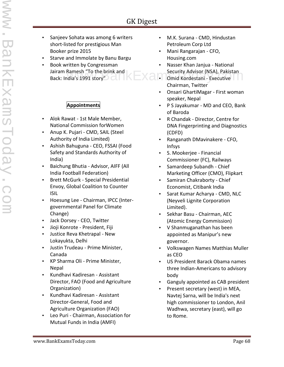- Sanjeev Sohata was among 6 writers short-listed for prestigious Man Booker prize 2015
- Starve and Immolate by Banu Bargu
- Book written by Congressman Jairam Ramesh "To the brink and Back: India's 1991 story"<sup>2</sup> Ramesh "To the brink and **Exams** Security Advisor (NSA), Pakistan<br>In Tomid Kordestani - Executive

#### **Appointments**

- Alok Rawat 1st Male Member, National Commission forWomen
- Anup K. Pujari CMD, SAIL (Steel Authority of India Limited)
- Ashish Bahuguna CEO, FSSAI (Food Safety and Standards Authority of India)
- Baichung Bhutia Advisor, AIFF (All India Football Federation)
- Brett McGurk Special Presidential Envoy, Global Coalition to Counter ISIL
- Hoesung Lee Chairman, IPCC (Inter governmental Panel for Climate Change)
- Jack Dorsey CEO, Twitter
- Jioji Konrote President, Fiji
- Justice Reva Khetrapal New Lokayukta, Delhi
- Justin Trudeau Prime Minister, Canada
- KP Sharma Oli Prime Minister, Nepal
- Kundhavi Kadiresan Assistant Director, FAO (Food and Agriculture Organization)
- Kundhavi Kadiresan Assistant Director-General, Food and Agriculture Organization (FAO)
- Leo Puri Chairman, Association for Mutual Funds in India (AMFI)
- M.K. Surana CMD, Hindustan Petroleum Corp Ltd
- Mani Rangarajan CFO, Housing.com
- Nasser Khan Janjua National
- Omid Kordestani Executive Chairman, Twitter
- Onsari GhartiMagar First woman speaker, Nepal
- P S Jayakumar MD and CEO, Bank of Baroda
- R Chandak Director, Centre for DNA Fingerprinting and Diagnostics (CDFD)
- Ranganath DMavinakere CFO, Infsys
- S. Mookerjee Financial Commissioner (FC), Railways
- Samardeep Subandh Chief Marketing Officer (CMO), Flipkart
- Samiran Chakraborty Chief Economist, Citibank India
- Sarat Kumar Acharya CMD, NLC (Neyveli Lignite Corporation Limited).
- Sekhar Basu Chairman, AEC (Atomic Energy Commission)
- V Shanmuganathan has been appointed as Manipur's new governor.
- Volkswagen Names Matthias Muller as CEO
- US President Barack Obama names three Indian-Americans to advisory body
- Ganguly appointed as CAB president
- Present secretary (west) in MEA, Navtej Sarna, will be India's next high commissioner to London, Anil Wadhwa, secretary (east), will go to Rome.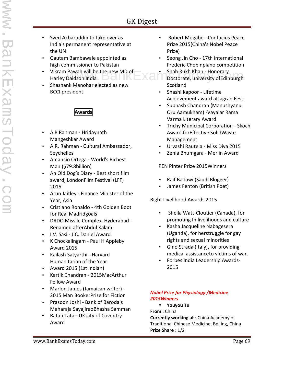- Syed Akbaruddin to take over as India's permanent representative at the UN
	- Gautam Bambawale appointed as high commissioner to Pakistan
	- Vikram Pawah will be the new MD of Harley Daidson India
	- Shashank Manohar elected as new BCCI president.

#### **Awards**

- A R Rahman Hridaynath Mangeshkar Award
- A.R. Rahman Cultural Ambassador, **Seychelles**
- Amancio Ortega World's Richest Man (\$79.8billion)
- An Old Dog's Diary Best short film award, LondonFilm Festival (LFF) 2015
- Arun Jaitley Finance Minister of the Year, Asia
- Cristiano Ronaldo 4th Golden Boot for Real Madridgoals
- DRDO Missile Complex, Hyderabad Renamed afterAbdul Kalam
- I.V. Sasi J.C. Daniel Award
- K Chockalingam Paul H Appleby Award 2015
- Kailash Satyarthi Harvard Humanitarian of the Year
- Award 2015 (1st Indian)
- Kartik Chandran 2015MacArthur Fellow Award
- Marlon James (Jamaican writer) 2015 Man BookerPrize for Fiction
- Prasoon Joshi Bank of Baroda's Maharaja SayajiraoBhasha Samman
- Ratan Tata UK city of Coventry Award
- Robert Mugabe Confucius Peace Prize 2015(China's Nobel Peace Prize)
- Seong Jin Cho 17th international Frederic Chopinpiano competition
- Shah Rukh Khan Honorary Pawah will be the new MD of<br>Daidson India and Cambridge Manuscript Boctorate, university of Edinburgh Scotland
	- Shashi Kapoor Lifetime Achievement award atJagran Fest
	- Subhash Chandran (Manushyanu Oru Aamukham) -Vayalar Rama Varma Literary Award
	- Trichy Municipal Corporation Skoch Award forEffective SolidWaste Management
	- Urvashi Rautela Miss Diva 2015
	- Zenia Bhumgara Merlin Award

PEN Pinter Prize 2015Winners

- Raif Badawi (Saudi Blogger)
- James Fenton (British Poet)

Right Livelihood Awards 2015

- Sheila Watt-Cloutier (Canada), for promoting In livelihoods and culture
- Kasha Jacqueline Nabagesera (Uganda), for herstruggle for gay rights and sexual minorities
- Gino Strada (Italy), for providing medical assistanceto victims of war.
- Forbes India Leadership Awards- 2015

#### *Nobel Prize for Physiology /Medicine 2015Winners*

- **Youyou Tu**
- **From** : China

**Currently working at** : China Academy of Traditional Chinese Medicine, Beijing, China **Prize Share** : 1/2

EukExame